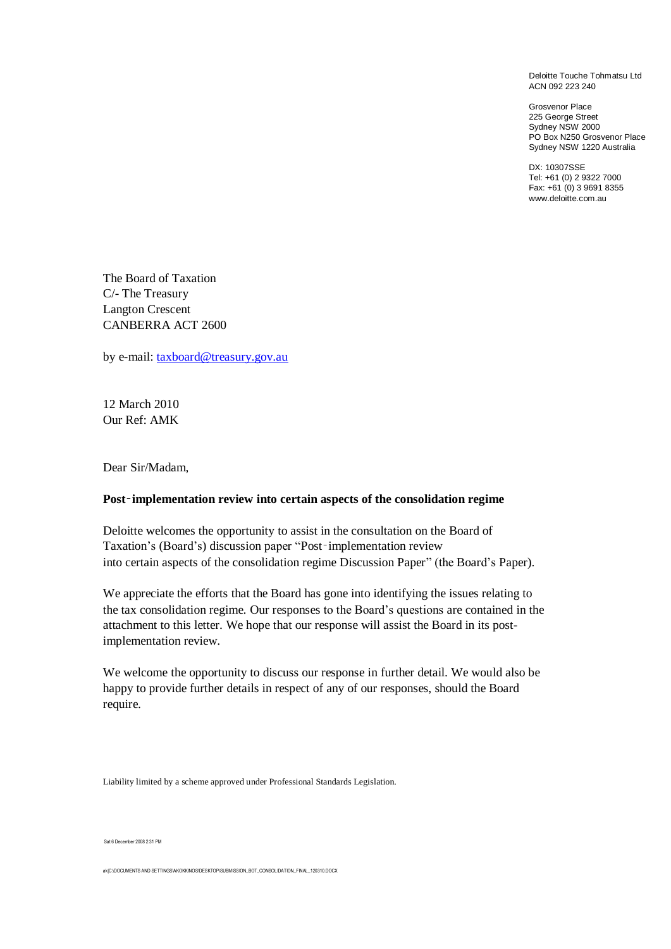Deloitte Touche Tohmatsu Ltd ACN 092 223 240

Grosvenor Place 225 George Street Sydney NSW 2000 PO Box N250 Grosvenor Place Sydney NSW 1220 Australia

DX: 10307SSE Tel: +61 (0) 2 9322 7000 Fax: +61 (0) 3 9691 8355 www.deloitte.com.au

The Board of Taxation C/- The Treasury Langton Crescent CANBERRA ACT 2600

by e-mail: [taxboard@treasury.gov.au](mailto:taxboard@treasury.gov.au)

12 March 2010 Our Ref: AMK

Dear Sir/Madam,

#### **Post**‑**implementation review into certain aspects of the consolidation regime**

Deloitte welcomes the opportunity to assist in the consultation on the Board of Taxation's (Board's) discussion paper "Post-implementation review into certain aspects of the consolidation regime Discussion Paper" (the Board"s Paper).

We appreciate the efforts that the Board has gone into identifying the issues relating to the tax consolidation regime. Our responses to the Board"s questions are contained in the attachment to this letter. We hope that our response will assist the Board in its postimplementation review.

We welcome the opportunity to discuss our response in further detail. We would also be happy to provide further details in respect of any of our responses, should the Board require.

Liability limited by a scheme approved under Professional Standards Legislation.

Sat 6 December 2008 2:31 PM

ak|C:\DOCUMENTS AND SETTINGS\AKOKKINOS\DESKTOP\SUBMISSION\_BOT\_CONSOLIDATION\_FINAL\_120310.DOCX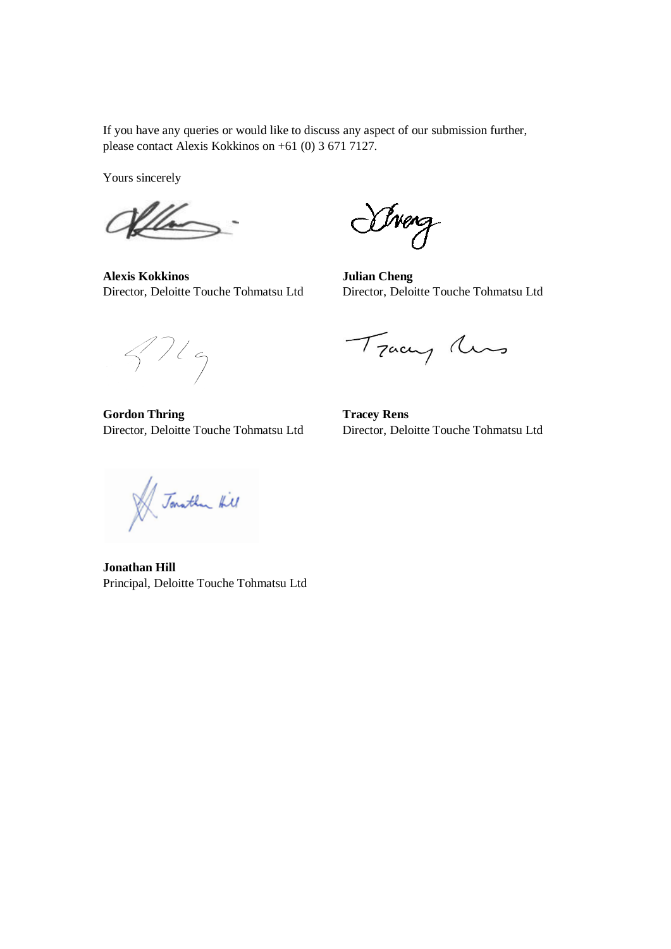If you have any queries or would like to discuss any aspect of our submission further, please contact Alexis Kokkinos on +61 (0) 3 671 7127.

Yours sincerely

**Alexis Kokkinos Julian Cheng**

Wineng

Director, Deloitte Touche Tohmatsu Ltd Director, Deloitte Touche Tohmatsu Ltd

 $3719$ 

**Gordon Thring Tracey Rens**

Tracy Mrs

Director, Deloitte Touche Tohmatsu Ltd Director, Deloitte Touche Tohmatsu Ltd

V Jonathan Hill

**Jonathan Hill** Principal, Deloitte Touche Tohmatsu Ltd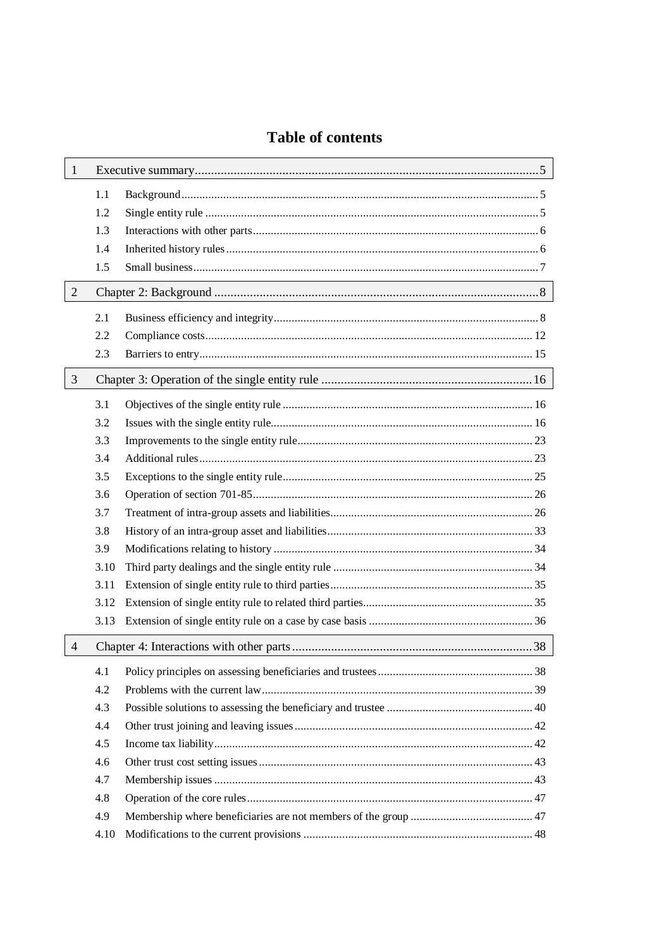# **Table of contents**

| $\mathbf{1}$   |      |  |  |  |
|----------------|------|--|--|--|
|                | 1.1  |  |  |  |
|                | 1.2  |  |  |  |
|                | 1.3  |  |  |  |
|                | 1.4  |  |  |  |
|                | 1.5  |  |  |  |
| $\overline{2}$ |      |  |  |  |
|                | 2.1  |  |  |  |
|                | 2.2  |  |  |  |
|                | 2.3  |  |  |  |
| $\overline{3}$ |      |  |  |  |
|                | 3.1  |  |  |  |
|                | 3.2  |  |  |  |
|                | 3.3  |  |  |  |
|                | 3.4  |  |  |  |
|                | 3.5  |  |  |  |
|                | 3.6  |  |  |  |
|                | 3.7  |  |  |  |
|                | 3.8  |  |  |  |
|                | 3.9  |  |  |  |
|                | 3.10 |  |  |  |
|                | 3.11 |  |  |  |
|                | 3.12 |  |  |  |
|                | 3.13 |  |  |  |
| $\overline{4}$ |      |  |  |  |
|                | 4.1  |  |  |  |
|                | 4.2  |  |  |  |
|                | 4.3  |  |  |  |
|                | 4.4  |  |  |  |
|                | 4.5  |  |  |  |
|                | 4.6  |  |  |  |
|                | 4.7  |  |  |  |
|                | 4.8  |  |  |  |
|                | 4.9  |  |  |  |
|                | 4.10 |  |  |  |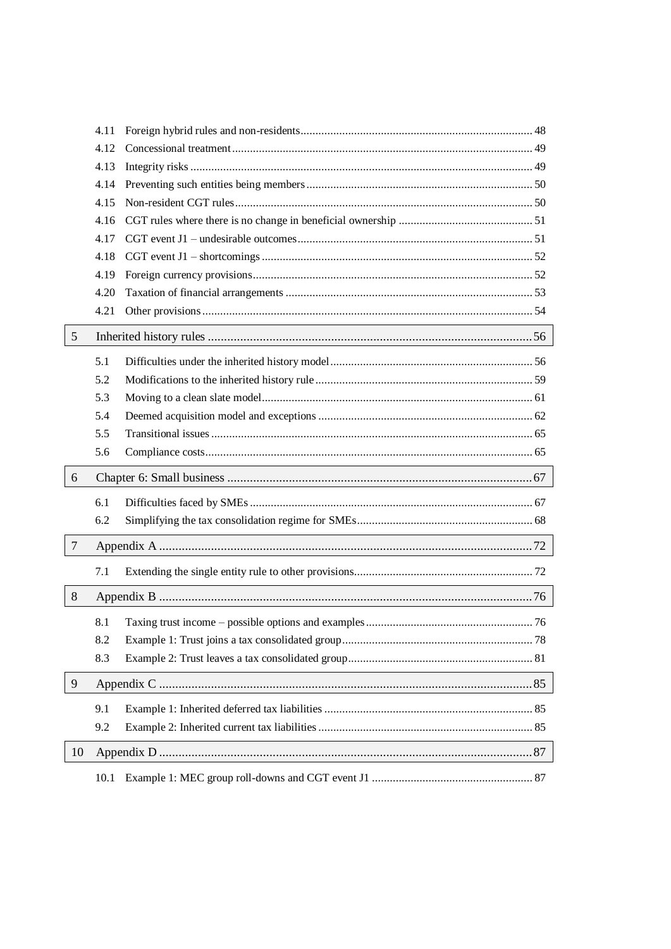|                | 4.12 |  |  |  |
|----------------|------|--|--|--|
|                | 4.13 |  |  |  |
|                | 4.14 |  |  |  |
|                | 4.15 |  |  |  |
|                | 4.16 |  |  |  |
|                | 4.17 |  |  |  |
|                | 4.18 |  |  |  |
|                | 4.19 |  |  |  |
|                | 4.20 |  |  |  |
|                | 4.21 |  |  |  |
| 5              |      |  |  |  |
|                | 5.1  |  |  |  |
|                | 5.2  |  |  |  |
|                | 5.3  |  |  |  |
|                | 5.4  |  |  |  |
|                | 5.5  |  |  |  |
|                | 5.6  |  |  |  |
| 6              |      |  |  |  |
|                | 6.1  |  |  |  |
|                | 6.2  |  |  |  |
|                |      |  |  |  |
| $\overline{7}$ |      |  |  |  |
|                | 7.1  |  |  |  |
| 8              |      |  |  |  |
|                | 8.1  |  |  |  |
|                | 8.2  |  |  |  |
|                | 8.3  |  |  |  |
| $\overline{9}$ |      |  |  |  |
|                | 9.1  |  |  |  |
|                | 9.2  |  |  |  |
|                |      |  |  |  |
| 10             |      |  |  |  |
|                |      |  |  |  |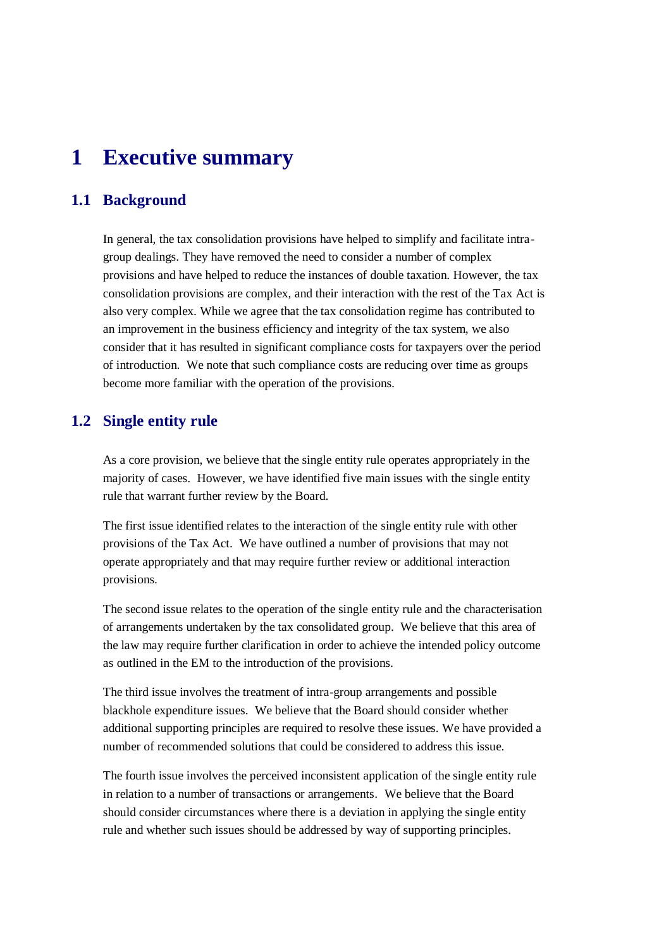# <span id="page-4-0"></span>**1 Executive summary**

# <span id="page-4-1"></span>**1.1 Background**

In general, the tax consolidation provisions have helped to simplify and facilitate intragroup dealings. They have removed the need to consider a number of complex provisions and have helped to reduce the instances of double taxation. However, the tax consolidation provisions are complex, and their interaction with the rest of the Tax Act is also very complex. While we agree that the tax consolidation regime has contributed to an improvement in the business efficiency and integrity of the tax system, we also consider that it has resulted in significant compliance costs for taxpayers over the period of introduction. We note that such compliance costs are reducing over time as groups become more familiar with the operation of the provisions.

# <span id="page-4-2"></span>**1.2 Single entity rule**

As a core provision, we believe that the single entity rule operates appropriately in the majority of cases. However, we have identified five main issues with the single entity rule that warrant further review by the Board.

The first issue identified relates to the interaction of the single entity rule with other provisions of the Tax Act. We have outlined a number of provisions that may not operate appropriately and that may require further review or additional interaction provisions.

The second issue relates to the operation of the single entity rule and the characterisation of arrangements undertaken by the tax consolidated group. We believe that this area of the law may require further clarification in order to achieve the intended policy outcome as outlined in the EM to the introduction of the provisions.

The third issue involves the treatment of intra-group arrangements and possible blackhole expenditure issues. We believe that the Board should consider whether additional supporting principles are required to resolve these issues. We have provided a number of recommended solutions that could be considered to address this issue.

The fourth issue involves the perceived inconsistent application of the single entity rule in relation to a number of transactions or arrangements. We believe that the Board should consider circumstances where there is a deviation in applying the single entity rule and whether such issues should be addressed by way of supporting principles.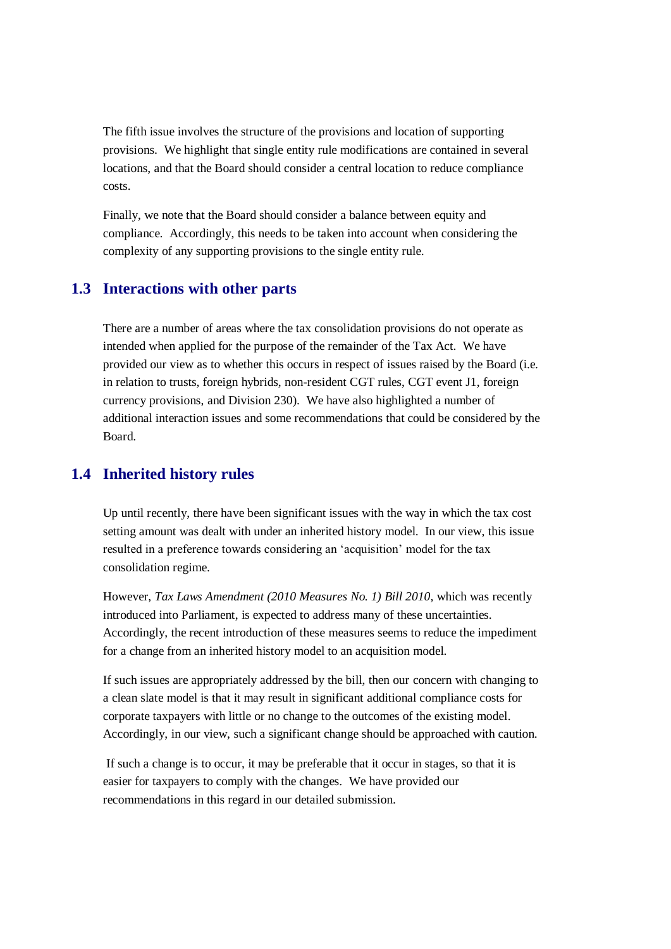The fifth issue involves the structure of the provisions and location of supporting provisions. We highlight that single entity rule modifications are contained in several locations, and that the Board should consider a central location to reduce compliance costs.

Finally, we note that the Board should consider a balance between equity and compliance. Accordingly, this needs to be taken into account when considering the complexity of any supporting provisions to the single entity rule.

# <span id="page-5-0"></span>**1.3 Interactions with other parts**

There are a number of areas where the tax consolidation provisions do not operate as intended when applied for the purpose of the remainder of the Tax Act. We have provided our view as to whether this occurs in respect of issues raised by the Board (i.e. in relation to trusts, foreign hybrids, non-resident CGT rules, CGT event J1, foreign currency provisions, and Division 230). We have also highlighted a number of additional interaction issues and some recommendations that could be considered by the Board.

# <span id="page-5-1"></span>**1.4 Inherited history rules**

Up until recently, there have been significant issues with the way in which the tax cost setting amount was dealt with under an inherited history model. In our view, this issue resulted in a preference towards considering an "acquisition" model for the tax consolidation regime.

However, *Tax Laws Amendment (2010 Measures No. 1) Bill 2010*, which was recently introduced into Parliament, is expected to address many of these uncertainties. Accordingly, the recent introduction of these measures seems to reduce the impediment for a change from an inherited history model to an acquisition model.

If such issues are appropriately addressed by the bill, then our concern with changing to a clean slate model is that it may result in significant additional compliance costs for corporate taxpayers with little or no change to the outcomes of the existing model. Accordingly, in our view, such a significant change should be approached with caution.

If such a change is to occur, it may be preferable that it occur in stages, so that it is easier for taxpayers to comply with the changes. We have provided our recommendations in this regard in our detailed submission.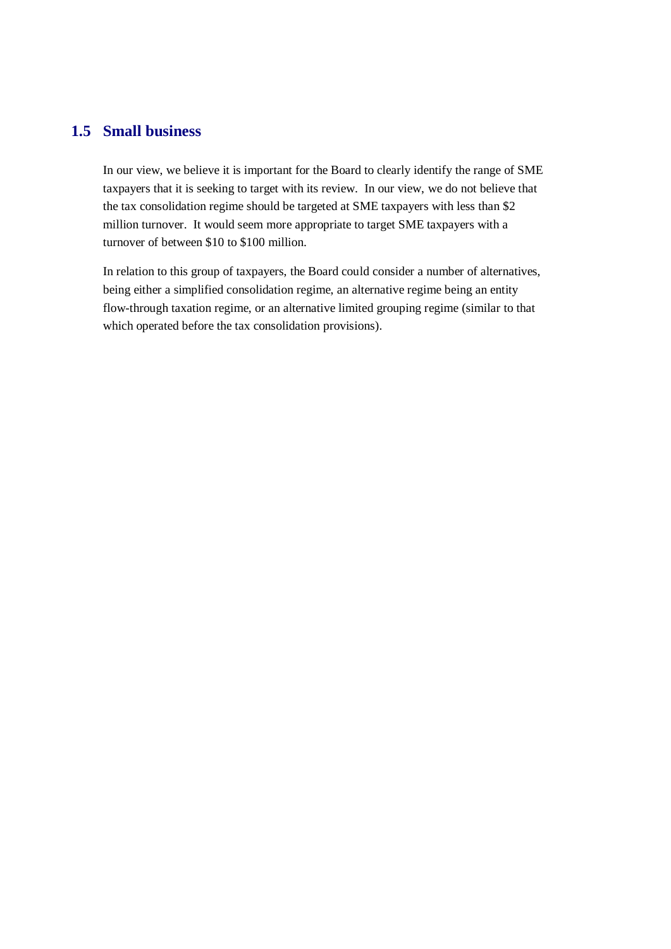# <span id="page-6-0"></span>**1.5 Small business**

In our view, we believe it is important for the Board to clearly identify the range of SME taxpayers that it is seeking to target with its review. In our view, we do not believe that the tax consolidation regime should be targeted at SME taxpayers with less than \$2 million turnover. It would seem more appropriate to target SME taxpayers with a turnover of between \$10 to \$100 million.

In relation to this group of taxpayers, the Board could consider a number of alternatives, being either a simplified consolidation regime, an alternative regime being an entity flow-through taxation regime, or an alternative limited grouping regime (similar to that which operated before the tax consolidation provisions).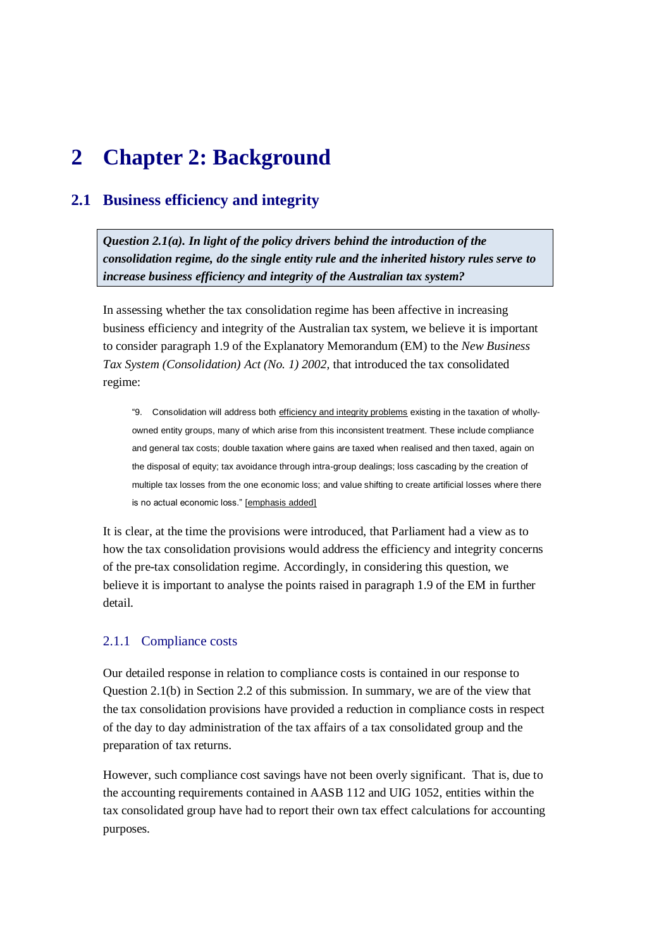# <span id="page-7-0"></span>**2 Chapter 2: Background**

# <span id="page-7-1"></span>**2.1 Business efficiency and integrity**

*Question 2.1(a). In light of the policy drivers behind the introduction of the consolidation regime, do the single entity rule and the inherited history rules serve to increase business efficiency and integrity of the Australian tax system?*

In assessing whether the tax consolidation regime has been affective in increasing business efficiency and integrity of the Australian tax system, we believe it is important to consider paragraph 1.9 of the Explanatory Memorandum (EM) to the *New Business Tax System (Consolidation) Act (No. 1) 2002,* that introduced the tax consolidated regime:

"9. Consolidation will address both efficiency and integrity problems existing in the taxation of whollyowned entity groups, many of which arise from this inconsistent treatment. These include compliance and general tax costs; double taxation where gains are taxed when realised and then taxed, again on the disposal of equity; tax avoidance through intra-group dealings; loss cascading by the creation of multiple tax losses from the one economic loss; and value shifting to create artificial losses where there is no actual economic loss." [emphasis added]

It is clear, at the time the provisions were introduced, that Parliament had a view as to how the tax consolidation provisions would address the efficiency and integrity concerns of the pre-tax consolidation regime. Accordingly, in considering this question, we believe it is important to analyse the points raised in paragraph 1.9 of the EM in further detail.

#### 2.1.1 Compliance costs

Our detailed response in relation to compliance costs is contained in our response to Question 2.1(b) in Section [2.2](#page-11-0) of this submission. In summary, we are of the view that the tax consolidation provisions have provided a reduction in compliance costs in respect of the day to day administration of the tax affairs of a tax consolidated group and the preparation of tax returns.

However, such compliance cost savings have not been overly significant. That is, due to the accounting requirements contained in AASB 112 and UIG 1052, entities within the tax consolidated group have had to report their own tax effect calculations for accounting purposes.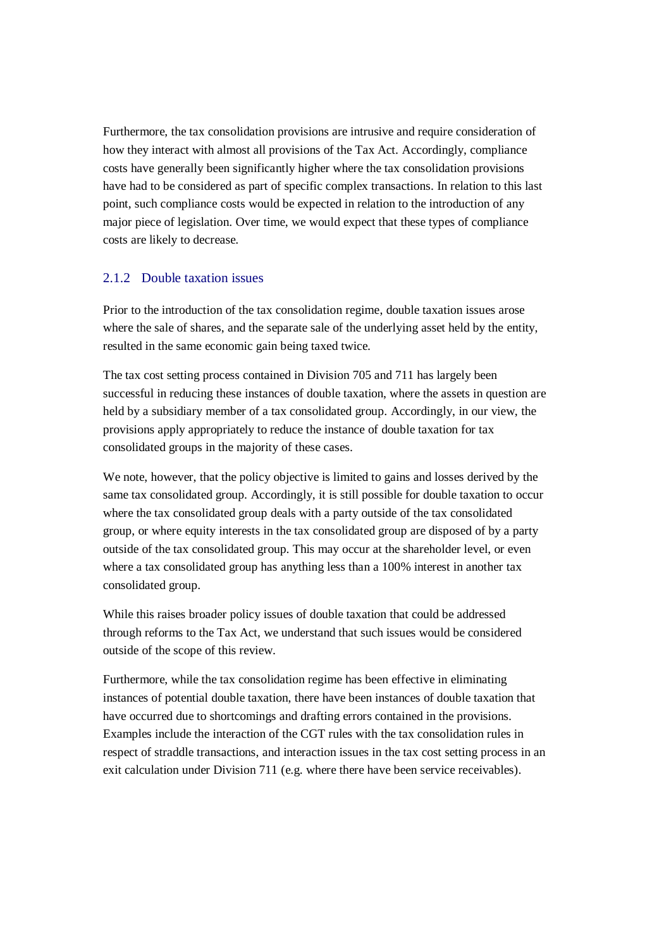Furthermore, the tax consolidation provisions are intrusive and require consideration of how they interact with almost all provisions of the Tax Act. Accordingly, compliance costs have generally been significantly higher where the tax consolidation provisions have had to be considered as part of specific complex transactions. In relation to this last point, such compliance costs would be expected in relation to the introduction of any major piece of legislation. Over time, we would expect that these types of compliance costs are likely to decrease.

#### 2.1.2 Double taxation issues

Prior to the introduction of the tax consolidation regime, double taxation issues arose where the sale of shares, and the separate sale of the underlying asset held by the entity, resulted in the same economic gain being taxed twice.

The tax cost setting process contained in Division 705 and 711 has largely been successful in reducing these instances of double taxation, where the assets in question are held by a subsidiary member of a tax consolidated group. Accordingly, in our view, the provisions apply appropriately to reduce the instance of double taxation for tax consolidated groups in the majority of these cases.

We note, however, that the policy objective is limited to gains and losses derived by the same tax consolidated group. Accordingly, it is still possible for double taxation to occur where the tax consolidated group deals with a party outside of the tax consolidated group, or where equity interests in the tax consolidated group are disposed of by a party outside of the tax consolidated group. This may occur at the shareholder level, or even where a tax consolidated group has anything less than a 100% interest in another tax consolidated group.

While this raises broader policy issues of double taxation that could be addressed through reforms to the Tax Act, we understand that such issues would be considered outside of the scope of this review.

Furthermore, while the tax consolidation regime has been effective in eliminating instances of potential double taxation, there have been instances of double taxation that have occurred due to shortcomings and drafting errors contained in the provisions. Examples include the interaction of the CGT rules with the tax consolidation rules in respect of straddle transactions, and interaction issues in the tax cost setting process in an exit calculation under Division 711 (e.g. where there have been service receivables).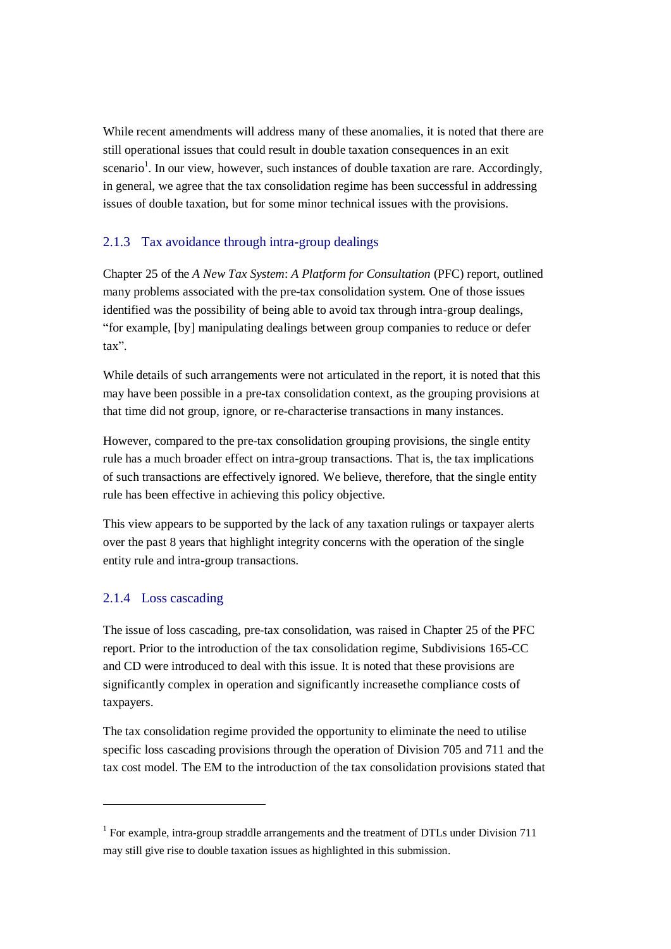While recent amendments will address many of these anomalies, it is noted that there are still operational issues that could result in double taxation consequences in an exit scenario<sup>1</sup>. In our view, however, such instances of double taxation are rare. Accordingly, in general, we agree that the tax consolidation regime has been successful in addressing issues of double taxation, but for some minor technical issues with the provisions.

# 2.1.3 Tax avoidance through intra-group dealings

Chapter 25 of the *A New Tax System*: *A Platform for Consultation* (PFC) report, outlined many problems associated with the pre-tax consolidation system. One of those issues identified was the possibility of being able to avoid tax through intra-group dealings, "for example, [by] manipulating dealings between group companies to reduce or defer tax".

While details of such arrangements were not articulated in the report, it is noted that this may have been possible in a pre-tax consolidation context, as the grouping provisions at that time did not group, ignore, or re-characterise transactions in many instances.

However, compared to the pre-tax consolidation grouping provisions, the single entity rule has a much broader effect on intra-group transactions. That is, the tax implications of such transactions are effectively ignored. We believe, therefore, that the single entity rule has been effective in achieving this policy objective.

This view appears to be supported by the lack of any taxation rulings or taxpayer alerts over the past 8 years that highlight integrity concerns with the operation of the single entity rule and intra-group transactions.

### 2.1.4 Loss cascading

-

The issue of loss cascading, pre-tax consolidation, was raised in Chapter 25 of the PFC report. Prior to the introduction of the tax consolidation regime, Subdivisions 165-CC and CD were introduced to deal with this issue. It is noted that these provisions are significantly complex in operation and significantly increasethe compliance costs of taxpayers.

The tax consolidation regime provided the opportunity to eliminate the need to utilise specific loss cascading provisions through the operation of Division 705 and 711 and the tax cost model. The EM to the introduction of the tax consolidation provisions stated that

<sup>&</sup>lt;sup>1</sup> For example, intra-group straddle arrangements and the treatment of DTLs under Division 711 may still give rise to double taxation issues as highlighted in this submission.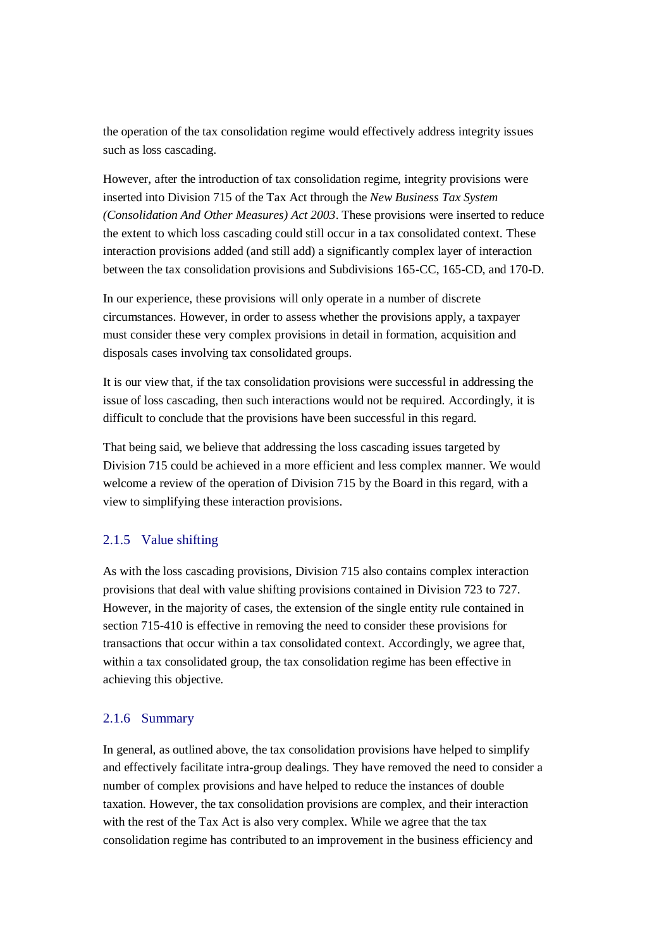the operation of the tax consolidation regime would effectively address integrity issues such as loss cascading.

However, after the introduction of tax consolidation regime, integrity provisions were inserted into Division 715 of the Tax Act through the *New Business Tax System (Consolidation And Other Measures) Act 2003*. These provisions were inserted to reduce the extent to which loss cascading could still occur in a tax consolidated context. These interaction provisions added (and still add) a significantly complex layer of interaction between the tax consolidation provisions and Subdivisions 165-CC, 165-CD, and 170-D.

In our experience, these provisions will only operate in a number of discrete circumstances. However, in order to assess whether the provisions apply, a taxpayer must consider these very complex provisions in detail in formation, acquisition and disposals cases involving tax consolidated groups.

It is our view that, if the tax consolidation provisions were successful in addressing the issue of loss cascading, then such interactions would not be required. Accordingly, it is difficult to conclude that the provisions have been successful in this regard.

That being said, we believe that addressing the loss cascading issues targeted by Division 715 could be achieved in a more efficient and less complex manner. We would welcome a review of the operation of Division 715 by the Board in this regard, with a view to simplifying these interaction provisions.

# 2.1.5 Value shifting

As with the loss cascading provisions, Division 715 also contains complex interaction provisions that deal with value shifting provisions contained in Division 723 to 727. However, in the majority of cases, the extension of the single entity rule contained in section 715-410 is effective in removing the need to consider these provisions for transactions that occur within a tax consolidated context. Accordingly, we agree that, within a tax consolidated group, the tax consolidation regime has been effective in achieving this objective.

### 2.1.6 Summary

In general, as outlined above, the tax consolidation provisions have helped to simplify and effectively facilitate intra-group dealings. They have removed the need to consider a number of complex provisions and have helped to reduce the instances of double taxation. However, the tax consolidation provisions are complex, and their interaction with the rest of the Tax Act is also very complex. While we agree that the tax consolidation regime has contributed to an improvement in the business efficiency and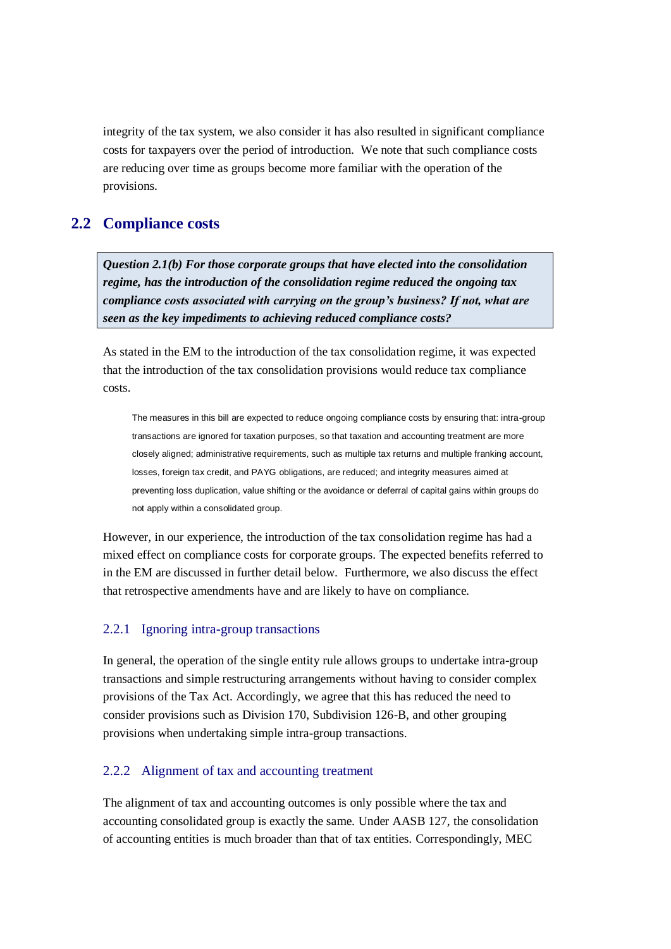integrity of the tax system, we also consider it has also resulted in significant compliance costs for taxpayers over the period of introduction. We note that such compliance costs are reducing over time as groups become more familiar with the operation of the provisions.

# <span id="page-11-0"></span>**2.2 Compliance costs**

*Question 2.1(b) For those corporate groups that have elected into the consolidation regime, has the introduction of the consolidation regime reduced the ongoing tax compliance costs associated with carrying on the group's business? If not, what are seen as the key impediments to achieving reduced compliance costs?*

As stated in the EM to the introduction of the tax consolidation regime, it was expected that the introduction of the tax consolidation provisions would reduce tax compliance costs.

The measures in this bill are expected to reduce ongoing compliance costs by ensuring that: intra-group transactions are ignored for taxation purposes, so that taxation and accounting treatment are more closely aligned; administrative requirements, such as multiple tax returns and multiple franking account, losses, foreign tax credit, and PAYG obligations, are reduced; and integrity measures aimed at preventing loss duplication, value shifting or the avoidance or deferral of capital gains within groups do not apply within a consolidated group.

However, in our experience, the introduction of the tax consolidation regime has had a mixed effect on compliance costs for corporate groups. The expected benefits referred to in the EM are discussed in further detail below. Furthermore, we also discuss the effect that retrospective amendments have and are likely to have on compliance.

### 2.2.1 Ignoring intra-group transactions

In general, the operation of the single entity rule allows groups to undertake intra-group transactions and simple restructuring arrangements without having to consider complex provisions of the Tax Act. Accordingly, we agree that this has reduced the need to consider provisions such as Division 170, Subdivision 126-B, and other grouping provisions when undertaking simple intra-group transactions.

#### 2.2.2 Alignment of tax and accounting treatment

The alignment of tax and accounting outcomes is only possible where the tax and accounting consolidated group is exactly the same. Under AASB 127, the consolidation of accounting entities is much broader than that of tax entities. Correspondingly, MEC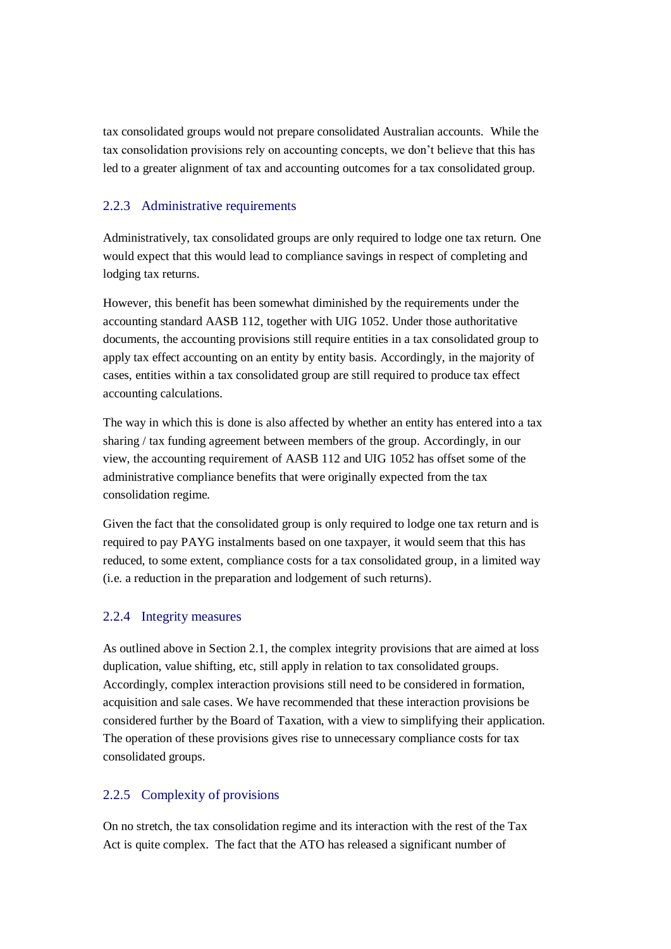tax consolidated groups would not prepare consolidated Australian accounts. While the tax consolidation provisions rely on accounting concepts, we don"t believe that this has led to a greater alignment of tax and accounting outcomes for a tax consolidated group.

### 2.2.3 Administrative requirements

Administratively, tax consolidated groups are only required to lodge one tax return. One would expect that this would lead to compliance savings in respect of completing and lodging tax returns.

However, this benefit has been somewhat diminished by the requirements under the accounting standard AASB 112, together with UIG 1052. Under those authoritative documents, the accounting provisions still require entities in a tax consolidated group to apply tax effect accounting on an entity by entity basis. Accordingly, in the majority of cases, entities within a tax consolidated group are still required to produce tax effect accounting calculations.

The way in which this is done is also affected by whether an entity has entered into a tax sharing / tax funding agreement between members of the group. Accordingly, in our view, the accounting requirement of AASB 112 and UIG 1052 has offset some of the administrative compliance benefits that were originally expected from the tax consolidation regime.

Given the fact that the consolidated group is only required to lodge one tax return and is required to pay PAYG instalments based on one taxpayer, it would seem that this has reduced, to some extent, compliance costs for a tax consolidated group, in a limited way (i.e. a reduction in the preparation and lodgement of such returns).

#### 2.2.4 Integrity measures

As outlined above in Section [2.1,](#page-7-1) the complex integrity provisions that are aimed at loss duplication, value shifting, etc, still apply in relation to tax consolidated groups. Accordingly, complex interaction provisions still need to be considered in formation, acquisition and sale cases. We have recommended that these interaction provisions be considered further by the Board of Taxation, with a view to simplifying their application. The operation of these provisions gives rise to unnecessary compliance costs for tax consolidated groups.

#### 2.2.5 Complexity of provisions

On no stretch, the tax consolidation regime and its interaction with the rest of the Tax Act is quite complex. The fact that the ATO has released a significant number of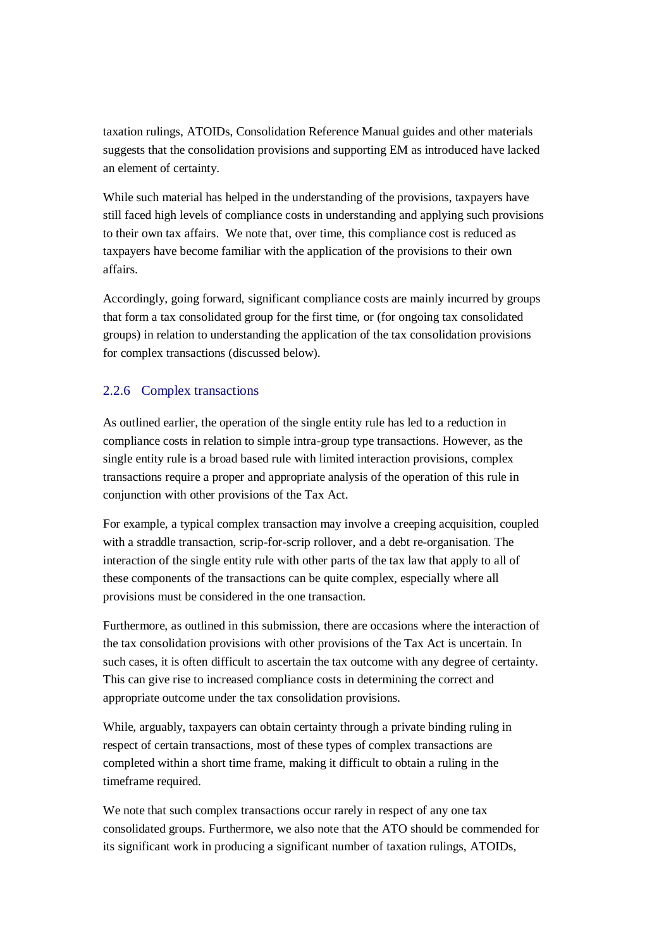taxation rulings, ATOIDs, Consolidation Reference Manual guides and other materials suggests that the consolidation provisions and supporting EM as introduced have lacked an element of certainty.

While such material has helped in the understanding of the provisions, taxpayers have still faced high levels of compliance costs in understanding and applying such provisions to their own tax affairs. We note that, over time, this compliance cost is reduced as taxpayers have become familiar with the application of the provisions to their own affairs.

Accordingly, going forward, significant compliance costs are mainly incurred by groups that form a tax consolidated group for the first time, or (for ongoing tax consolidated groups) in relation to understanding the application of the tax consolidation provisions for complex transactions (discussed below).

### 2.2.6 Complex transactions

As outlined earlier, the operation of the single entity rule has led to a reduction in compliance costs in relation to simple intra-group type transactions. However, as the single entity rule is a broad based rule with limited interaction provisions, complex transactions require a proper and appropriate analysis of the operation of this rule in conjunction with other provisions of the Tax Act.

For example, a typical complex transaction may involve a creeping acquisition, coupled with a straddle transaction, scrip-for-scrip rollover, and a debt re-organisation. The interaction of the single entity rule with other parts of the tax law that apply to all of these components of the transactions can be quite complex, especially where all provisions must be considered in the one transaction.

Furthermore, as outlined in this submission, there are occasions where the interaction of the tax consolidation provisions with other provisions of the Tax Act is uncertain. In such cases, it is often difficult to ascertain the tax outcome with any degree of certainty. This can give rise to increased compliance costs in determining the correct and appropriate outcome under the tax consolidation provisions.

While, arguably, taxpayers can obtain certainty through a private binding ruling in respect of certain transactions, most of these types of complex transactions are completed within a short time frame, making it difficult to obtain a ruling in the timeframe required.

We note that such complex transactions occur rarely in respect of any one tax consolidated groups. Furthermore, we also note that the ATO should be commended for its significant work in producing a significant number of taxation rulings, ATOIDs,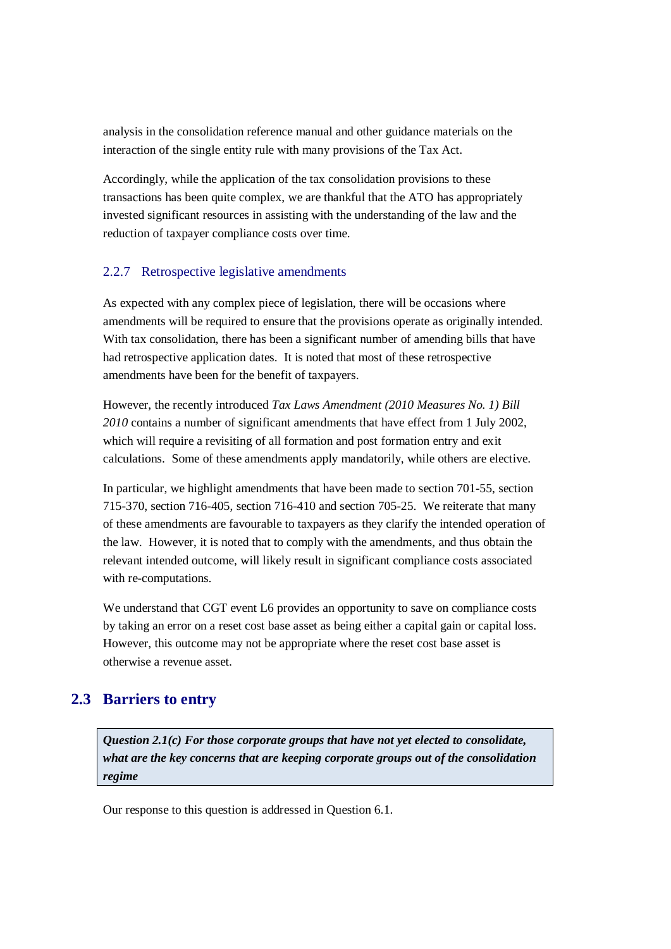analysis in the consolidation reference manual and other guidance materials on the interaction of the single entity rule with many provisions of the Tax Act.

Accordingly, while the application of the tax consolidation provisions to these transactions has been quite complex, we are thankful that the ATO has appropriately invested significant resources in assisting with the understanding of the law and the reduction of taxpayer compliance costs over time.

### 2.2.7 Retrospective legislative amendments

As expected with any complex piece of legislation, there will be occasions where amendments will be required to ensure that the provisions operate as originally intended. With tax consolidation, there has been a significant number of amending bills that have had retrospective application dates. It is noted that most of these retrospective amendments have been for the benefit of taxpayers.

However, the recently introduced *Tax Laws Amendment (2010 Measures No. 1) Bill 2010* contains a number of significant amendments that have effect from 1 July 2002, which will require a revisiting of all formation and post formation entry and exit calculations. Some of these amendments apply mandatorily, while others are elective.

In particular, we highlight amendments that have been made to section 701-55, section 715-370, section 716-405, section 716-410 and section 705-25. We reiterate that many of these amendments are favourable to taxpayers as they clarify the intended operation of the law. However, it is noted that to comply with the amendments, and thus obtain the relevant intended outcome, will likely result in significant compliance costs associated with re-computations.

We understand that CGT event L6 provides an opportunity to save on compliance costs by taking an error on a reset cost base asset as being either a capital gain or capital loss. However, this outcome may not be appropriate where the reset cost base asset is otherwise a revenue asset.

# <span id="page-14-0"></span>**2.3 Barriers to entry**

*Question 2.1(c) For those corporate groups that have not yet elected to consolidate, what are the key concerns that are keeping corporate groups out of the consolidation regime*

Our response to this question is addressed in Question 6.1.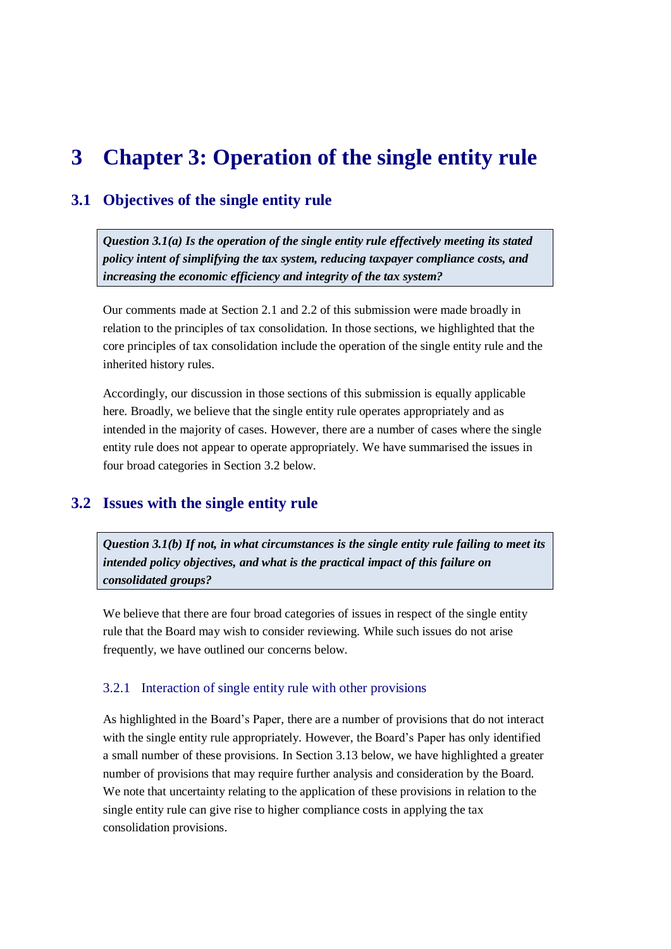# <span id="page-15-0"></span>**3 Chapter 3: Operation of the single entity rule**

# <span id="page-15-1"></span>**3.1 Objectives of the single entity rule**

*Question 3.1(a) Is the operation of the single entity rule effectively meeting its stated policy intent of simplifying the tax system, reducing taxpayer compliance costs, and increasing the economic efficiency and integrity of the tax system?*

Our comments made at Section [2.1](#page-7-1) and [2.2](#page-11-0) of this submission were made broadly in relation to the principles of tax consolidation. In those sections, we highlighted that the core principles of tax consolidation include the operation of the single entity rule and the inherited history rules.

Accordingly, our discussion in those sections of this submission is equally applicable here. Broadly, we believe that the single entity rule operates appropriately and as intended in the majority of cases. However, there are a number of cases where the single entity rule does not appear to operate appropriately. We have summarised the issues in four broad categories in Section [3.2](#page-15-2) below.

# <span id="page-15-2"></span>**3.2 Issues with the single entity rule**

*Question 3.1(b) If not, in what circumstances is the single entity rule failing to meet its intended policy objectives, and what is the practical impact of this failure on consolidated groups?*

We believe that there are four broad categories of issues in respect of the single entity rule that the Board may wish to consider reviewing. While such issues do not arise frequently, we have outlined our concerns below.

#### 3.2.1 Interaction of single entity rule with other provisions

As highlighted in the Board"s Paper, there are a number of provisions that do not interact with the single entity rule appropriately. However, the Board"s Paper has only identified a small number of these provisions. In Section [3.13](#page-35-0) below, we have highlighted a greater number of provisions that may require further analysis and consideration by the Board. We note that uncertainty relating to the application of these provisions in relation to the single entity rule can give rise to higher compliance costs in applying the tax consolidation provisions.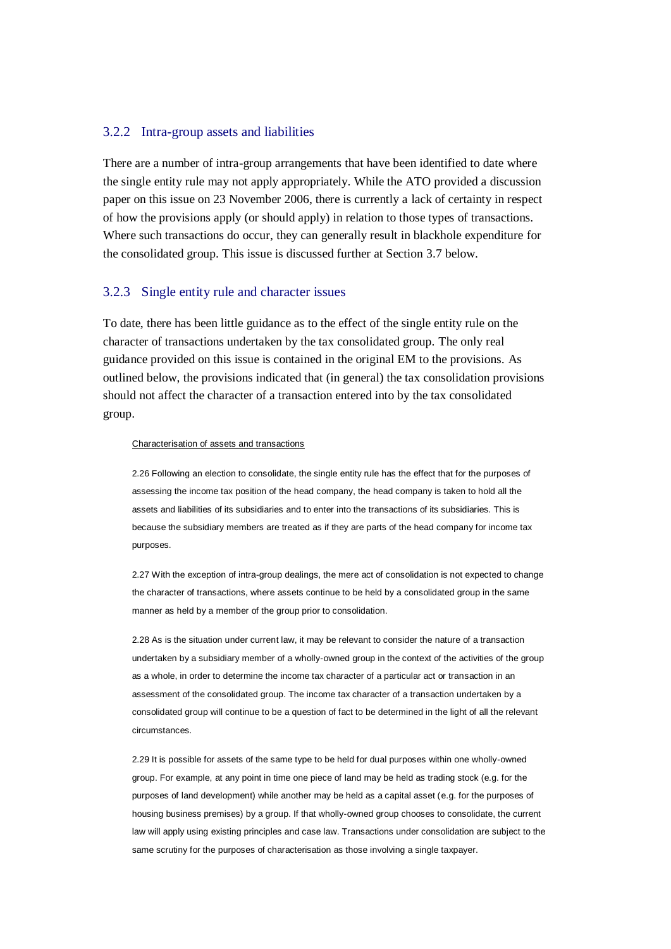#### 3.2.2 Intra-group assets and liabilities

There are a number of intra-group arrangements that have been identified to date where the single entity rule may not apply appropriately. While the ATO provided a discussion paper on this issue on 23 November 2006, there is currently a lack of certainty in respect of how the provisions apply (or should apply) in relation to those types of transactions. Where such transactions do occur, they can generally result in blackhole expenditure for the consolidated group. This issue is discussed further at Section [3.7](#page-25-1) below.

#### 3.2.3 Single entity rule and character issues

To date, there has been little guidance as to the effect of the single entity rule on the character of transactions undertaken by the tax consolidated group. The only real guidance provided on this issue is contained in the original EM to the provisions. As outlined below, the provisions indicated that (in general) the tax consolidation provisions should not affect the character of a transaction entered into by the tax consolidated group.

#### Characterisation of assets and transactions

2.26 Following an election to consolidate, the single entity rule has the effect that for the purposes of assessing the income tax position of the head company, the head company is taken to hold all the assets and liabilities of its subsidiaries and to enter into the transactions of its subsidiaries. This is because the subsidiary members are treated as if they are parts of the head company for income tax purposes.

2.27 With the exception of intra-group dealings, the mere act of consolidation is not expected to change the character of transactions, where assets continue to be held by a consolidated group in the same manner as held by a member of the group prior to consolidation.

2.28 As is the situation under current law, it may be relevant to consider the nature of a transaction undertaken by a subsidiary member of a wholly-owned group in the context of the activities of the group as a whole, in order to determine the income tax character of a particular act or transaction in an assessment of the consolidated group. The income tax character of a transaction undertaken by a consolidated group will continue to be a question of fact to be determined in the light of all the relevant circumstances.

2.29 It is possible for assets of the same type to be held for dual purposes within one wholly-owned group. For example, at any point in time one piece of land may be held as trading stock (e.g. for the purposes of land development) while another may be held as a capital asset (e.g. for the purposes of housing business premises) by a group. If that wholly-owned group chooses to consolidate, the current law will apply using existing principles and case law. Transactions under consolidation are subject to the same scrutiny for the purposes of characterisation as those involving a single taxpayer.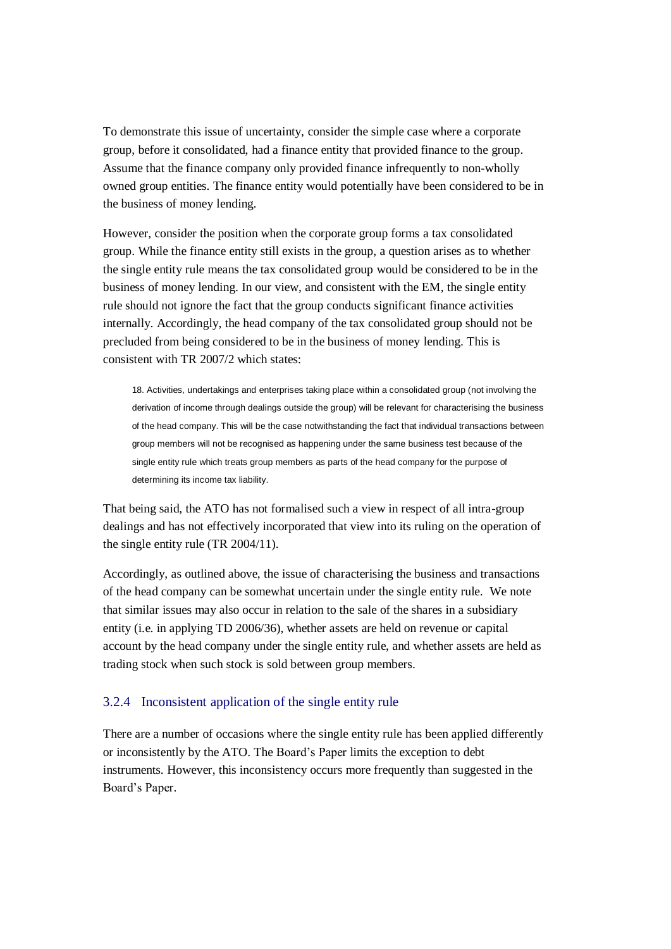To demonstrate this issue of uncertainty, consider the simple case where a corporate group, before it consolidated, had a finance entity that provided finance to the group. Assume that the finance company only provided finance infrequently to non-wholly owned group entities. The finance entity would potentially have been considered to be in the business of money lending.

However, consider the position when the corporate group forms a tax consolidated group. While the finance entity still exists in the group, a question arises as to whether the single entity rule means the tax consolidated group would be considered to be in the business of money lending. In our view, and consistent with the EM, the single entity rule should not ignore the fact that the group conducts significant finance activities internally. Accordingly, the head company of the tax consolidated group should not be precluded from being considered to be in the business of money lending. This is consistent with TR 2007/2 which states:

18. Activities, undertakings and enterprises taking place within a consolidated group (not involving the derivation of income through dealings outside the group) will be relevant for characterising the business of the head company. This will be the case notwithstanding the fact that individual transactions between group members will not be recognised as happening under the same business test because of the single entity rule which treats group members as parts of the head company for the purpose of determining its income tax liability.

That being said, the ATO has not formalised such a view in respect of all intra-group dealings and has not effectively incorporated that view into its ruling on the operation of the single entity rule (TR 2004/11).

Accordingly, as outlined above, the issue of characterising the business and transactions of the head company can be somewhat uncertain under the single entity rule. We note that similar issues may also occur in relation to the sale of the shares in a subsidiary entity (i.e. in applying TD 2006/36), whether assets are held on revenue or capital account by the head company under the single entity rule, and whether assets are held as trading stock when such stock is sold between group members.

### <span id="page-17-0"></span>3.2.4 Inconsistent application of the single entity rule

There are a number of occasions where the single entity rule has been applied differently or inconsistently by the ATO. The Board"s Paper limits the exception to debt instruments. However, this inconsistency occurs more frequently than suggested in the Board"s Paper.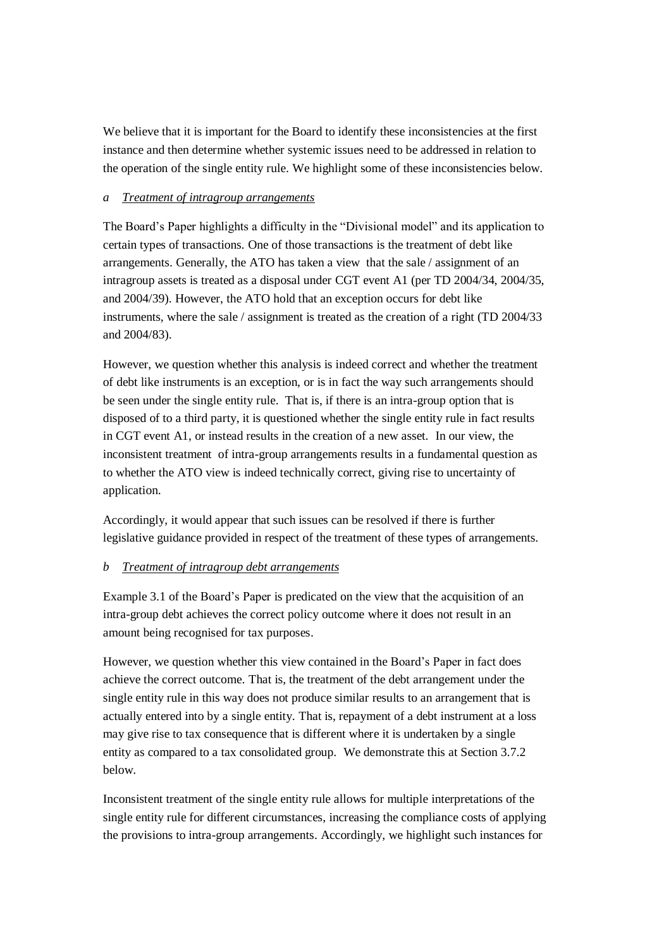We believe that it is important for the Board to identify these inconsistencies at the first instance and then determine whether systemic issues need to be addressed in relation to the operation of the single entity rule. We highlight some of these inconsistencies below.

#### *a Treatment of intragroup arrangements*

The Board"s Paper highlights a difficulty in the "Divisional model" and its application to certain types of transactions. One of those transactions is the treatment of debt like arrangements. Generally, the ATO has taken a view that the sale / assignment of an intragroup assets is treated as a disposal under CGT event A1 (per TD 2004/34, 2004/35, and 2004/39). However, the ATO hold that an exception occurs for debt like instruments, where the sale / assignment is treated as the creation of a right (TD 2004/33 and 2004/83).

However, we question whether this analysis is indeed correct and whether the treatment of debt like instruments is an exception, or is in fact the way such arrangements should be seen under the single entity rule. That is, if there is an intra-group option that is disposed of to a third party, it is questioned whether the single entity rule in fact results in CGT event A1, or instead results in the creation of a new asset. In our view, the inconsistent treatment of intra-group arrangements results in a fundamental question as to whether the ATO view is indeed technically correct, giving rise to uncertainty of application.

Accordingly, it would appear that such issues can be resolved if there is further legislative guidance provided in respect of the treatment of these types of arrangements.

### *b Treatment of intragroup debt arrangements*

Example 3.1 of the Board"s Paper is predicated on the view that the acquisition of an intra-group debt achieves the correct policy outcome where it does not result in an amount being recognised for tax purposes.

However, we question whether this view contained in the Board"s Paper in fact does achieve the correct outcome. That is, the treatment of the debt arrangement under the single entity rule in this way does not produce similar results to an arrangement that is actually entered into by a single entity. That is, repayment of a debt instrument at a loss may give rise to tax consequence that is different where it is undertaken by a single entity as compared to a tax consolidated group. We demonstrate this at Section [3.7.2](#page-27-0) below.

Inconsistent treatment of the single entity rule allows for multiple interpretations of the single entity rule for different circumstances, increasing the compliance costs of applying the provisions to intra-group arrangements. Accordingly, we highlight such instances for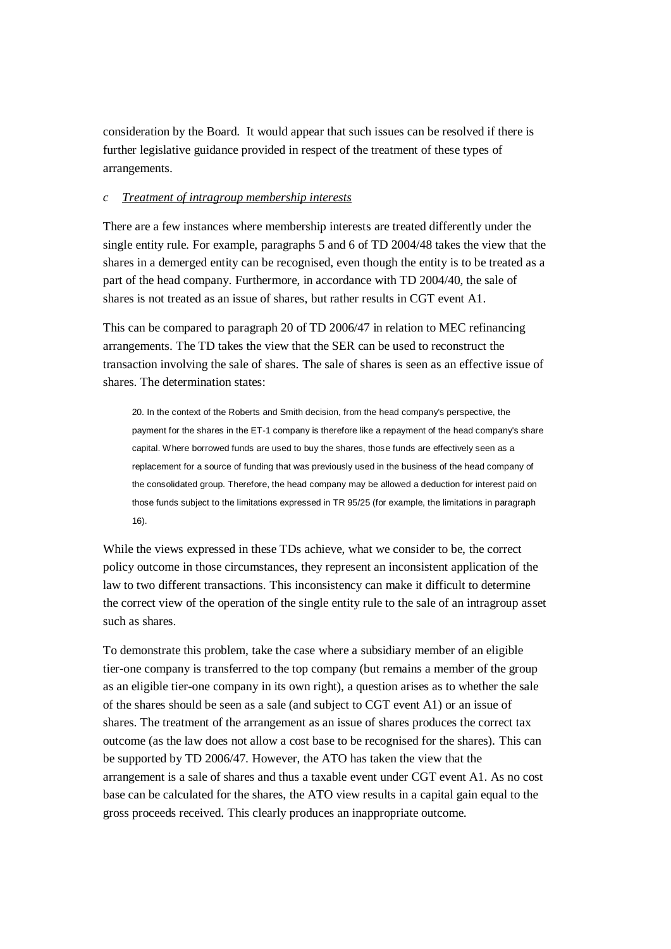consideration by the Board. It would appear that such issues can be resolved if there is further legislative guidance provided in respect of the treatment of these types of arrangements.

#### *c Treatment of intragroup membership interests*

There are a few instances where membership interests are treated differently under the single entity rule. For example, paragraphs 5 and 6 of TD 2004/48 takes the view that the shares in a demerged entity can be recognised, even though the entity is to be treated as a part of the head company. Furthermore, in accordance with TD 2004/40, the sale of shares is not treated as an issue of shares, but rather results in CGT event A1.

This can be compared to paragraph 20 of TD 2006/47 in relation to MEC refinancing arrangements. The TD takes the view that the SER can be used to reconstruct the transaction involving the sale of shares. The sale of shares is seen as an effective issue of shares. The determination states:

20. In the context of the Roberts and Smith decision, from the head company's perspective, the payment for the shares in the ET-1 company is therefore like a repayment of the head company's share capital. Where borrowed funds are used to buy the shares, those funds are effectively seen as a replacement for a source of funding that was previously used in the business of the head company of the consolidated group. Therefore, the head company may be allowed a deduction for interest paid on those funds subject to the limitations expressed in TR 95/25 (for example, the limitations in paragraph 16).

While the views expressed in these TDs achieve, what we consider to be, the correct policy outcome in those circumstances, they represent an inconsistent application of the law to two different transactions. This inconsistency can make it difficult to determine the correct view of the operation of the single entity rule to the sale of an intragroup asset such as shares.

To demonstrate this problem, take the case where a subsidiary member of an eligible tier-one company is transferred to the top company (but remains a member of the group as an eligible tier-one company in its own right), a question arises as to whether the sale of the shares should be seen as a sale (and subject to CGT event A1) or an issue of shares. The treatment of the arrangement as an issue of shares produces the correct tax outcome (as the law does not allow a cost base to be recognised for the shares). This can be supported by TD 2006/47. However, the ATO has taken the view that the arrangement is a sale of shares and thus a taxable event under CGT event A1. As no cost base can be calculated for the shares, the ATO view results in a capital gain equal to the gross proceeds received. This clearly produces an inappropriate outcome.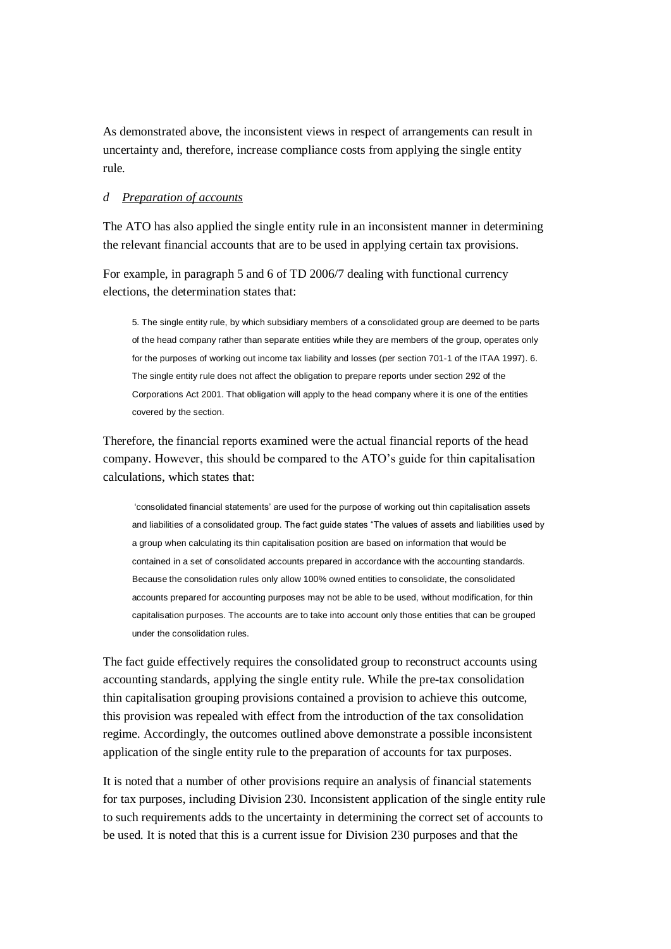As demonstrated above, the inconsistent views in respect of arrangements can result in uncertainty and, therefore, increase compliance costs from applying the single entity rule.

#### *d Preparation of accounts*

The ATO has also applied the single entity rule in an inconsistent manner in determining the relevant financial accounts that are to be used in applying certain tax provisions.

For example, in paragraph 5 and 6 of TD 2006/7 dealing with functional currency elections, the determination states that:

5. The single entity rule, by which subsidiary members of a consolidated group are deemed to be parts of the head company rather than separate entities while they are members of the group, operates only for the purposes of working out income tax liability and losses (per section 701-1 of the ITAA 1997). 6. The single entity rule does not affect the obligation to prepare reports under section 292 of the Corporations Act 2001. That obligation will apply to the head company where it is one of the entities covered by the section.

Therefore, the financial reports examined were the actual financial reports of the head company. However, this should be compared to the ATO"s guide for thin capitalisation calculations, which states that:

"consolidated financial statements" are used for the purpose of working out thin capitalisation assets and liabilities of a consolidated group. The fact guide states "The values of assets and liabilities used by a group when calculating its thin capitalisation position are based on information that would be contained in a set of consolidated accounts prepared in accordance with the accounting standards. Because the consolidation rules only allow 100% owned entities to consolidate, the consolidated accounts prepared for accounting purposes may not be able to be used, without modification, for thin capitalisation purposes. The accounts are to take into account only those entities that can be grouped under the consolidation rules.

The fact guide effectively requires the consolidated group to reconstruct accounts using accounting standards, applying the single entity rule. While the pre-tax consolidation thin capitalisation grouping provisions contained a provision to achieve this outcome, this provision was repealed with effect from the introduction of the tax consolidation regime. Accordingly, the outcomes outlined above demonstrate a possible inconsistent application of the single entity rule to the preparation of accounts for tax purposes.

It is noted that a number of other provisions require an analysis of financial statements for tax purposes, including Division 230. Inconsistent application of the single entity rule to such requirements adds to the uncertainty in determining the correct set of accounts to be used. It is noted that this is a current issue for Division 230 purposes and that the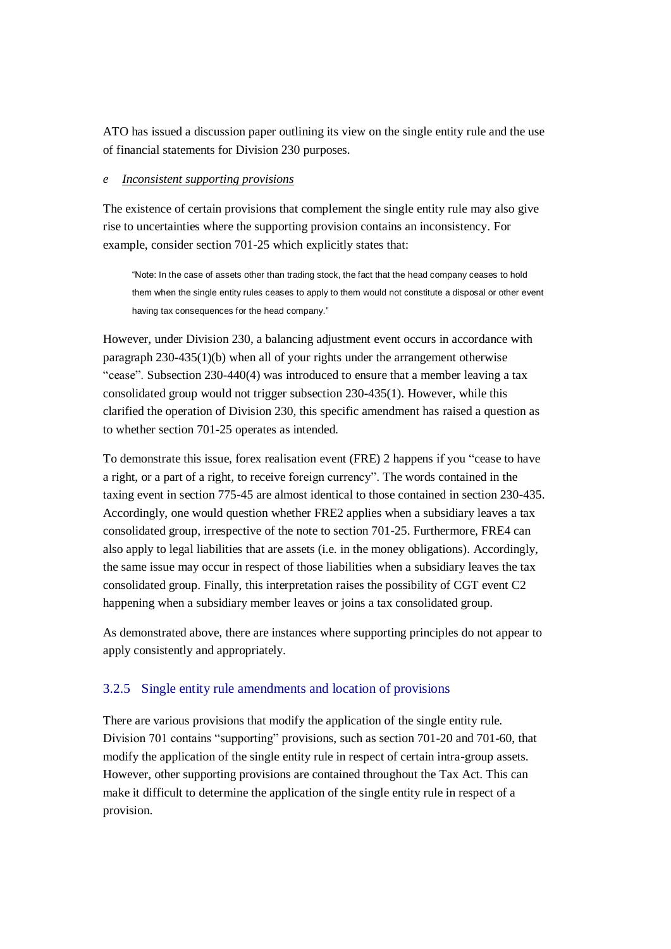ATO has issued a discussion paper outlining its view on the single entity rule and the use of financial statements for Division 230 purposes.

#### *e Inconsistent supporting provisions*

The existence of certain provisions that complement the single entity rule may also give rise to uncertainties where the supporting provision contains an inconsistency. For example, consider section 701-25 which explicitly states that:

"Note: In the case of assets other than trading stock, the fact that the head company ceases to hold them when the single entity rules ceases to apply to them would not constitute a disposal or other event having tax consequences for the head company."

However, under Division 230, a balancing adjustment event occurs in accordance with paragraph 230-435(1)(b) when all of your rights under the arrangement otherwise "cease". Subsection 230-440(4) was introduced to ensure that a member leaving a tax consolidated group would not trigger subsection 230-435(1). However, while this clarified the operation of Division 230, this specific amendment has raised a question as to whether section 701-25 operates as intended.

To demonstrate this issue, forex realisation event (FRE) 2 happens if you "cease to have a right, or a part of a right, to receive foreign currency". The words contained in the taxing event in section 775-45 are almost identical to those contained in section 230-435. Accordingly, one would question whether FRE2 applies when a subsidiary leaves a tax consolidated group, irrespective of the note to section 701-25. Furthermore, FRE4 can also apply to legal liabilities that are assets (i.e. in the money obligations). Accordingly, the same issue may occur in respect of those liabilities when a subsidiary leaves the tax consolidated group. Finally, this interpretation raises the possibility of CGT event C2 happening when a subsidiary member leaves or joins a tax consolidated group.

As demonstrated above, there are instances where supporting principles do not appear to apply consistently and appropriately.

# 3.2.5 Single entity rule amendments and location of provisions

There are various provisions that modify the application of the single entity rule. Division 701 contains "supporting" provisions, such as section 701-20 and 701-60, that modify the application of the single entity rule in respect of certain intra-group assets. However, other supporting provisions are contained throughout the Tax Act. This can make it difficult to determine the application of the single entity rule in respect of a provision.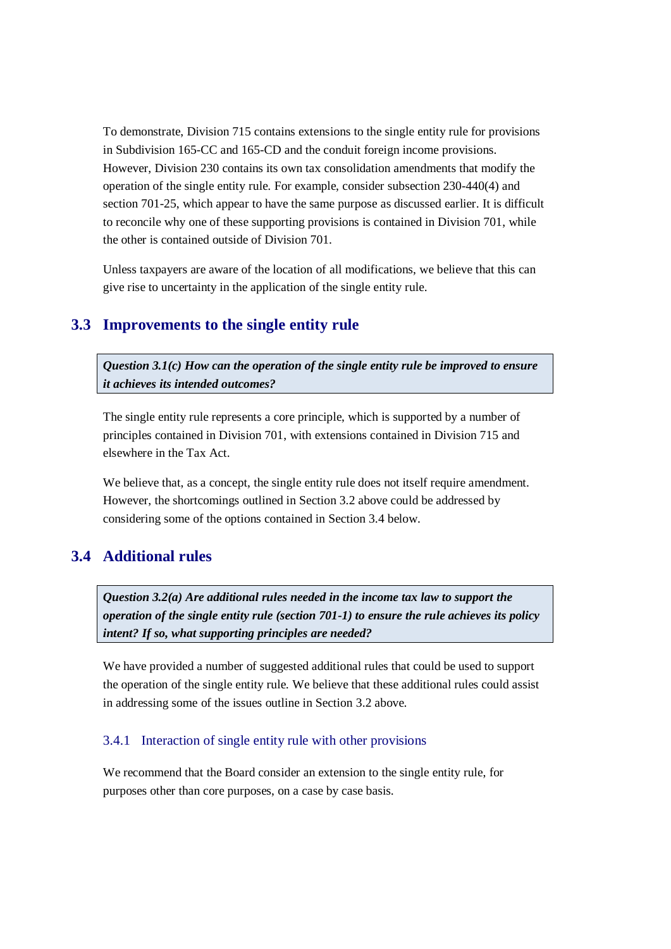To demonstrate, Division 715 contains extensions to the single entity rule for provisions in Subdivision 165-CC and 165-CD and the conduit foreign income provisions. However, Division 230 contains its own tax consolidation amendments that modify the operation of the single entity rule. For example, consider subsection 230-440(4) and section 701-25, which appear to have the same purpose as discussed earlier. It is difficult to reconcile why one of these supporting provisions is contained in Division 701, while the other is contained outside of Division 701.

Unless taxpayers are aware of the location of all modifications, we believe that this can give rise to uncertainty in the application of the single entity rule.

# <span id="page-22-0"></span>**3.3 Improvements to the single entity rule**

*Question 3.1(c) How can the operation of the single entity rule be improved to ensure it achieves its intended outcomes?*

The single entity rule represents a core principle, which is supported by a number of principles contained in Division 701, with extensions contained in Division 715 and elsewhere in the Tax Act.

We believe that, as a concept, the single entity rule does not itself require amendment. However, the shortcomings outlined in Section [3.2](#page-15-2) above could be addressed by considering some of the options contained in Section [3.4](#page-22-1) below.

# <span id="page-22-1"></span>**3.4 Additional rules**

*Question 3.2(a) Are additional rules needed in the income tax law to support the operation of the single entity rule (section 701-1) to ensure the rule achieves its policy intent? If so, what supporting principles are needed?*

We have provided a number of suggested additional rules that could be used to support the operation of the single entity rule. We believe that these additional rules could assist in addressing some of the issues outline in Section [3.2](#page-15-2) above.

#### 3.4.1 Interaction of single entity rule with other provisions

We recommend that the Board consider an extension to the single entity rule, for purposes other than core purposes, on a case by case basis.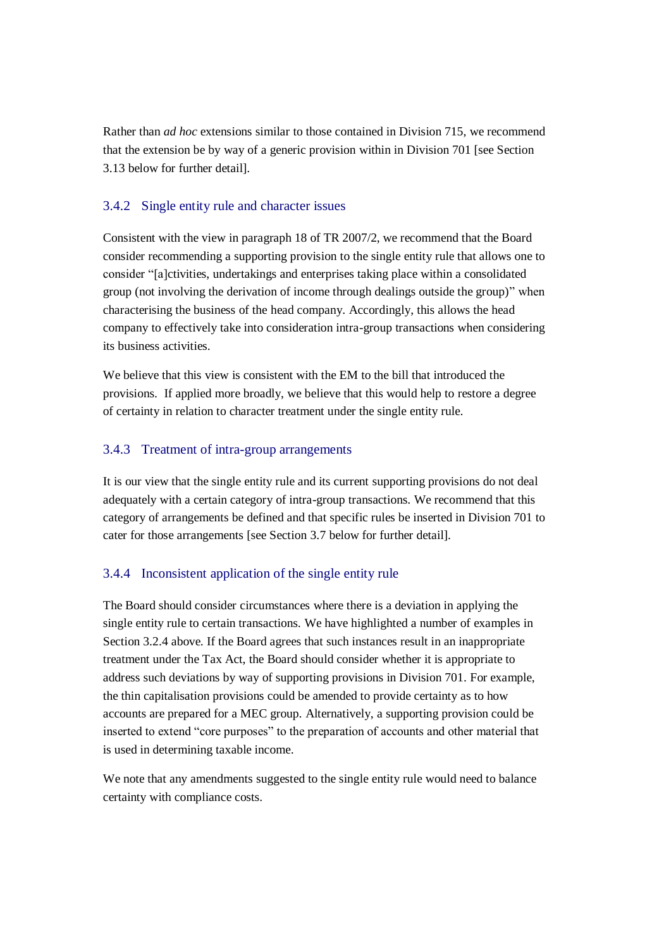Rather than *ad hoc* extensions similar to those contained in Division 715, we recommend that the extension be by way of a generic provision within in Division 701 [see Section [3.13](#page-35-0) below for further detail].

#### 3.4.2 Single entity rule and character issues

Consistent with the view in paragraph 18 of TR 2007/2, we recommend that the Board consider recommending a supporting provision to the single entity rule that allows one to consider "[a]ctivities, undertakings and enterprises taking place within a consolidated group (not involving the derivation of income through dealings outside the group)" when characterising the business of the head company. Accordingly, this allows the head company to effectively take into consideration intra-group transactions when considering its business activities.

We believe that this view is consistent with the EM to the bill that introduced the provisions. If applied more broadly, we believe that this would help to restore a degree of certainty in relation to character treatment under the single entity rule.

#### 3.4.3 Treatment of intra-group arrangements

It is our view that the single entity rule and its current supporting provisions do not deal adequately with a certain category of intra-group transactions. We recommend that this category of arrangements be defined and that specific rules be inserted in Division 701 to cater for those arrangements [see Section [3.7](#page-25-1) below for further detail].

### 3.4.4 Inconsistent application of the single entity rule

The Board should consider circumstances where there is a deviation in applying the single entity rule to certain transactions. We have highlighted a number of examples in Section [3.2.4](#page-17-0) above. If the Board agrees that such instances result in an inappropriate treatment under the Tax Act, the Board should consider whether it is appropriate to address such deviations by way of supporting provisions in Division 701. For example, the thin capitalisation provisions could be amended to provide certainty as to how accounts are prepared for a MEC group. Alternatively, a supporting provision could be inserted to extend "core purposes" to the preparation of accounts and other material that is used in determining taxable income.

We note that any amendments suggested to the single entity rule would need to balance certainty with compliance costs.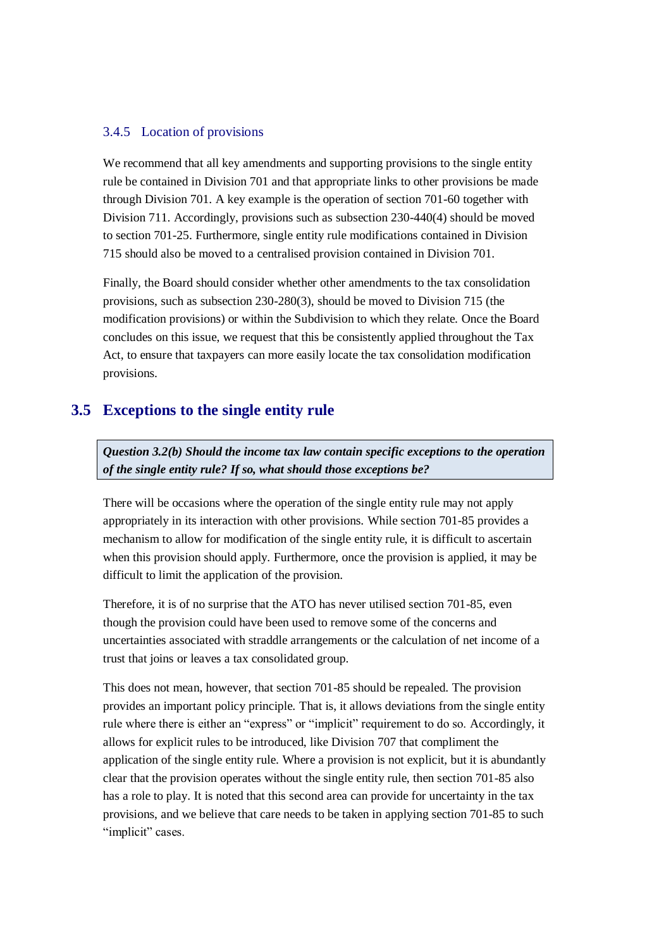#### 3.4.5 Location of provisions

We recommend that all key amendments and supporting provisions to the single entity rule be contained in Division 701 and that appropriate links to other provisions be made through Division 701. A key example is the operation of section 701-60 together with Division 711. Accordingly, provisions such as subsection 230-440(4) should be moved to section 701-25. Furthermore, single entity rule modifications contained in Division 715 should also be moved to a centralised provision contained in Division 701.

Finally, the Board should consider whether other amendments to the tax consolidation provisions, such as subsection 230-280(3), should be moved to Division 715 (the modification provisions) or within the Subdivision to which they relate. Once the Board concludes on this issue, we request that this be consistently applied throughout the Tax Act, to ensure that taxpayers can more easily locate the tax consolidation modification provisions.

# <span id="page-24-0"></span>**3.5 Exceptions to the single entity rule**

*Question 3.2(b) Should the income tax law contain specific exceptions to the operation of the single entity rule? If so, what should those exceptions be?*

There will be occasions where the operation of the single entity rule may not apply appropriately in its interaction with other provisions. While section 701-85 provides a mechanism to allow for modification of the single entity rule, it is difficult to ascertain when this provision should apply. Furthermore, once the provision is applied, it may be difficult to limit the application of the provision.

Therefore, it is of no surprise that the ATO has never utilised section 701-85, even though the provision could have been used to remove some of the concerns and uncertainties associated with straddle arrangements or the calculation of net income of a trust that joins or leaves a tax consolidated group.

This does not mean, however, that section 701-85 should be repealed. The provision provides an important policy principle. That is, it allows deviations from the single entity rule where there is either an "express" or "implicit" requirement to do so. Accordingly, it allows for explicit rules to be introduced, like Division 707 that compliment the application of the single entity rule. Where a provision is not explicit, but it is abundantly clear that the provision operates without the single entity rule, then section 701-85 also has a role to play. It is noted that this second area can provide for uncertainty in the tax provisions, and we believe that care needs to be taken in applying section 701-85 to such "implicit" cases.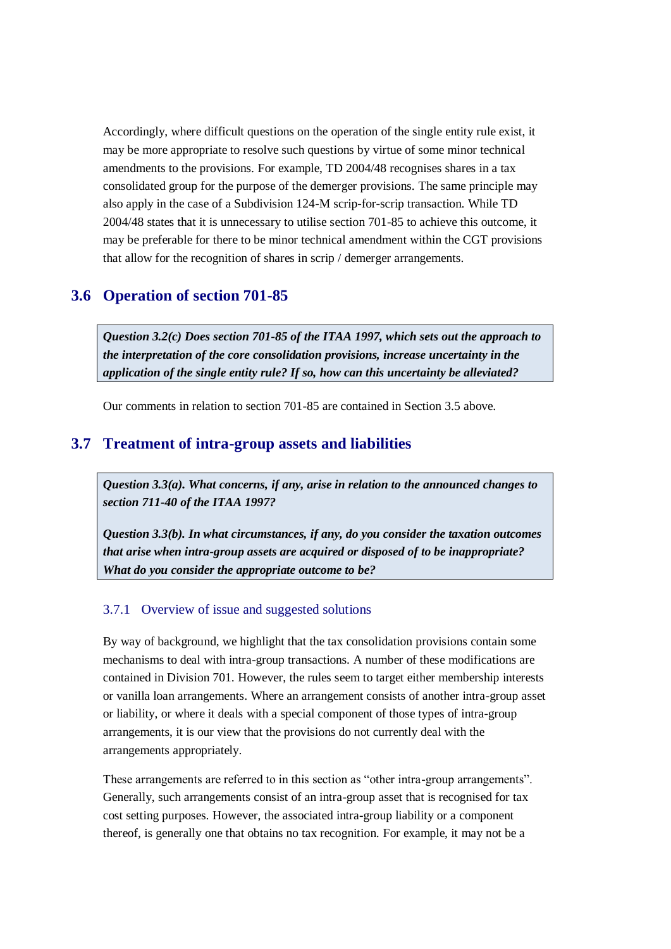Accordingly, where difficult questions on the operation of the single entity rule exist, it may be more appropriate to resolve such questions by virtue of some minor technical amendments to the provisions. For example, TD 2004/48 recognises shares in a tax consolidated group for the purpose of the demerger provisions. The same principle may also apply in the case of a Subdivision 124-M scrip-for-scrip transaction. While TD 2004/48 states that it is unnecessary to utilise section 701-85 to achieve this outcome, it may be preferable for there to be minor technical amendment within the CGT provisions that allow for the recognition of shares in scrip / demerger arrangements.

# <span id="page-25-0"></span>**3.6 Operation of section 701-85**

*Question 3.2(c) Does section 701-85 of the ITAA 1997, which sets out the approach to the interpretation of the core consolidation provisions, increase uncertainty in the application of the single entity rule? If so, how can this uncertainty be alleviated?*

Our comments in relation to section 701-85 are contained in Section [3.5](#page-24-0) above.

# <span id="page-25-1"></span>**3.7 Treatment of intra-group assets and liabilities**

*Question 3.3(a). What concerns, if any, arise in relation to the announced changes to section 711-40 of the ITAA 1997?*

*Question 3.3(b). In what circumstances, if any, do you consider the taxation outcomes that arise when intra-group assets are acquired or disposed of to be inappropriate? What do you consider the appropriate outcome to be?*

#### 3.7.1 Overview of issue and suggested solutions

By way of background, we highlight that the tax consolidation provisions contain some mechanisms to deal with intra-group transactions. A number of these modifications are contained in Division 701. However, the rules seem to target either membership interests or vanilla loan arrangements. Where an arrangement consists of another intra-group asset or liability, or where it deals with a special component of those types of intra-group arrangements, it is our view that the provisions do not currently deal with the arrangements appropriately.

These arrangements are referred to in this section as "other intra-group arrangements". Generally, such arrangements consist of an intra-group asset that is recognised for tax cost setting purposes. However, the associated intra-group liability or a component thereof, is generally one that obtains no tax recognition. For example, it may not be a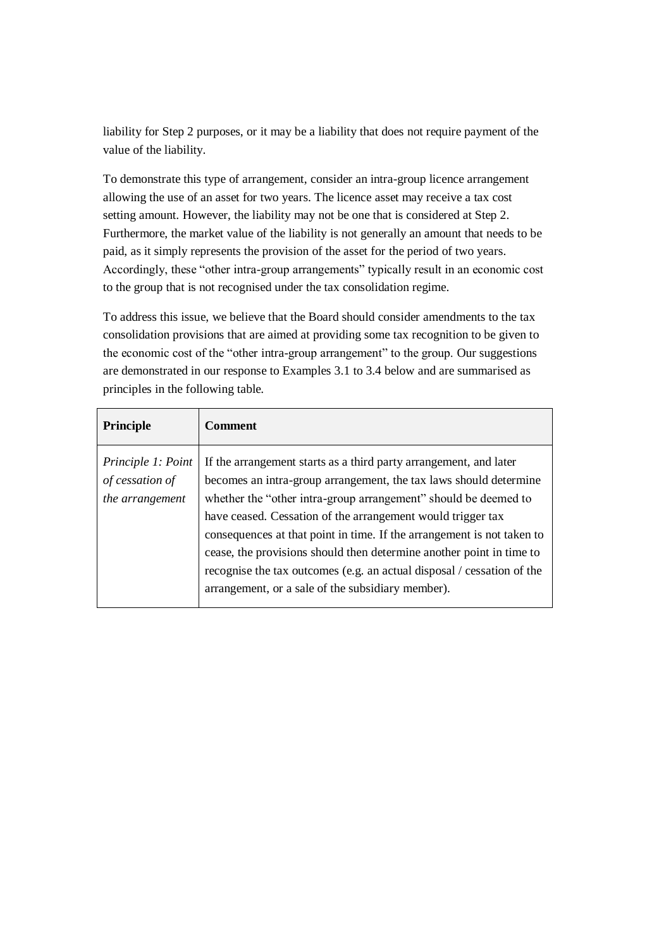liability for Step 2 purposes, or it may be a liability that does not require payment of the value of the liability.

To demonstrate this type of arrangement, consider an intra-group licence arrangement allowing the use of an asset for two years. The licence asset may receive a tax cost setting amount. However, the liability may not be one that is considered at Step 2. Furthermore, the market value of the liability is not generally an amount that needs to be paid, as it simply represents the provision of the asset for the period of two years. Accordingly, these "other intra-group arrangements" typically result in an economic cost to the group that is not recognised under the tax consolidation regime.

To address this issue, we believe that the Board should consider amendments to the tax consolidation provisions that are aimed at providing some tax recognition to be given to the economic cost of the "other intra-group arrangement" to the group. Our suggestions are demonstrated in our response to Examples 3.1 to 3.4 below and are summarised as principles in the following table.

| <b>Principle</b>                                         | <b>Comment</b>                                                                                                                                                                                                                                                                                                                                                                                                                                                                                                                                            |
|----------------------------------------------------------|-----------------------------------------------------------------------------------------------------------------------------------------------------------------------------------------------------------------------------------------------------------------------------------------------------------------------------------------------------------------------------------------------------------------------------------------------------------------------------------------------------------------------------------------------------------|
| Principle 1: Point<br>of cessation of<br>the arrangement | If the arrangement starts as a third party arrangement, and later<br>becomes an intra-group arrangement, the tax laws should determine<br>whether the "other intra-group arrangement" should be deemed to<br>have ceased. Cessation of the arrangement would trigger tax<br>consequences at that point in time. If the arrangement is not taken to<br>cease, the provisions should then determine another point in time to<br>recognise the tax outcomes (e.g. an actual disposal / cessation of the<br>arrangement, or a sale of the subsidiary member). |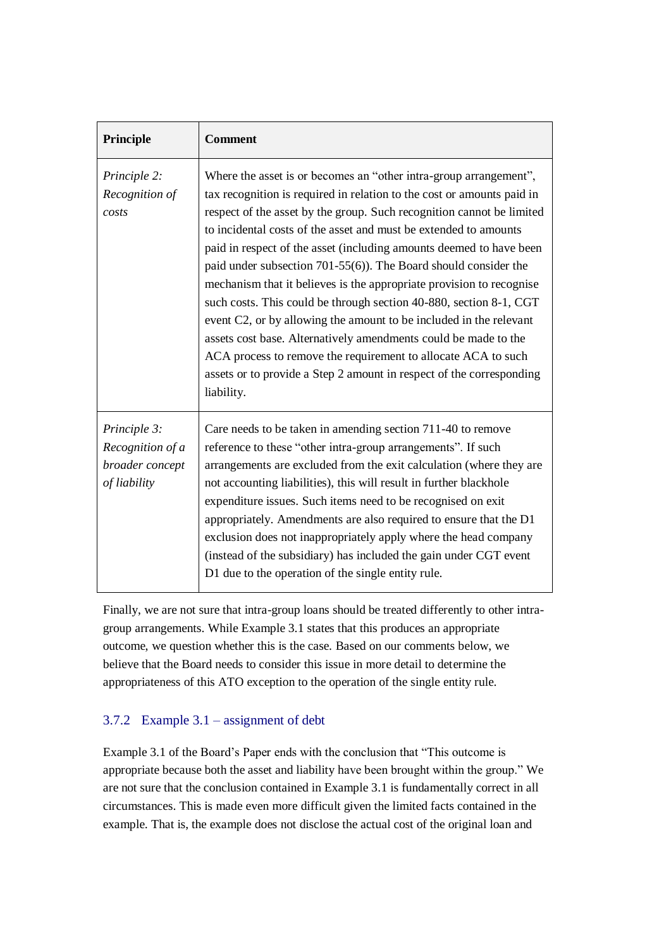| Principle                                                           | <b>Comment</b>                                                                                                                                                                                                                                                                                                                                                                                                                                                                                                                                                                                                                                                                                                                                                                                                                                                                   |
|---------------------------------------------------------------------|----------------------------------------------------------------------------------------------------------------------------------------------------------------------------------------------------------------------------------------------------------------------------------------------------------------------------------------------------------------------------------------------------------------------------------------------------------------------------------------------------------------------------------------------------------------------------------------------------------------------------------------------------------------------------------------------------------------------------------------------------------------------------------------------------------------------------------------------------------------------------------|
| Principle 2:<br>Recognition of<br>costs                             | Where the asset is or becomes an "other intra-group arrangement",<br>tax recognition is required in relation to the cost or amounts paid in<br>respect of the asset by the group. Such recognition cannot be limited<br>to incidental costs of the asset and must be extended to amounts<br>paid in respect of the asset (including amounts deemed to have been<br>paid under subsection 701-55(6)). The Board should consider the<br>mechanism that it believes is the appropriate provision to recognise<br>such costs. This could be through section 40-880, section 8-1, CGT<br>event C2, or by allowing the amount to be included in the relevant<br>assets cost base. Alternatively amendments could be made to the<br>ACA process to remove the requirement to allocate ACA to such<br>assets or to provide a Step 2 amount in respect of the corresponding<br>liability. |
| Principle 3:<br>Recognition of a<br>broader concept<br>of liability | Care needs to be taken in amending section 711-40 to remove<br>reference to these "other intra-group arrangements". If such<br>arrangements are excluded from the exit calculation (where they are<br>not accounting liabilities), this will result in further blackhole<br>expenditure issues. Such items need to be recognised on exit<br>appropriately. Amendments are also required to ensure that the D1<br>exclusion does not inappropriately apply where the head company<br>(instead of the subsidiary) has included the gain under CGT event<br>D1 due to the operation of the single entity rule.                                                                                                                                                                                                                                                                      |

Finally, we are not sure that intra-group loans should be treated differently to other intragroup arrangements. While Example 3.1 states that this produces an appropriate outcome, we question whether this is the case. Based on our comments below, we believe that the Board needs to consider this issue in more detail to determine the appropriateness of this ATO exception to the operation of the single entity rule.

# <span id="page-27-0"></span>3.7.2 Example 3.1 – assignment of debt

Example 3.1 of the Board"s Paper ends with the conclusion that "This outcome is appropriate because both the asset and liability have been brought within the group." We are not sure that the conclusion contained in Example 3.1 is fundamentally correct in all circumstances. This is made even more difficult given the limited facts contained in the example. That is, the example does not disclose the actual cost of the original loan and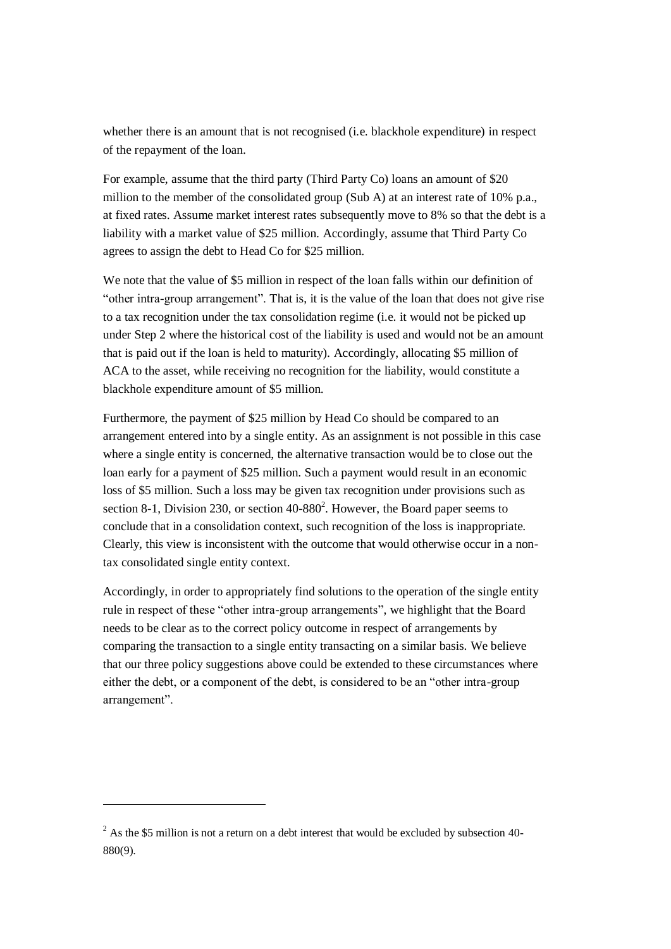whether there is an amount that is not recognised (i.e. blackhole expenditure) in respect of the repayment of the loan.

For example, assume that the third party (Third Party Co) loans an amount of \$20 million to the member of the consolidated group (Sub A) at an interest rate of 10% p.a., at fixed rates. Assume market interest rates subsequently move to 8% so that the debt is a liability with a market value of \$25 million. Accordingly, assume that Third Party Co agrees to assign the debt to Head Co for \$25 million.

We note that the value of \$5 million in respect of the loan falls within our definition of "other intra-group arrangement". That is, it is the value of the loan that does not give rise to a tax recognition under the tax consolidation regime (i.e. it would not be picked up under Step 2 where the historical cost of the liability is used and would not be an amount that is paid out if the loan is held to maturity). Accordingly, allocating \$5 million of ACA to the asset, while receiving no recognition for the liability, would constitute a blackhole expenditure amount of \$5 million.

Furthermore, the payment of \$25 million by Head Co should be compared to an arrangement entered into by a single entity. As an assignment is not possible in this case where a single entity is concerned, the alternative transaction would be to close out the loan early for a payment of \$25 million. Such a payment would result in an economic loss of \$5 million. Such a loss may be given tax recognition under provisions such as section 8-1, Division 230, or section  $40-880^2$ . However, the Board paper seems to conclude that in a consolidation context, such recognition of the loss is inappropriate. Clearly, this view is inconsistent with the outcome that would otherwise occur in a nontax consolidated single entity context.

Accordingly, in order to appropriately find solutions to the operation of the single entity rule in respect of these "other intra-group arrangements", we highlight that the Board needs to be clear as to the correct policy outcome in respect of arrangements by comparing the transaction to a single entity transacting on a similar basis. We believe that our three policy suggestions above could be extended to these circumstances where either the debt, or a component of the debt, is considered to be an "other intra-group arrangement".

-

 $^{2}$  As the \$5 million is not a return on a debt interest that would be excluded by subsection 40-880(9).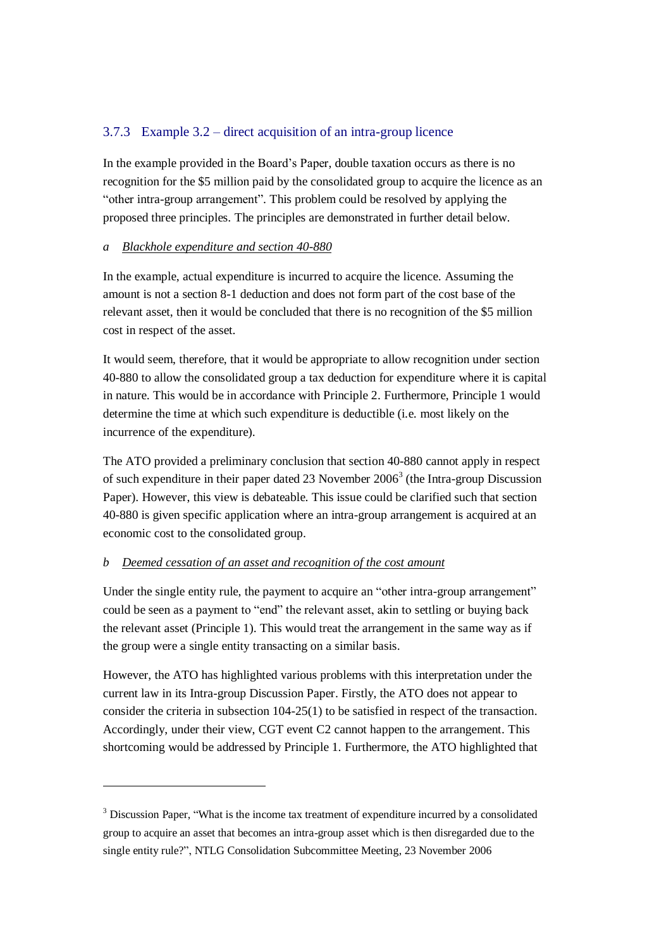# 3.7.3 Example 3.2 – direct acquisition of an intra-group licence

In the example provided in the Board"s Paper, double taxation occurs as there is no recognition for the \$5 million paid by the consolidated group to acquire the licence as an "other intra-group arrangement". This problem could be resolved by applying the proposed three principles. The principles are demonstrated in further detail below.

#### *a Blackhole expenditure and section 40-880*

In the example, actual expenditure is incurred to acquire the licence. Assuming the amount is not a section 8-1 deduction and does not form part of the cost base of the relevant asset, then it would be concluded that there is no recognition of the \$5 million cost in respect of the asset.

It would seem, therefore, that it would be appropriate to allow recognition under section 40-880 to allow the consolidated group a tax deduction for expenditure where it is capital in nature. This would be in accordance with Principle 2. Furthermore, Principle 1 would determine the time at which such expenditure is deductible (i.e. most likely on the incurrence of the expenditure).

The ATO provided a preliminary conclusion that section 40-880 cannot apply in respect of such expenditure in their paper dated 23 November  $2006<sup>3</sup>$  (the Intra-group Discussion Paper). However, this view is debateable. This issue could be clarified such that section 40-880 is given specific application where an intra-group arrangement is acquired at an economic cost to the consolidated group.

### *b Deemed cessation of an asset and recognition of the cost amount*

-

Under the single entity rule, the payment to acquire an "other intra-group arrangement" could be seen as a payment to "end" the relevant asset, akin to settling or buying back the relevant asset (Principle 1). This would treat the arrangement in the same way as if the group were a single entity transacting on a similar basis.

However, the ATO has highlighted various problems with this interpretation under the current law in its Intra-group Discussion Paper. Firstly, the ATO does not appear to consider the criteria in subsection 104-25(1) to be satisfied in respect of the transaction. Accordingly, under their view, CGT event C2 cannot happen to the arrangement. This shortcoming would be addressed by Principle 1. Furthermore, the ATO highlighted that

<sup>&</sup>lt;sup>3</sup> Discussion Paper, "What is the income tax treatment of expenditure incurred by a consolidated group to acquire an asset that becomes an intra-group asset which is then disregarded due to the single entity rule?", NTLG Consolidation Subcommittee Meeting, 23 November 2006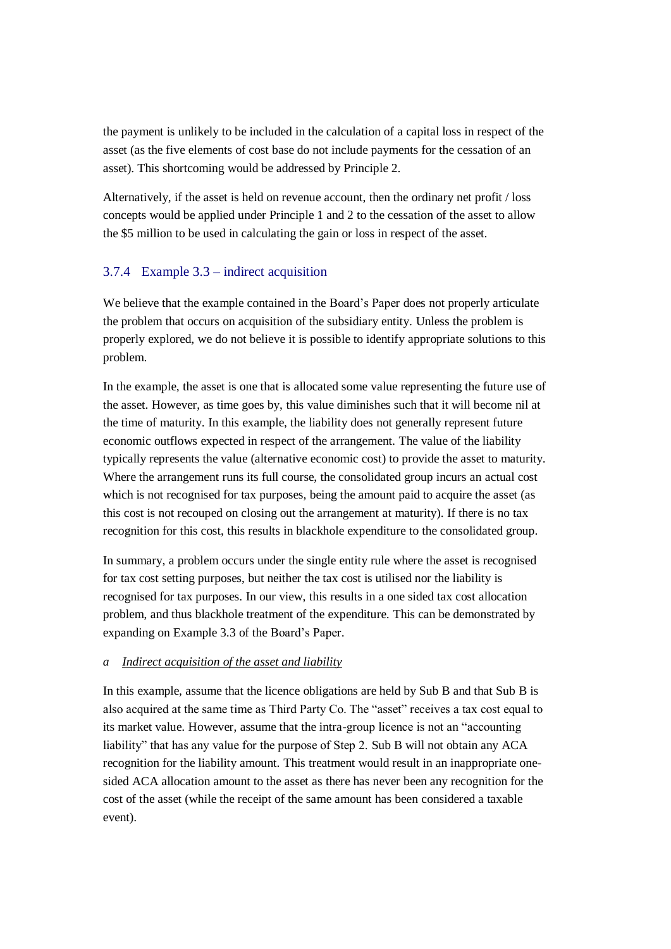the payment is unlikely to be included in the calculation of a capital loss in respect of the asset (as the five elements of cost base do not include payments for the cessation of an asset). This shortcoming would be addressed by Principle 2.

Alternatively, if the asset is held on revenue account, then the ordinary net profit / loss concepts would be applied under Principle 1 and 2 to the cessation of the asset to allow the \$5 million to be used in calculating the gain or loss in respect of the asset.

### 3.7.4 Example 3.3 – indirect acquisition

We believe that the example contained in the Board's Paper does not properly articulate the problem that occurs on acquisition of the subsidiary entity. Unless the problem is properly explored, we do not believe it is possible to identify appropriate solutions to this problem.

In the example, the asset is one that is allocated some value representing the future use of the asset. However, as time goes by, this value diminishes such that it will become nil at the time of maturity. In this example, the liability does not generally represent future economic outflows expected in respect of the arrangement. The value of the liability typically represents the value (alternative economic cost) to provide the asset to maturity. Where the arrangement runs its full course, the consolidated group incurs an actual cost which is not recognised for tax purposes, being the amount paid to acquire the asset (as this cost is not recouped on closing out the arrangement at maturity). If there is no tax recognition for this cost, this results in blackhole expenditure to the consolidated group.

In summary, a problem occurs under the single entity rule where the asset is recognised for tax cost setting purposes, but neither the tax cost is utilised nor the liability is recognised for tax purposes. In our view, this results in a one sided tax cost allocation problem, and thus blackhole treatment of the expenditure. This can be demonstrated by expanding on Example 3.3 of the Board"s Paper.

#### *a Indirect acquisition of the asset and liability*

In this example, assume that the licence obligations are held by Sub B and that Sub B is also acquired at the same time as Third Party Co. The "asset" receives a tax cost equal to its market value. However, assume that the intra-group licence is not an "accounting liability" that has any value for the purpose of Step 2. Sub B will not obtain any ACA recognition for the liability amount. This treatment would result in an inappropriate onesided ACA allocation amount to the asset as there has never been any recognition for the cost of the asset (while the receipt of the same amount has been considered a taxable event).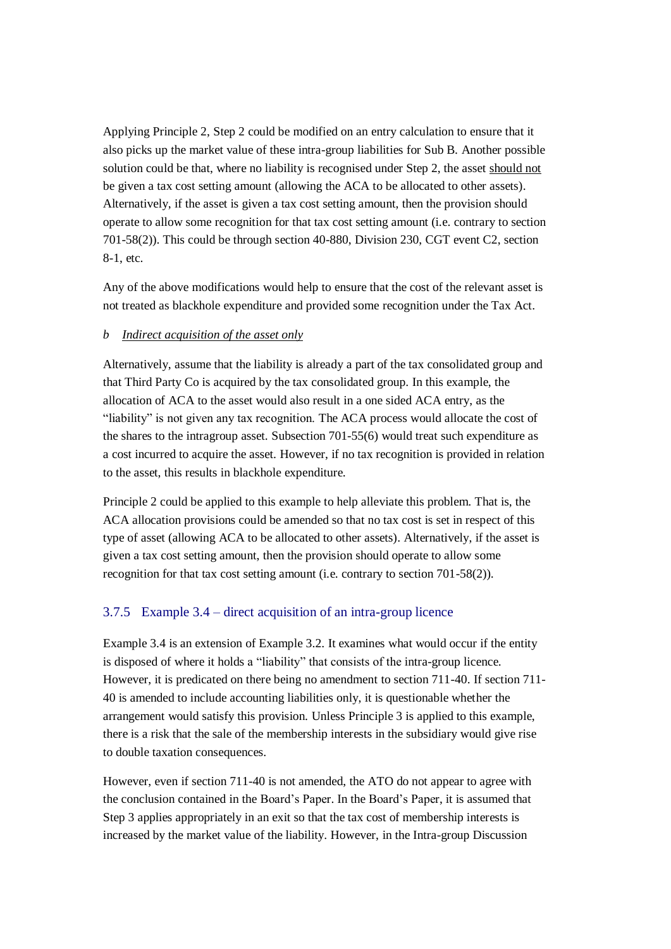Applying Principle 2, Step 2 could be modified on an entry calculation to ensure that it also picks up the market value of these intra-group liabilities for Sub B. Another possible solution could be that, where no liability is recognised under Step 2, the asset should not be given a tax cost setting amount (allowing the ACA to be allocated to other assets). Alternatively, if the asset is given a tax cost setting amount, then the provision should operate to allow some recognition for that tax cost setting amount (i.e. contrary to section 701-58(2)). This could be through section 40-880, Division 230, CGT event C2, section 8-1, etc.

Any of the above modifications would help to ensure that the cost of the relevant asset is not treated as blackhole expenditure and provided some recognition under the Tax Act.

#### *b Indirect acquisition of the asset only*

Alternatively, assume that the liability is already a part of the tax consolidated group and that Third Party Co is acquired by the tax consolidated group. In this example, the allocation of ACA to the asset would also result in a one sided ACA entry, as the "liability" is not given any tax recognition. The ACA process would allocate the cost of the shares to the intragroup asset. Subsection 701-55(6) would treat such expenditure as a cost incurred to acquire the asset. However, if no tax recognition is provided in relation to the asset, this results in blackhole expenditure.

Principle 2 could be applied to this example to help alleviate this problem. That is, the ACA allocation provisions could be amended so that no tax cost is set in respect of this type of asset (allowing ACA to be allocated to other assets). Alternatively, if the asset is given a tax cost setting amount, then the provision should operate to allow some recognition for that tax cost setting amount (i.e. contrary to section 701-58(2)).

#### 3.7.5 Example 3.4 – direct acquisition of an intra-group licence

Example 3.4 is an extension of Example 3.2. It examines what would occur if the entity is disposed of where it holds a "liability" that consists of the intra-group licence. However, it is predicated on there being no amendment to section 711-40. If section 711- 40 is amended to include accounting liabilities only, it is questionable whether the arrangement would satisfy this provision. Unless Principle 3 is applied to this example, there is a risk that the sale of the membership interests in the subsidiary would give rise to double taxation consequences.

However, even if section 711-40 is not amended, the ATO do not appear to agree with the conclusion contained in the Board"s Paper. In the Board"s Paper, it is assumed that Step 3 applies appropriately in an exit so that the tax cost of membership interests is increased by the market value of the liability. However, in the Intra-group Discussion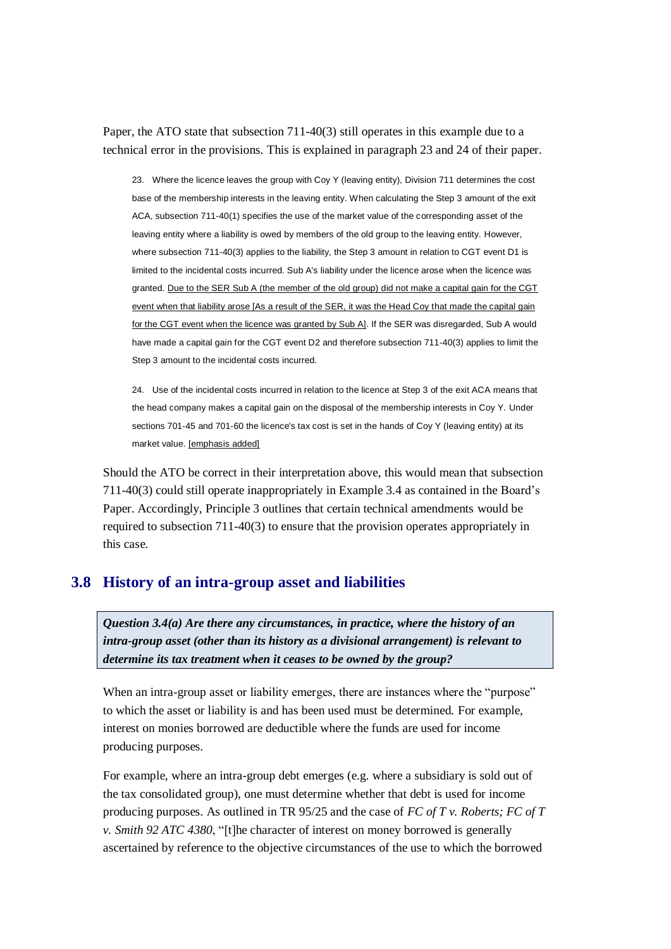Paper, the ATO state that subsection 711-40(3) still operates in this example due to a technical error in the provisions. This is explained in paragraph 23 and 24 of their paper.

23. Where the licence leaves the group with Coy Y (leaving entity), Division 711 determines the cost base of the membership interests in the leaving entity. When calculating the Step 3 amount of the exit ACA, subsection 711-40(1) specifies the use of the market value of the corresponding asset of the leaving entity where a liability is owed by members of the old group to the leaving entity. However, where subsection 711-40(3) applies to the liability, the Step 3 amount in relation to CGT event D1 is limited to the incidental costs incurred. Sub A's liability under the licence arose when the licence was granted. Due to the SER Sub A (the member of the old group) did not make a capital gain for the CGT event when that liability arose [As a result of the SER, it was the Head Coy that made the capital gain for the CGT event when the licence was granted by Sub A]. If the SER was disregarded, Sub A would have made a capital gain for the CGT event D2 and therefore subsection 711-40(3) applies to limit the Step 3 amount to the incidental costs incurred.

24. Use of the incidental costs incurred in relation to the licence at Step 3 of the exit ACA means that the head company makes a capital gain on the disposal of the membership interests in Coy Y. Under sections 701-45 and 701-60 the licence's tax cost is set in the hands of Coy Y (leaving entity) at its market value. [emphasis added]

Should the ATO be correct in their interpretation above, this would mean that subsection 711-40(3) could still operate inappropriately in Example 3.4 as contained in the Board"s Paper. Accordingly, Principle 3 outlines that certain technical amendments would be required to subsection 711-40(3) to ensure that the provision operates appropriately in this case.

### <span id="page-32-0"></span>**3.8 History of an intra-group asset and liabilities**

*Question 3.4(a) Are there any circumstances, in practice, where the history of an intra-group asset (other than its history as a divisional arrangement) is relevant to determine its tax treatment when it ceases to be owned by the group?*

When an intra-group asset or liability emerges, there are instances where the "purpose" to which the asset or liability is and has been used must be determined. For example, interest on monies borrowed are deductible where the funds are used for income producing purposes.

For example, where an intra-group debt emerges (e.g. where a subsidiary is sold out of the tax consolidated group), one must determine whether that debt is used for income producing purposes. As outlined in TR 95/25 and the case of *FC of T v. Roberts; FC of T v. Smith 92 ATC 4380*, "[t]he character of interest on money borrowed is generally ascertained by reference to the objective circumstances of the use to which the borrowed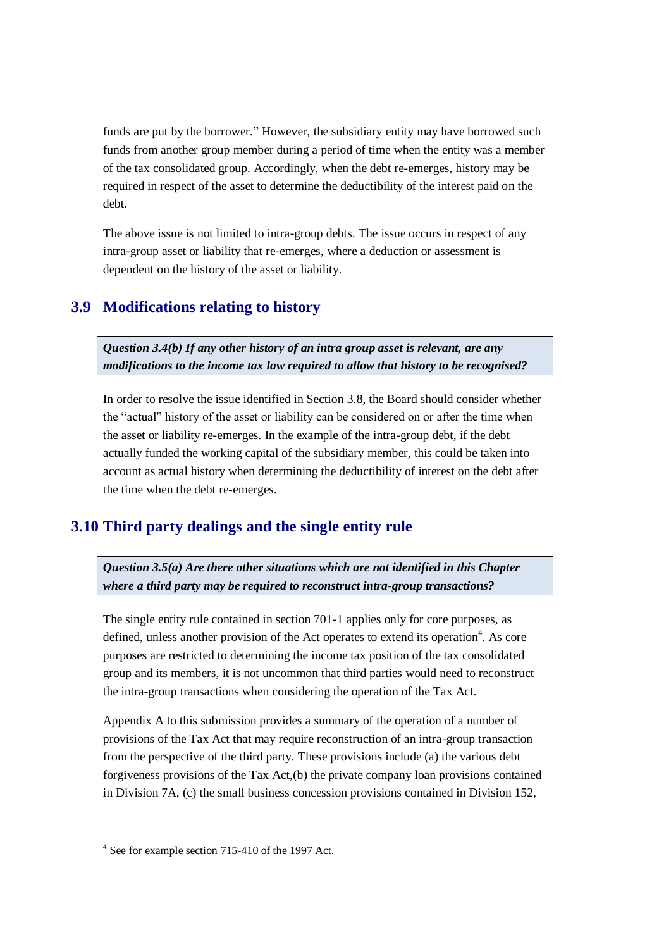funds are put by the borrower." However, the subsidiary entity may have borrowed such funds from another group member during a period of time when the entity was a member of the tax consolidated group. Accordingly, when the debt re-emerges, history may be required in respect of the asset to determine the deductibility of the interest paid on the debt.

The above issue is not limited to intra-group debts. The issue occurs in respect of any intra-group asset or liability that re-emerges, where a deduction or assessment is dependent on the history of the asset or liability.

# <span id="page-33-0"></span>**3.9 Modifications relating to history**

*Question 3.4(b) If any other history of an intra group asset is relevant, are any modifications to the income tax law required to allow that history to be recognised?*

In order to resolve the issue identified in Section [3.8,](#page-32-0) the Board should consider whether the "actual" history of the asset or liability can be considered on or after the time when the asset or liability re-emerges. In the example of the intra-group debt, if the debt actually funded the working capital of the subsidiary member, this could be taken into account as actual history when determining the deductibility of interest on the debt after the time when the debt re-emerges.

# <span id="page-33-1"></span>**3.10 Third party dealings and the single entity rule**

*Question 3.5(a) Are there other situations which are not identified in this Chapter where a third party may be required to reconstruct intra-group transactions?*

The single entity rule contained in section 701-1 applies only for core purposes, as defined, unless another provision of the Act operates to extend its operation<sup>4</sup>. As core purposes are restricted to determining the income tax position of the tax consolidated group and its members, it is not uncommon that third parties would need to reconstruct the intra-group transactions when considering the operation of the Tax Act.

Appendix A to this submission provides a summary of the operation of a number of provisions of the Tax Act that may require reconstruction of an intra-group transaction from the perspective of the third party. These provisions include (a) the various debt forgiveness provisions of the Tax Act,(b) the private company loan provisions contained in Division 7A, (c) the small business concession provisions contained in Division 152,

1

<sup>&</sup>lt;sup>4</sup> See for example section 715-410 of the 1997 Act.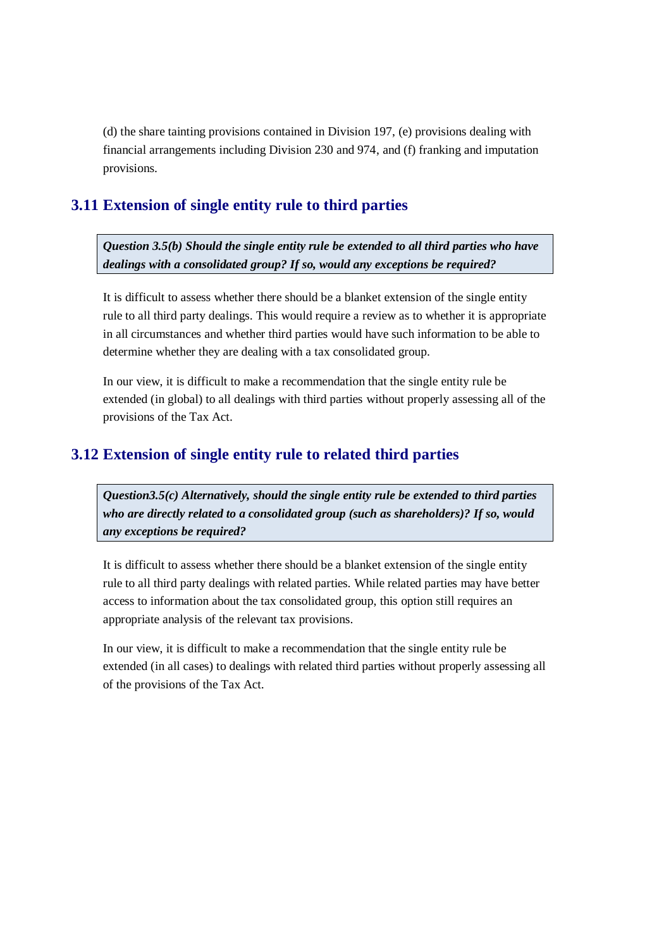(d) the share tainting provisions contained in Division 197, (e) provisions dealing with financial arrangements including Division 230 and 974, and (f) franking and imputation provisions.

# <span id="page-34-0"></span>**3.11 Extension of single entity rule to third parties**

*Question 3.5(b) Should the single entity rule be extended to all third parties who have dealings with a consolidated group? If so, would any exceptions be required?*

It is difficult to assess whether there should be a blanket extension of the single entity rule to all third party dealings. This would require a review as to whether it is appropriate in all circumstances and whether third parties would have such information to be able to determine whether they are dealing with a tax consolidated group.

In our view, it is difficult to make a recommendation that the single entity rule be extended (in global) to all dealings with third parties without properly assessing all of the provisions of the Tax Act.

# <span id="page-34-1"></span>**3.12 Extension of single entity rule to related third parties**

*Question3.5(c) Alternatively, should the single entity rule be extended to third parties who are directly related to a consolidated group (such as shareholders)? If so, would any exceptions be required?*

It is difficult to assess whether there should be a blanket extension of the single entity rule to all third party dealings with related parties. While related parties may have better access to information about the tax consolidated group, this option still requires an appropriate analysis of the relevant tax provisions.

In our view, it is difficult to make a recommendation that the single entity rule be extended (in all cases) to dealings with related third parties without properly assessing all of the provisions of the Tax Act.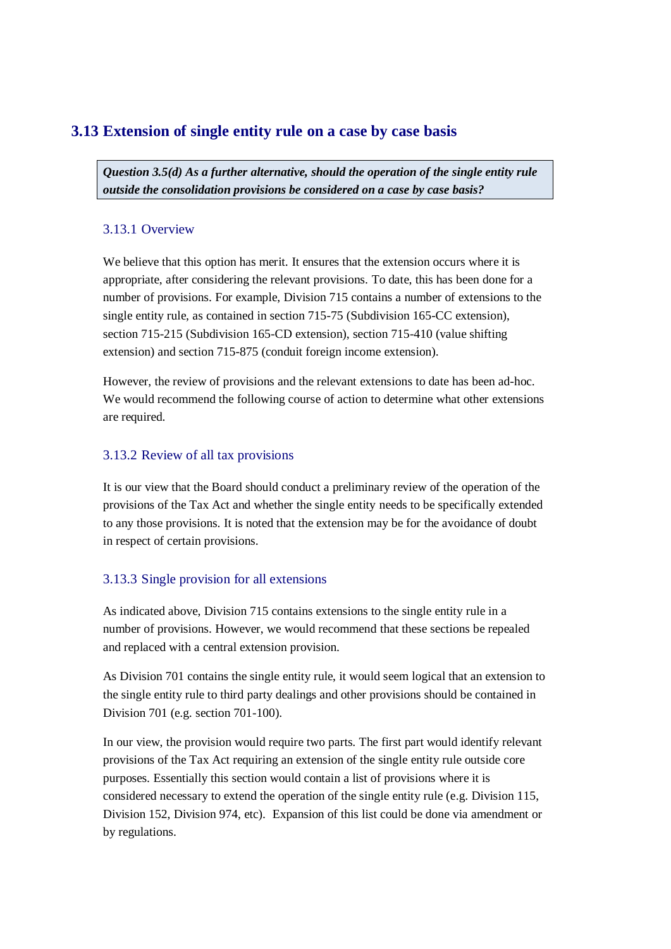# <span id="page-35-0"></span>**3.13 Extension of single entity rule on a case by case basis**

*Question 3.5(d) As a further alternative, should the operation of the single entity rule outside the consolidation provisions be considered on a case by case basis?*

### 3.13.1 Overview

We believe that this option has merit. It ensures that the extension occurs where it is appropriate, after considering the relevant provisions. To date, this has been done for a number of provisions. For example, Division 715 contains a number of extensions to the single entity rule, as contained in section 715-75 (Subdivision 165-CC extension), section 715-215 (Subdivision 165-CD extension), section 715-410 (value shifting extension) and section 715-875 (conduit foreign income extension).

However, the review of provisions and the relevant extensions to date has been ad-hoc. We would recommend the following course of action to determine what other extensions are required.

### 3.13.2 Review of all tax provisions

It is our view that the Board should conduct a preliminary review of the operation of the provisions of the Tax Act and whether the single entity needs to be specifically extended to any those provisions. It is noted that the extension may be for the avoidance of doubt in respect of certain provisions.

# 3.13.3 Single provision for all extensions

As indicated above, Division 715 contains extensions to the single entity rule in a number of provisions. However, we would recommend that these sections be repealed and replaced with a central extension provision.

As Division 701 contains the single entity rule, it would seem logical that an extension to the single entity rule to third party dealings and other provisions should be contained in Division 701 (e.g. section 701-100).

In our view, the provision would require two parts. The first part would identify relevant provisions of the Tax Act requiring an extension of the single entity rule outside core purposes. Essentially this section would contain a list of provisions where it is considered necessary to extend the operation of the single entity rule (e.g. Division 115, Division 152, Division 974, etc). Expansion of this list could be done via amendment or by regulations.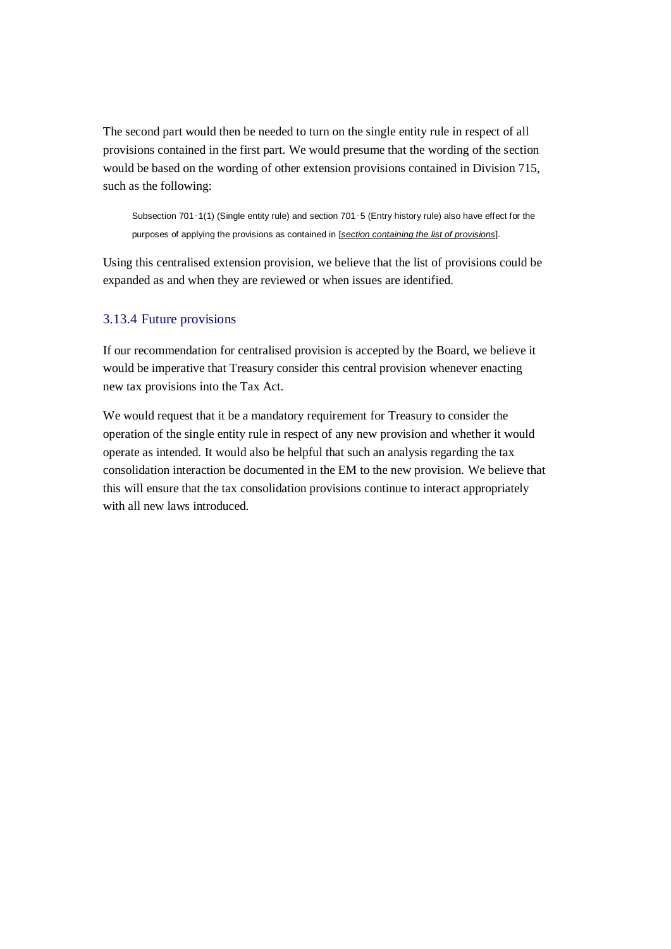The second part would then be needed to turn on the single entity rule in respect of all provisions contained in the first part. We would presume that the wording of the section would be based on the wording of other extension provisions contained in Division 715, such as the following:

Subsection 701-1(1) (Single entity rule) and section 701-5 (Entry history rule) also have effect for the purposes of applying the provisions as contained in [*section containing the list of provisions*].

Using this centralised extension provision, we believe that the list of provisions could be expanded as and when they are reviewed or when issues are identified.

#### 3.13.4 Future provisions

If our recommendation for centralised provision is accepted by the Board, we believe it would be imperative that Treasury consider this central provision whenever enacting new tax provisions into the Tax Act.

We would request that it be a mandatory requirement for Treasury to consider the operation of the single entity rule in respect of any new provision and whether it would operate as intended. It would also be helpful that such an analysis regarding the tax consolidation interaction be documented in the EM to the new provision. We believe that this will ensure that the tax consolidation provisions continue to interact appropriately with all new laws introduced.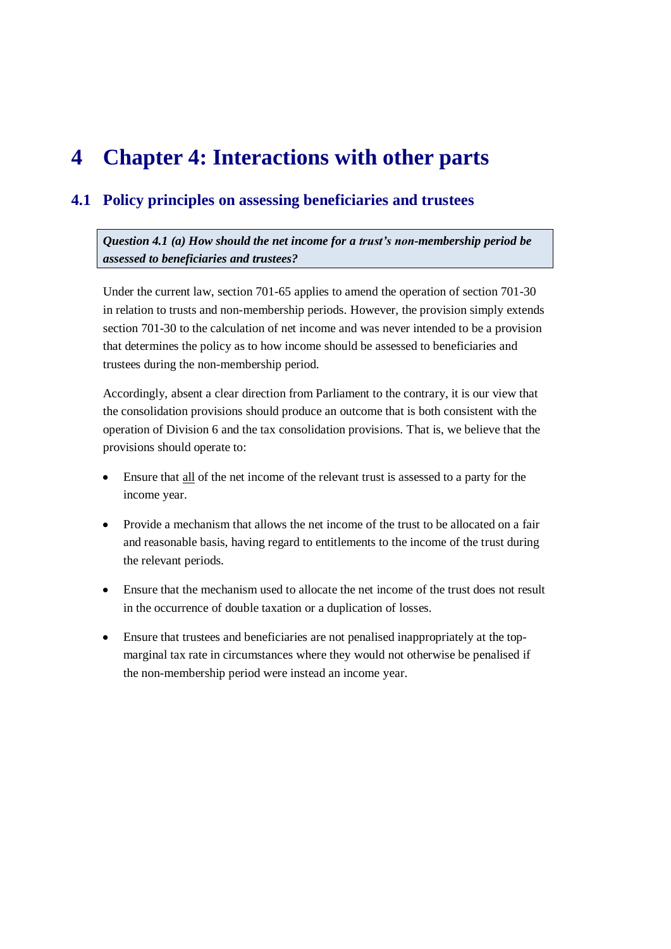# **4 Chapter 4: Interactions with other parts**

# <span id="page-37-0"></span>**4.1 Policy principles on assessing beneficiaries and trustees**

*Question 4.1 (a) How should the net income for a trust's non-membership period be assessed to beneficiaries and trustees?*

Under the current law, section 701-65 applies to amend the operation of section 701-30 in relation to trusts and non-membership periods. However, the provision simply extends section 701-30 to the calculation of net income and was never intended to be a provision that determines the policy as to how income should be assessed to beneficiaries and trustees during the non-membership period.

Accordingly, absent a clear direction from Parliament to the contrary, it is our view that the consolidation provisions should produce an outcome that is both consistent with the operation of Division 6 and the tax consolidation provisions. That is, we believe that the provisions should operate to:

- Ensure that all of the net income of the relevant trust is assessed to a party for the  $\bullet$ income year.
- Provide a mechanism that allows the net income of the trust to be allocated on a fair  $\bullet$  . and reasonable basis, having regard to entitlements to the income of the trust during the relevant periods.
- $\bullet$ Ensure that the mechanism used to allocate the net income of the trust does not result in the occurrence of double taxation or a duplication of losses.
- Ensure that trustees and beneficiaries are not penalised inappropriately at the top- $\bullet$ marginal tax rate in circumstances where they would not otherwise be penalised if the non-membership period were instead an income year.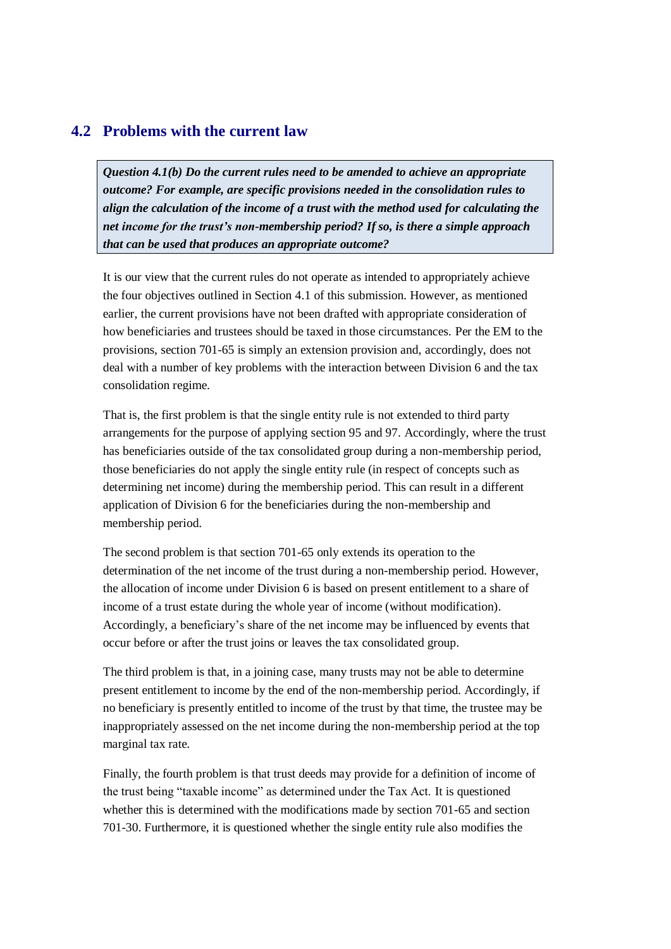# **4.2 Problems with the current law**

*Question 4.1(b) Do the current rules need to be amended to achieve an appropriate outcome? For example, are specific provisions needed in the consolidation rules to align the calculation of the income of a trust with the method used for calculating the net income for the trust's non-membership period? If so, is there a simple approach that can be used that produces an appropriate outcome?*

It is our view that the current rules do not operate as intended to appropriately achieve the four objectives outlined in Section [4.1](#page-37-0) of this submission. However, as mentioned earlier, the current provisions have not been drafted with appropriate consideration of how beneficiaries and trustees should be taxed in those circumstances. Per the EM to the provisions, section 701-65 is simply an extension provision and, accordingly, does not deal with a number of key problems with the interaction between Division 6 and the tax consolidation regime.

That is, the first problem is that the single entity rule is not extended to third party arrangements for the purpose of applying section 95 and 97. Accordingly, where the trust has beneficiaries outside of the tax consolidated group during a non-membership period, those beneficiaries do not apply the single entity rule (in respect of concepts such as determining net income) during the membership period. This can result in a different application of Division 6 for the beneficiaries during the non-membership and membership period.

The second problem is that section 701-65 only extends its operation to the determination of the net income of the trust during a non-membership period. However, the allocation of income under Division 6 is based on present entitlement to a share of income of a trust estate during the whole year of income (without modification). Accordingly, a beneficiary"s share of the net income may be influenced by events that occur before or after the trust joins or leaves the tax consolidated group.

The third problem is that, in a joining case, many trusts may not be able to determine present entitlement to income by the end of the non-membership period. Accordingly, if no beneficiary is presently entitled to income of the trust by that time, the trustee may be inappropriately assessed on the net income during the non-membership period at the top marginal tax rate.

Finally, the fourth problem is that trust deeds may provide for a definition of income of the trust being "taxable income" as determined under the Tax Act. It is questioned whether this is determined with the modifications made by section 701-65 and section 701-30. Furthermore, it is questioned whether the single entity rule also modifies the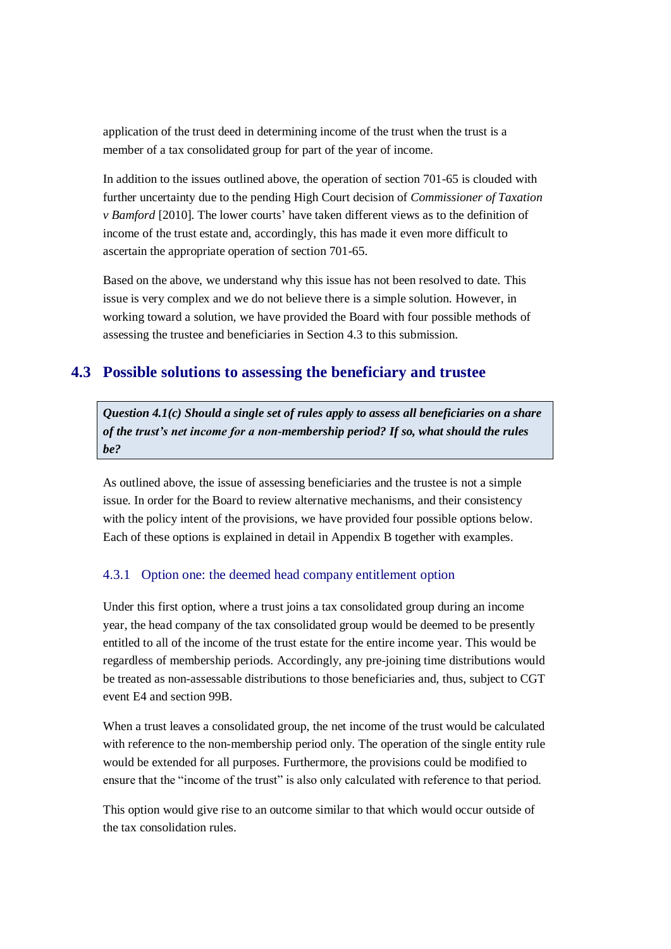application of the trust deed in determining income of the trust when the trust is a member of a tax consolidated group for part of the year of income.

In addition to the issues outlined above, the operation of section 701-65 is clouded with further uncertainty due to the pending High Court decision of *Commissioner of Taxation v Bamford* [2010]. The lower courts' have taken different views as to the definition of income of the trust estate and, accordingly, this has made it even more difficult to ascertain the appropriate operation of section 701-65.

Based on the above, we understand why this issue has not been resolved to date. This issue is very complex and we do not believe there is a simple solution. However, in working toward a solution, we have provided the Board with four possible methods of assessing the trustee and beneficiaries in Section [4.3](#page-39-0) to this submission.

# <span id="page-39-0"></span>**4.3 Possible solutions to assessing the beneficiary and trustee**

*Question 4.1(c) Should a single set of rules apply to assess all beneficiaries on a share of the trust's net income for a non-membership period? If so, what should the rules be?*

As outlined above, the issue of assessing beneficiaries and the trustee is not a simple issue. In order for the Board to review alternative mechanisms, and their consistency with the policy intent of the provisions, we have provided four possible options below. Each of these options is explained in detail in Appendix B together with examples.

#### 4.3.1 Option one: the deemed head company entitlement option

Under this first option, where a trust joins a tax consolidated group during an income year, the head company of the tax consolidated group would be deemed to be presently entitled to all of the income of the trust estate for the entire income year. This would be regardless of membership periods. Accordingly, any pre-joining time distributions would be treated as non-assessable distributions to those beneficiaries and, thus, subject to CGT event E4 and section 99B.

When a trust leaves a consolidated group, the net income of the trust would be calculated with reference to the non-membership period only. The operation of the single entity rule would be extended for all purposes. Furthermore, the provisions could be modified to ensure that the "income of the trust" is also only calculated with reference to that period.

This option would give rise to an outcome similar to that which would occur outside of the tax consolidation rules.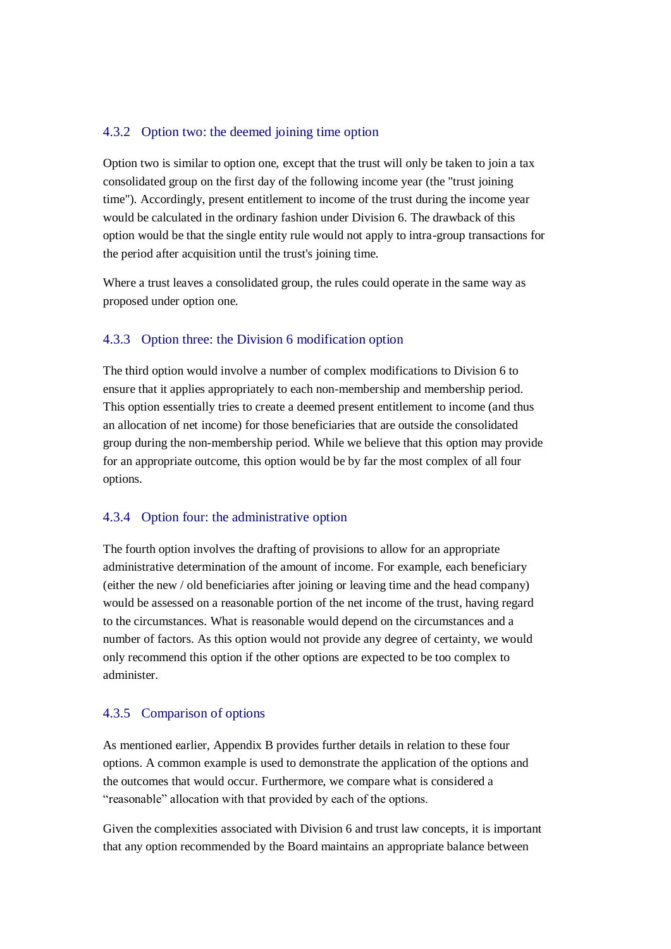### 4.3.2 Option two: the deemed joining time option

Option two is similar to option one, except that the trust will only be taken to join a tax consolidated group on the first day of the following income year (the "trust joining time"). Accordingly, present entitlement to income of the trust during the income year would be calculated in the ordinary fashion under Division 6. The drawback of this option would be that the single entity rule would not apply to intra-group transactions for the period after acquisition until the trust's joining time.

Where a trust leaves a consolidated group, the rules could operate in the same way as proposed under option one.

### 4.3.3 Option three: the Division 6 modification option

The third option would involve a number of complex modifications to Division 6 to ensure that it applies appropriately to each non-membership and membership period. This option essentially tries to create a deemed present entitlement to income (and thus an allocation of net income) for those beneficiaries that are outside the consolidated group during the non-membership period. While we believe that this option may provide for an appropriate outcome, this option would be by far the most complex of all four options.

### 4.3.4 Option four: the administrative option

The fourth option involves the drafting of provisions to allow for an appropriate administrative determination of the amount of income. For example, each beneficiary (either the new / old beneficiaries after joining or leaving time and the head company) would be assessed on a reasonable portion of the net income of the trust, having regard to the circumstances. What is reasonable would depend on the circumstances and a number of factors. As this option would not provide any degree of certainty, we would only recommend this option if the other options are expected to be too complex to administer.

#### 4.3.5 Comparison of options

As mentioned earlier, Appendix B provides further details in relation to these four options. A common example is used to demonstrate the application of the options and the outcomes that would occur. Furthermore, we compare what is considered a "reasonable" allocation with that provided by each of the options.

Given the complexities associated with Division 6 and trust law concepts, it is important that any option recommended by the Board maintains an appropriate balance between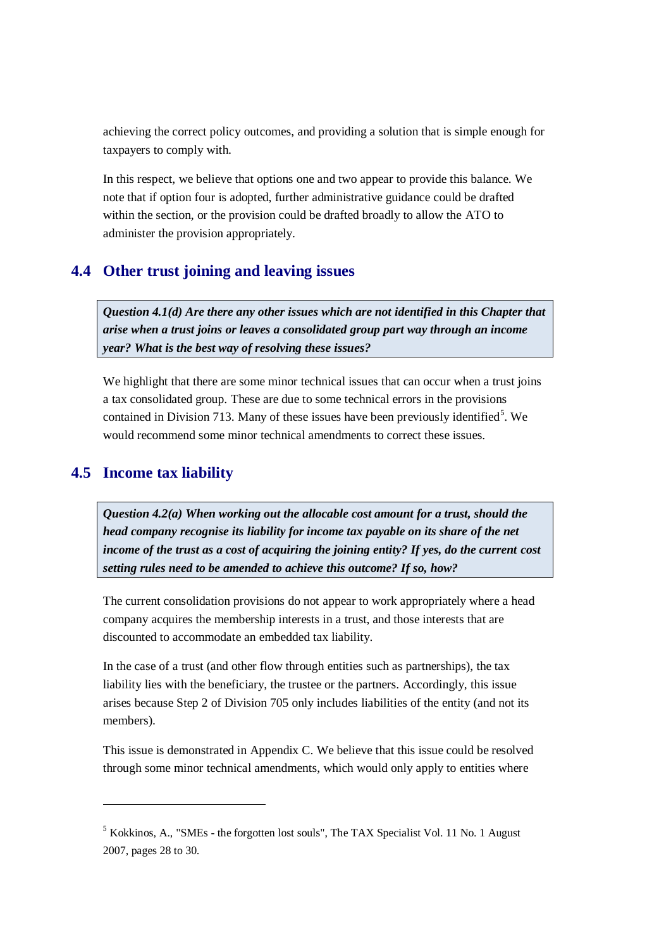achieving the correct policy outcomes, and providing a solution that is simple enough for taxpayers to comply with.

In this respect, we believe that options one and two appear to provide this balance. We note that if option four is adopted, further administrative guidance could be drafted within the section, or the provision could be drafted broadly to allow the ATO to administer the provision appropriately.

# **4.4 Other trust joining and leaving issues**

*Question 4.1(d) Are there any other issues which are not identified in this Chapter that arise when a trust joins or leaves a consolidated group part way through an income year? What is the best way of resolving these issues?*

We highlight that there are some minor technical issues that can occur when a trust joins a tax consolidated group. These are due to some technical errors in the provisions contained in Division 713. Many of these issues have been previously identified<sup>5</sup>. We would recommend some minor technical amendments to correct these issues.

# **4.5 Income tax liability**

-

*Question 4.2(a) When working out the allocable cost amount for a trust, should the head company recognise its liability for income tax payable on its share of the net income of the trust as a cost of acquiring the joining entity? If yes, do the current cost setting rules need to be amended to achieve this outcome? If so, how?*

The current consolidation provisions do not appear to work appropriately where a head company acquires the membership interests in a trust, and those interests that are discounted to accommodate an embedded tax liability.

In the case of a trust (and other flow through entities such as partnerships), the tax liability lies with the beneficiary, the trustee or the partners. Accordingly, this issue arises because Step 2 of Division 705 only includes liabilities of the entity (and not its members).

This issue is demonstrated in Appendix C. We believe that this issue could be resolved through some minor technical amendments, which would only apply to entities where

 $5$  Kokkinos, A., "SMEs - the forgotten lost souls", The TAX Specialist Vol. 11 No. 1 August 2007, pages 28 to 30.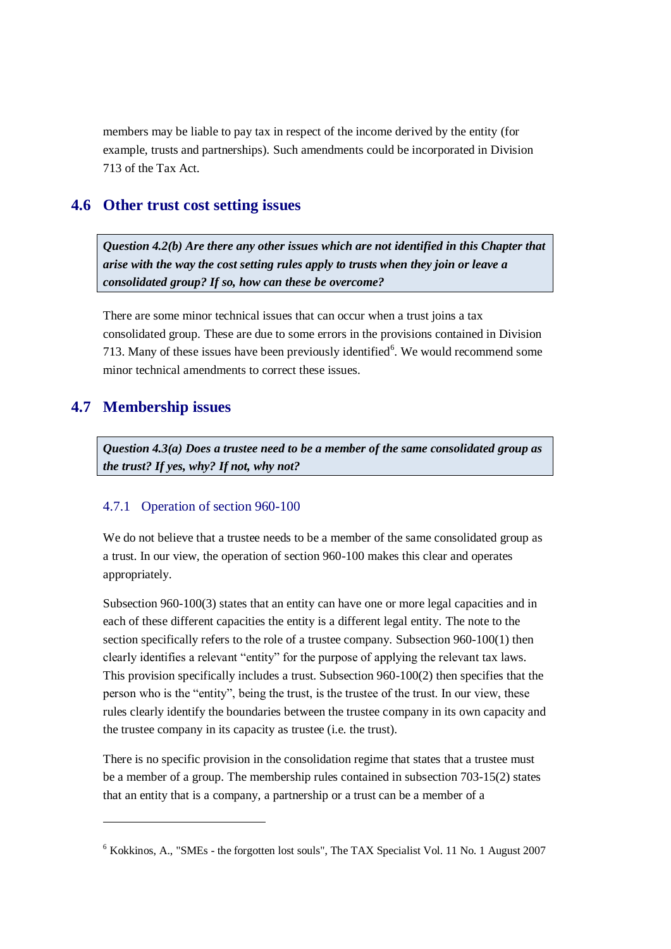members may be liable to pay tax in respect of the income derived by the entity (for example, trusts and partnerships). Such amendments could be incorporated in Division 713 of the Tax Act.

# **4.6 Other trust cost setting issues**

*Question 4.2(b) Are there any other issues which are not identified in this Chapter that arise with the way the cost setting rules apply to trusts when they join or leave a consolidated group? If so, how can these be overcome?*

There are some minor technical issues that can occur when a trust joins a tax consolidated group. These are due to some errors in the provisions contained in Division 713. Many of these issues have been previously identified<sup>6</sup>. We would recommend some minor technical amendments to correct these issues.

# **4.7 Membership issues**

1

*Question 4.3(a) Does a trustee need to be a member of the same consolidated group as the trust? If yes, why? If not, why not?*

#### 4.7.1 Operation of section 960-100

We do not believe that a trustee needs to be a member of the same consolidated group as a trust. In our view, the operation of section 960-100 makes this clear and operates appropriately.

Subsection 960-100(3) states that an entity can have one or more legal capacities and in each of these different capacities the entity is a different legal entity. The note to the section specifically refers to the role of a trustee company. Subsection 960-100(1) then clearly identifies a relevant "entity" for the purpose of applying the relevant tax laws. This provision specifically includes a trust. Subsection 960-100(2) then specifies that the person who is the "entity", being the trust, is the trustee of the trust. In our view, these rules clearly identify the boundaries between the trustee company in its own capacity and the trustee company in its capacity as trustee (i.e. the trust).

There is no specific provision in the consolidation regime that states that a trustee must be a member of a group. The membership rules contained in subsection 703-15(2) states that an entity that is a company, a partnership or a trust can be a member of a

 $6$  Kokkinos, A., "SMEs - the forgotten lost souls", The TAX Specialist Vol. 11 No. 1 August 2007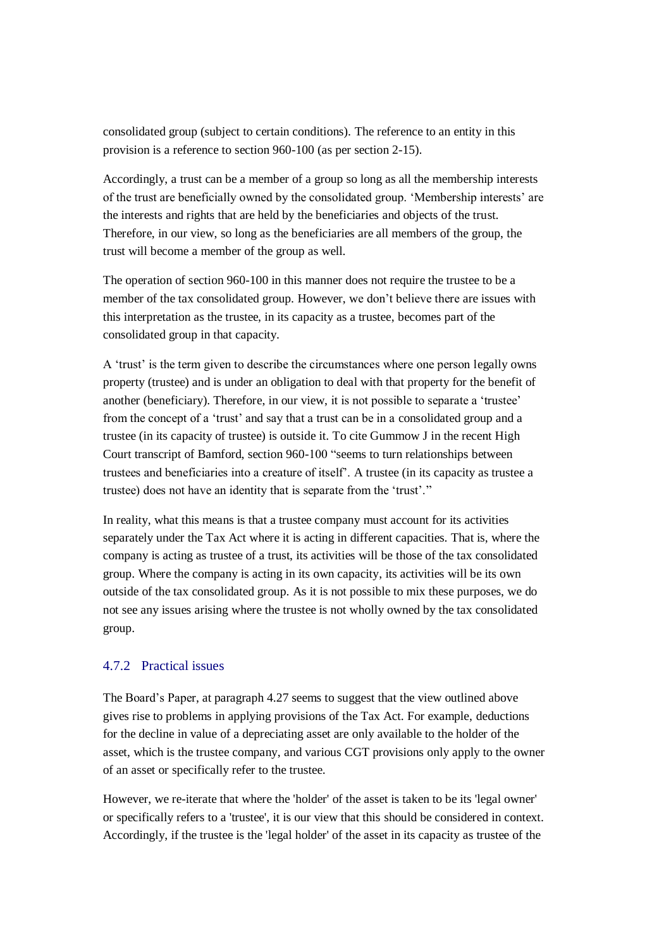consolidated group (subject to certain conditions). The reference to an entity in this provision is a reference to section 960-100 (as per section 2-15).

Accordingly, a trust can be a member of a group so long as all the membership interests of the trust are beneficially owned by the consolidated group. "Membership interests" are the interests and rights that are held by the beneficiaries and objects of the trust. Therefore, in our view, so long as the beneficiaries are all members of the group, the trust will become a member of the group as well.

The operation of section 960-100 in this manner does not require the trustee to be a member of the tax consolidated group. However, we don"t believe there are issues with this interpretation as the trustee, in its capacity as a trustee, becomes part of the consolidated group in that capacity.

A "trust" is the term given to describe the circumstances where one person legally owns property (trustee) and is under an obligation to deal with that property for the benefit of another (beneficiary). Therefore, in our view, it is not possible to separate a "trustee" from the concept of a "trust" and say that a trust can be in a consolidated group and a trustee (in its capacity of trustee) is outside it. To cite Gummow J in the recent High Court transcript of Bamford, section 960-100 "seems to turn relationships between trustees and beneficiaries into a creature of itself". A trustee (in its capacity as trustee a trustee) does not have an identity that is separate from the "trust"."

In reality, what this means is that a trustee company must account for its activities separately under the Tax Act where it is acting in different capacities. That is, where the company is acting as trustee of a trust, its activities will be those of the tax consolidated group. Where the company is acting in its own capacity, its activities will be its own outside of the tax consolidated group. As it is not possible to mix these purposes, we do not see any issues arising where the trustee is not wholly owned by the tax consolidated group.

### 4.7.2 Practical issues

The Board"s Paper, at paragraph 4.27 seems to suggest that the view outlined above gives rise to problems in applying provisions of the Tax Act. For example, deductions for the decline in value of a depreciating asset are only available to the holder of the asset, which is the trustee company, and various CGT provisions only apply to the owner of an asset or specifically refer to the trustee.

However, we re-iterate that where the 'holder' of the asset is taken to be its 'legal owner' or specifically refers to a 'trustee', it is our view that this should be considered in context. Accordingly, if the trustee is the 'legal holder' of the asset in its capacity as trustee of the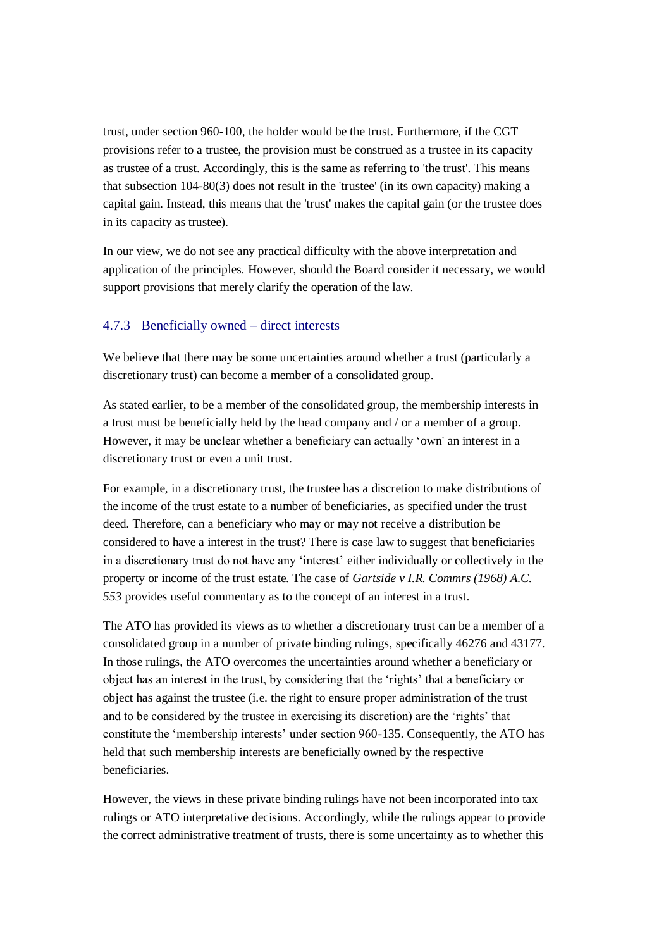trust, under section 960-100, the holder would be the trust. Furthermore, if the CGT provisions refer to a trustee, the provision must be construed as a trustee in its capacity as trustee of a trust. Accordingly, this is the same as referring to 'the trust'. This means that subsection 104-80(3) does not result in the 'trustee' (in its own capacity) making a capital gain. Instead, this means that the 'trust' makes the capital gain (or the trustee does in its capacity as trustee).

In our view, we do not see any practical difficulty with the above interpretation and application of the principles. However, should the Board consider it necessary, we would support provisions that merely clarify the operation of the law.

### 4.7.3 Beneficially owned – direct interests

We believe that there may be some uncertainties around whether a trust (particularly a discretionary trust) can become a member of a consolidated group.

As stated earlier, to be a member of the consolidated group, the membership interests in a trust must be beneficially held by the head company and / or a member of a group. However, it may be unclear whether a beneficiary can actually "own' an interest in a discretionary trust or even a unit trust.

For example, in a discretionary trust, the trustee has a discretion to make distributions of the income of the trust estate to a number of beneficiaries, as specified under the trust deed. Therefore, can a beneficiary who may or may not receive a distribution be considered to have a interest in the trust? There is case law to suggest that beneficiaries in a discretionary trust do not have any 'interest' either individually or collectively in the property or income of the trust estate. The case of *Gartside v I.R. Commrs (1968) A.C. 553* provides useful commentary as to the concept of an interest in a trust.

The ATO has provided its views as to whether a discretionary trust can be a member of a consolidated group in a number of private binding rulings, specifically 46276 and 43177. In those rulings, the ATO overcomes the uncertainties around whether a beneficiary or object has an interest in the trust, by considering that the "rights" that a beneficiary or object has against the trustee (i.e. the right to ensure proper administration of the trust and to be considered by the trustee in exercising its discretion) are the "rights" that constitute the 'membership interests' under section 960-135. Consequently, the ATO has held that such membership interests are beneficially owned by the respective beneficiaries.

However, the views in these private binding rulings have not been incorporated into tax rulings or ATO interpretative decisions. Accordingly, while the rulings appear to provide the correct administrative treatment of trusts, there is some uncertainty as to whether this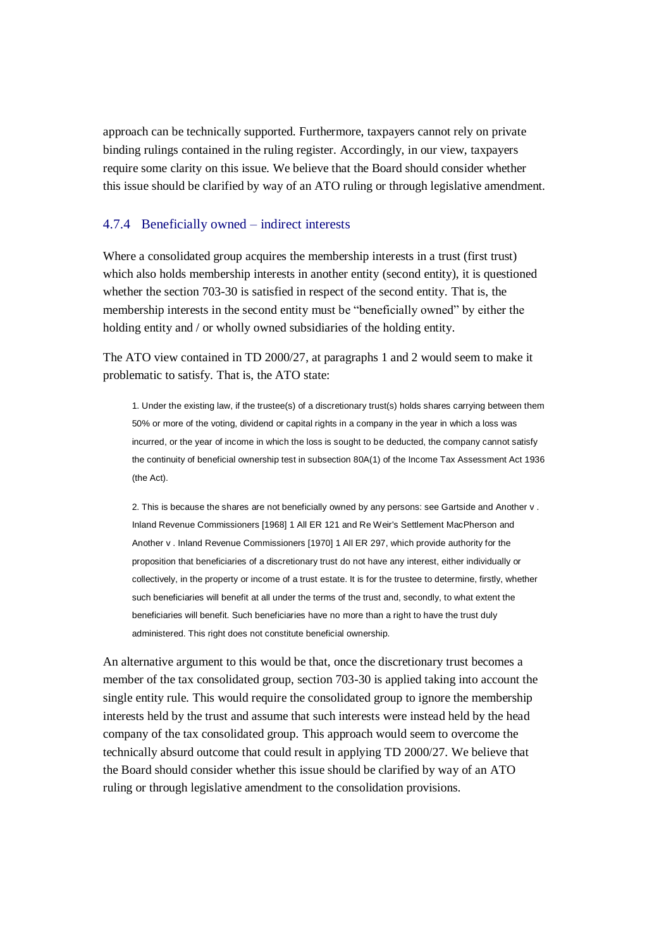approach can be technically supported. Furthermore, taxpayers cannot rely on private binding rulings contained in the ruling register. Accordingly, in our view, taxpayers require some clarity on this issue. We believe that the Board should consider whether this issue should be clarified by way of an ATO ruling or through legislative amendment.

#### 4.7.4 Beneficially owned – indirect interests

Where a consolidated group acquires the membership interests in a trust (first trust) which also holds membership interests in another entity (second entity), it is questioned whether the section 703-30 is satisfied in respect of the second entity. That is, the membership interests in the second entity must be "beneficially owned" by either the holding entity and / or wholly owned subsidiaries of the holding entity.

The ATO view contained in TD 2000/27, at paragraphs 1 and 2 would seem to make it problematic to satisfy. That is, the ATO state:

1. Under the existing law, if the trustee(s) of a discretionary trust(s) holds shares carrying between them 50% or more of the voting, dividend or capital rights in a company in the year in which a loss was incurred, or the year of income in which the loss is sought to be deducted, the company cannot satisfy the continuity of beneficial ownership test in subsection 80A(1) of the Income Tax Assessment Act 1936 (the Act).

2. This is because the shares are not beneficially owned by any persons: see Gartside and Another v . Inland Revenue Commissioners [1968] 1 All ER 121 and Re Weir's Settlement MacPherson and Another v . Inland Revenue Commissioners [1970] 1 All ER 297, which provide authority for the proposition that beneficiaries of a discretionary trust do not have any interest, either individually or collectively, in the property or income of a trust estate. It is for the trustee to determine, firstly, whether such beneficiaries will benefit at all under the terms of the trust and, secondly, to what extent the beneficiaries will benefit. Such beneficiaries have no more than a right to have the trust duly administered. This right does not constitute beneficial ownership.

An alternative argument to this would be that, once the discretionary trust becomes a member of the tax consolidated group, section 703-30 is applied taking into account the single entity rule. This would require the consolidated group to ignore the membership interests held by the trust and assume that such interests were instead held by the head company of the tax consolidated group. This approach would seem to overcome the technically absurd outcome that could result in applying TD 2000/27. We believe that the Board should consider whether this issue should be clarified by way of an ATO ruling or through legislative amendment to the consolidation provisions.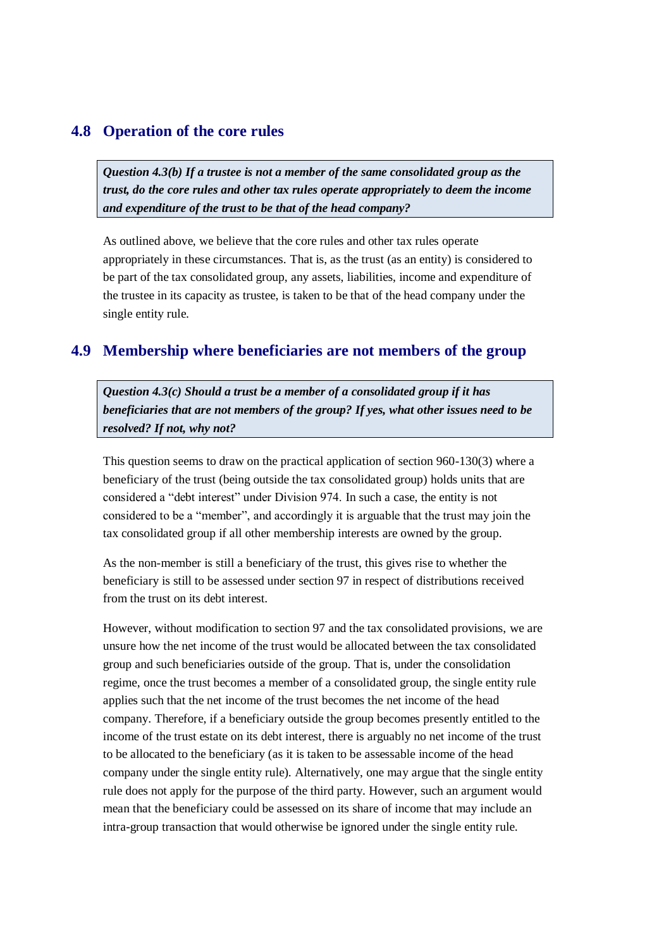# **4.8 Operation of the core rules**

*Question 4.3(b) If a trustee is not a member of the same consolidated group as the trust, do the core rules and other tax rules operate appropriately to deem the income and expenditure of the trust to be that of the head company?*

As outlined above, we believe that the core rules and other tax rules operate appropriately in these circumstances. That is, as the trust (as an entity) is considered to be part of the tax consolidated group, any assets, liabilities, income and expenditure of the trustee in its capacity as trustee, is taken to be that of the head company under the single entity rule.

# **4.9 Membership where beneficiaries are not members of the group**

*Question 4.3(c) Should a trust be a member of a consolidated group if it has beneficiaries that are not members of the group? If yes, what other issues need to be resolved? If not, why not?*

This question seems to draw on the practical application of section 960-130(3) where a beneficiary of the trust (being outside the tax consolidated group) holds units that are considered a "debt interest" under Division 974. In such a case, the entity is not considered to be a "member", and accordingly it is arguable that the trust may join the tax consolidated group if all other membership interests are owned by the group.

As the non-member is still a beneficiary of the trust, this gives rise to whether the beneficiary is still to be assessed under section 97 in respect of distributions received from the trust on its debt interest.

However, without modification to section 97 and the tax consolidated provisions, we are unsure how the net income of the trust would be allocated between the tax consolidated group and such beneficiaries outside of the group. That is, under the consolidation regime, once the trust becomes a member of a consolidated group, the single entity rule applies such that the net income of the trust becomes the net income of the head company. Therefore, if a beneficiary outside the group becomes presently entitled to the income of the trust estate on its debt interest, there is arguably no net income of the trust to be allocated to the beneficiary (as it is taken to be assessable income of the head company under the single entity rule). Alternatively, one may argue that the single entity rule does not apply for the purpose of the third party. However, such an argument would mean that the beneficiary could be assessed on its share of income that may include an intra-group transaction that would otherwise be ignored under the single entity rule.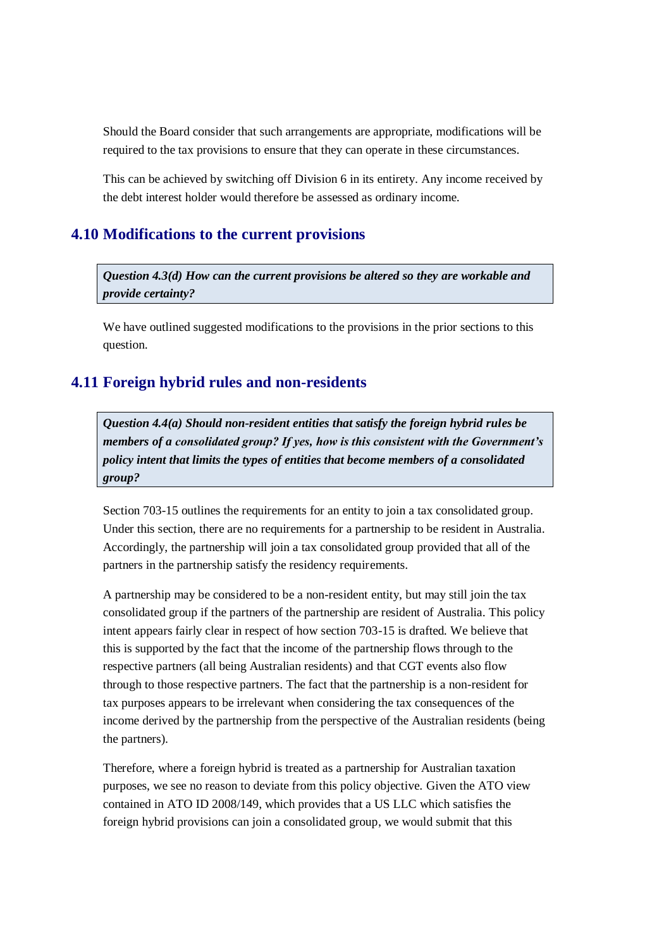Should the Board consider that such arrangements are appropriate, modifications will be required to the tax provisions to ensure that they can operate in these circumstances.

This can be achieved by switching off Division 6 in its entirety. Any income received by the debt interest holder would therefore be assessed as ordinary income.

### **4.10 Modifications to the current provisions**

*Question 4.3(d) How can the current provisions be altered so they are workable and provide certainty?*

We have outlined suggested modifications to the provisions in the prior sections to this question.

# **4.11 Foreign hybrid rules and non-residents**

*Question 4.4(a) Should non-resident entities that satisfy the foreign hybrid rules be members of a consolidated group? If yes, how is this consistent with the Government's policy intent that limits the types of entities that become members of a consolidated group?*

Section 703-15 outlines the requirements for an entity to join a tax consolidated group. Under this section, there are no requirements for a partnership to be resident in Australia. Accordingly, the partnership will join a tax consolidated group provided that all of the partners in the partnership satisfy the residency requirements.

A partnership may be considered to be a non-resident entity, but may still join the tax consolidated group if the partners of the partnership are resident of Australia. This policy intent appears fairly clear in respect of how section 703-15 is drafted. We believe that this is supported by the fact that the income of the partnership flows through to the respective partners (all being Australian residents) and that CGT events also flow through to those respective partners. The fact that the partnership is a non-resident for tax purposes appears to be irrelevant when considering the tax consequences of the income derived by the partnership from the perspective of the Australian residents (being the partners).

Therefore, where a foreign hybrid is treated as a partnership for Australian taxation purposes, we see no reason to deviate from this policy objective. Given the ATO view contained in ATO ID 2008/149, which provides that a US LLC which satisfies the foreign hybrid provisions can join a consolidated group, we would submit that this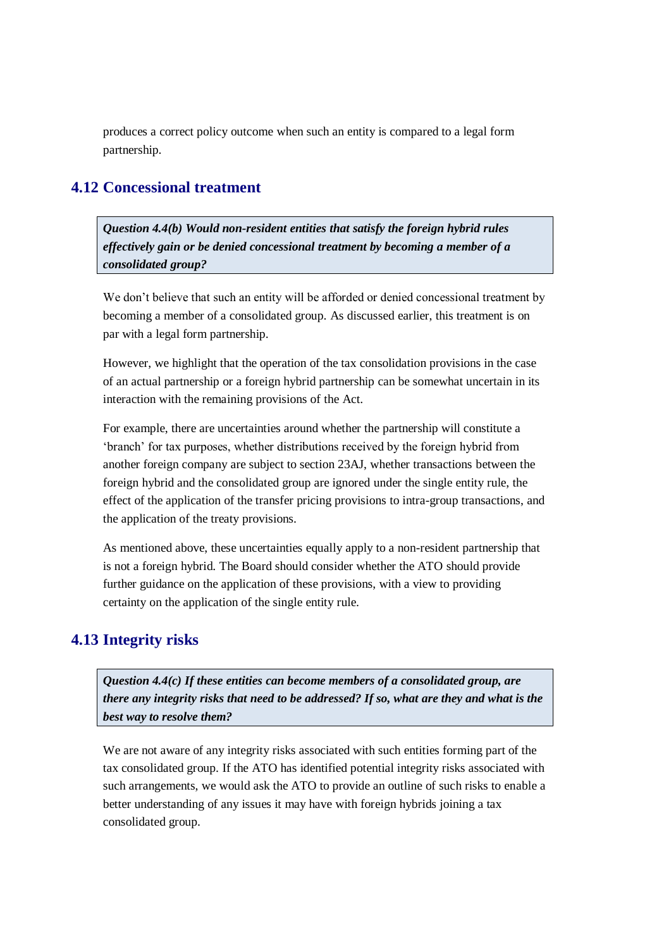produces a correct policy outcome when such an entity is compared to a legal form partnership.

# **4.12 Concessional treatment**

*Question 4.4(b) Would non-resident entities that satisfy the foreign hybrid rules effectively gain or be denied concessional treatment by becoming a member of a consolidated group?*

We don't believe that such an entity will be afforded or denied concessional treatment by becoming a member of a consolidated group. As discussed earlier, this treatment is on par with a legal form partnership.

However, we highlight that the operation of the tax consolidation provisions in the case of an actual partnership or a foreign hybrid partnership can be somewhat uncertain in its interaction with the remaining provisions of the Act.

For example, there are uncertainties around whether the partnership will constitute a "branch" for tax purposes, whether distributions received by the foreign hybrid from another foreign company are subject to section 23AJ, whether transactions between the foreign hybrid and the consolidated group are ignored under the single entity rule, the effect of the application of the transfer pricing provisions to intra-group transactions, and the application of the treaty provisions.

As mentioned above, these uncertainties equally apply to a non-resident partnership that is not a foreign hybrid. The Board should consider whether the ATO should provide further guidance on the application of these provisions, with a view to providing certainty on the application of the single entity rule.

# **4.13 Integrity risks**

*Question 4.4(c) If these entities can become members of a consolidated group, are there any integrity risks that need to be addressed? If so, what are they and what is the best way to resolve them?*

We are not aware of any integrity risks associated with such entities forming part of the tax consolidated group. If the ATO has identified potential integrity risks associated with such arrangements, we would ask the ATO to provide an outline of such risks to enable a better understanding of any issues it may have with foreign hybrids joining a tax consolidated group.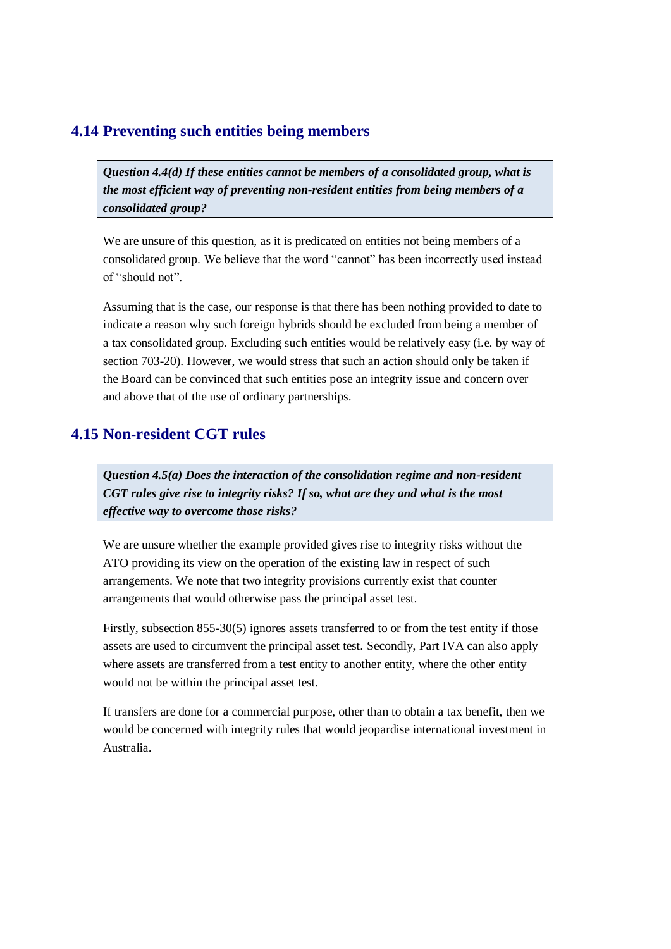# **4.14 Preventing such entities being members**

*Question 4.4(d) If these entities cannot be members of a consolidated group, what is the most efficient way of preventing non-resident entities from being members of a consolidated group?*

We are unsure of this question, as it is predicated on entities not being members of a consolidated group. We believe that the word "cannot" has been incorrectly used instead of "should not".

Assuming that is the case, our response is that there has been nothing provided to date to indicate a reason why such foreign hybrids should be excluded from being a member of a tax consolidated group. Excluding such entities would be relatively easy (i.e. by way of section 703-20). However, we would stress that such an action should only be taken if the Board can be convinced that such entities pose an integrity issue and concern over and above that of the use of ordinary partnerships.

# **4.15 Non-resident CGT rules**

*Question 4.5(a) Does the interaction of the consolidation regime and non-resident CGT rules give rise to integrity risks? If so, what are they and what is the most effective way to overcome those risks?*

We are unsure whether the example provided gives rise to integrity risks without the ATO providing its view on the operation of the existing law in respect of such arrangements. We note that two integrity provisions currently exist that counter arrangements that would otherwise pass the principal asset test.

Firstly, subsection 855-30(5) ignores assets transferred to or from the test entity if those assets are used to circumvent the principal asset test. Secondly, Part IVA can also apply where assets are transferred from a test entity to another entity, where the other entity would not be within the principal asset test.

If transfers are done for a commercial purpose, other than to obtain a tax benefit, then we would be concerned with integrity rules that would jeopardise international investment in Australia.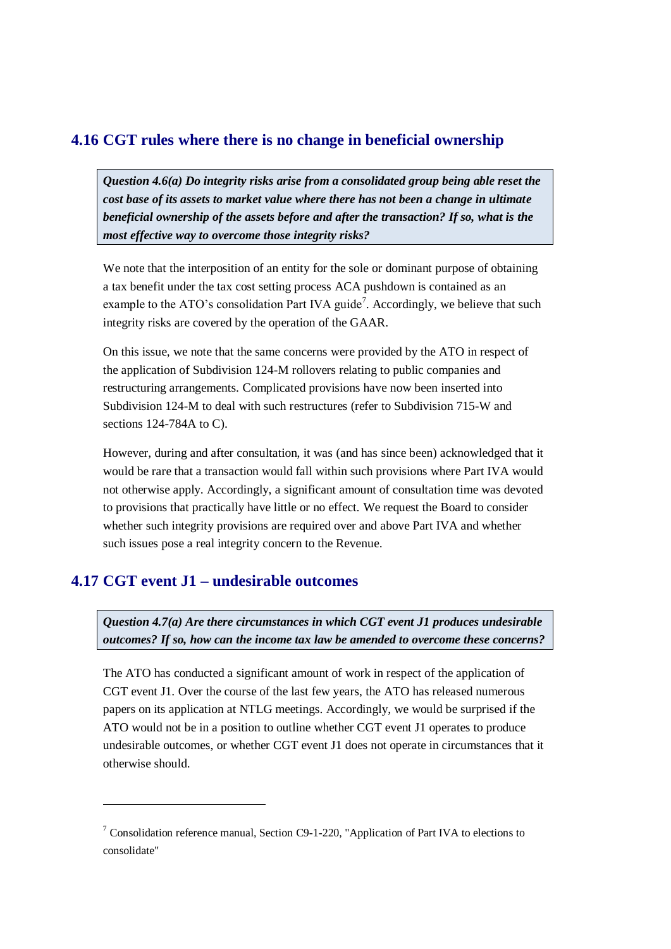# **4.16 CGT rules where there is no change in beneficial ownership**

*Question 4.6(a) Do integrity risks arise from a consolidated group being able reset the cost base of its assets to market value where there has not been a change in ultimate beneficial ownership of the assets before and after the transaction? If so, what is the most effective way to overcome those integrity risks?*

We note that the interposition of an entity for the sole or dominant purpose of obtaining a tax benefit under the tax cost setting process ACA pushdown is contained as an example to the ATO's consolidation Part IVA guide<sup>7</sup>. Accordingly, we believe that such integrity risks are covered by the operation of the GAAR.

On this issue, we note that the same concerns were provided by the ATO in respect of the application of Subdivision 124-M rollovers relating to public companies and restructuring arrangements. Complicated provisions have now been inserted into Subdivision 124-M to deal with such restructures (refer to Subdivision 715-W and sections 124-784A to C).

However, during and after consultation, it was (and has since been) acknowledged that it would be rare that a transaction would fall within such provisions where Part IVA would not otherwise apply. Accordingly, a significant amount of consultation time was devoted to provisions that practically have little or no effect. We request the Board to consider whether such integrity provisions are required over and above Part IVA and whether such issues pose a real integrity concern to the Revenue.

# <span id="page-50-0"></span>**4.17 CGT event J1 – undesirable outcomes**

-

*Question 4.7(a) Are there circumstances in which CGT event J1 produces undesirable outcomes? If so, how can the income tax law be amended to overcome these concerns?*

The ATO has conducted a significant amount of work in respect of the application of CGT event J1. Over the course of the last few years, the ATO has released numerous papers on its application at NTLG meetings. Accordingly, we would be surprised if the ATO would not be in a position to outline whether CGT event J1 operates to produce undesirable outcomes, or whether CGT event J1 does not operate in circumstances that it otherwise should.

 $7$  Consolidation reference manual, Section C9-1-220, "Application of Part IVA to elections to consolidate"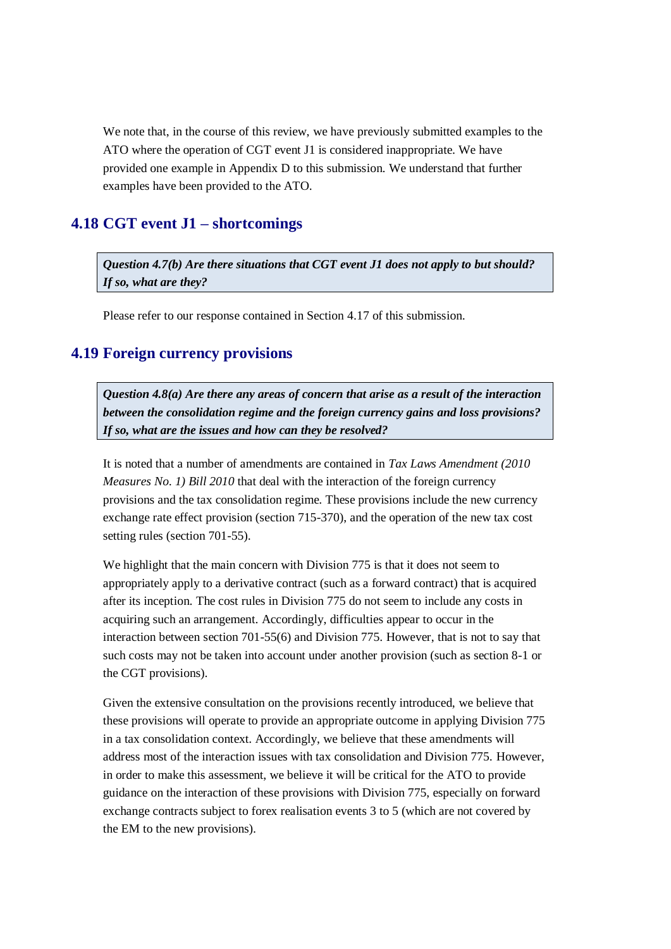We note that, in the course of this review, we have previously submitted examples to the ATO where the operation of CGT event J1 is considered inappropriate. We have provided one example in Appendix D to this submission. We understand that further examples have been provided to the ATO.

# **4.18 CGT event J1 – shortcomings**

*Question 4.7(b) Are there situations that CGT event J1 does not apply to but should? If so, what are they?*

Please refer to our response contained in Section [4.17](#page-50-0) of this submission.

# **4.19 Foreign currency provisions**

*Question 4.8(a) Are there any areas of concern that arise as a result of the interaction between the consolidation regime and the foreign currency gains and loss provisions? If so, what are the issues and how can they be resolved?*

It is noted that a number of amendments are contained in *Tax Laws Amendment (2010 Measures No. 1) Bill 2010* that deal with the interaction of the foreign currency provisions and the tax consolidation regime. These provisions include the new currency exchange rate effect provision (section 715-370), and the operation of the new tax cost setting rules (section 701-55).

We highlight that the main concern with Division 775 is that it does not seem to appropriately apply to a derivative contract (such as a forward contract) that is acquired after its inception. The cost rules in Division 775 do not seem to include any costs in acquiring such an arrangement. Accordingly, difficulties appear to occur in the interaction between section 701-55(6) and Division 775. However, that is not to say that such costs may not be taken into account under another provision (such as section 8-1 or the CGT provisions).

Given the extensive consultation on the provisions recently introduced, we believe that these provisions will operate to provide an appropriate outcome in applying Division 775 in a tax consolidation context. Accordingly, we believe that these amendments will address most of the interaction issues with tax consolidation and Division 775. However, in order to make this assessment, we believe it will be critical for the ATO to provide guidance on the interaction of these provisions with Division 775, especially on forward exchange contracts subject to forex realisation events 3 to 5 (which are not covered by the EM to the new provisions).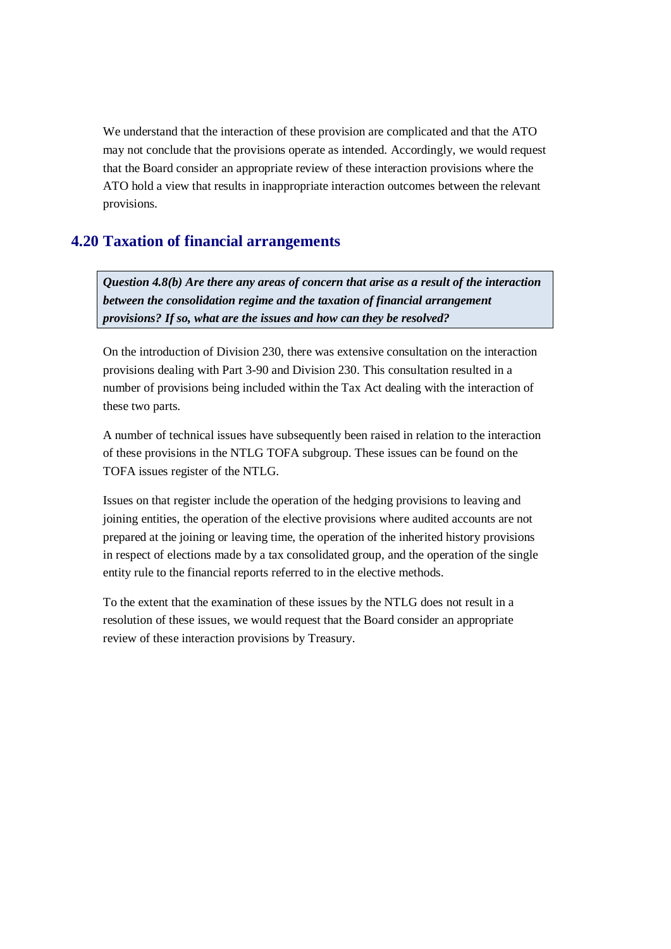We understand that the interaction of these provision are complicated and that the ATO may not conclude that the provisions operate as intended. Accordingly, we would request that the Board consider an appropriate review of these interaction provisions where the ATO hold a view that results in inappropriate interaction outcomes between the relevant provisions.

# **4.20 Taxation of financial arrangements**

*Question 4.8(b) Are there any areas of concern that arise as a result of the interaction between the consolidation regime and the taxation of financial arrangement provisions? If so, what are the issues and how can they be resolved?*

On the introduction of Division 230, there was extensive consultation on the interaction provisions dealing with Part 3-90 and Division 230. This consultation resulted in a number of provisions being included within the Tax Act dealing with the interaction of these two parts.

A number of technical issues have subsequently been raised in relation to the interaction of these provisions in the NTLG TOFA subgroup. These issues can be found on the TOFA issues register of the NTLG.

Issues on that register include the operation of the hedging provisions to leaving and joining entities, the operation of the elective provisions where audited accounts are not prepared at the joining or leaving time, the operation of the inherited history provisions in respect of elections made by a tax consolidated group, and the operation of the single entity rule to the financial reports referred to in the elective methods.

To the extent that the examination of these issues by the NTLG does not result in a resolution of these issues, we would request that the Board consider an appropriate review of these interaction provisions by Treasury.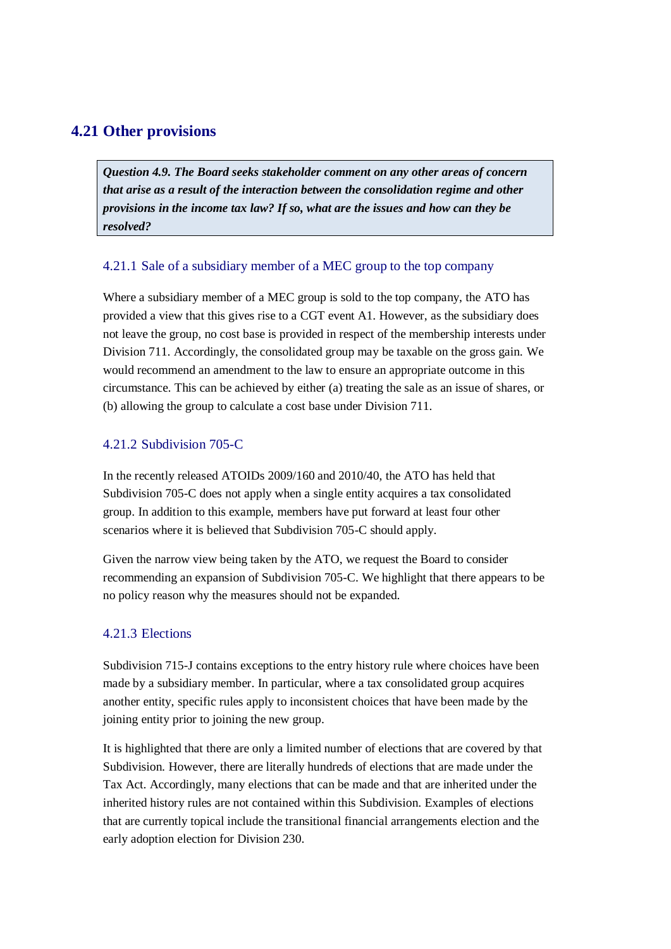# **4.21 Other provisions**

*Question 4.9. The Board seeks stakeholder comment on any other areas of concern that arise as a result of the interaction between the consolidation regime and other provisions in the income tax law? If so, what are the issues and how can they be resolved?*

### 4.21.1 Sale of a subsidiary member of a MEC group to the top company

Where a subsidiary member of a MEC group is sold to the top company, the ATO has provided a view that this gives rise to a CGT event A1. However, as the subsidiary does not leave the group, no cost base is provided in respect of the membership interests under Division 711. Accordingly, the consolidated group may be taxable on the gross gain. We would recommend an amendment to the law to ensure an appropriate outcome in this circumstance. This can be achieved by either (a) treating the sale as an issue of shares, or (b) allowing the group to calculate a cost base under Division 711.

### 4.21.2 Subdivision 705-C

In the recently released ATOIDs 2009/160 and 2010/40, the ATO has held that Subdivision 705-C does not apply when a single entity acquires a tax consolidated group. In addition to this example, members have put forward at least four other scenarios where it is believed that Subdivision 705-C should apply.

Given the narrow view being taken by the ATO, we request the Board to consider recommending an expansion of Subdivision 705-C. We highlight that there appears to be no policy reason why the measures should not be expanded.

### 4.21.3 Elections

Subdivision 715-J contains exceptions to the entry history rule where choices have been made by a subsidiary member. In particular, where a tax consolidated group acquires another entity, specific rules apply to inconsistent choices that have been made by the joining entity prior to joining the new group.

It is highlighted that there are only a limited number of elections that are covered by that Subdivision. However, there are literally hundreds of elections that are made under the Tax Act. Accordingly, many elections that can be made and that are inherited under the inherited history rules are not contained within this Subdivision. Examples of elections that are currently topical include the transitional financial arrangements election and the early adoption election for Division 230.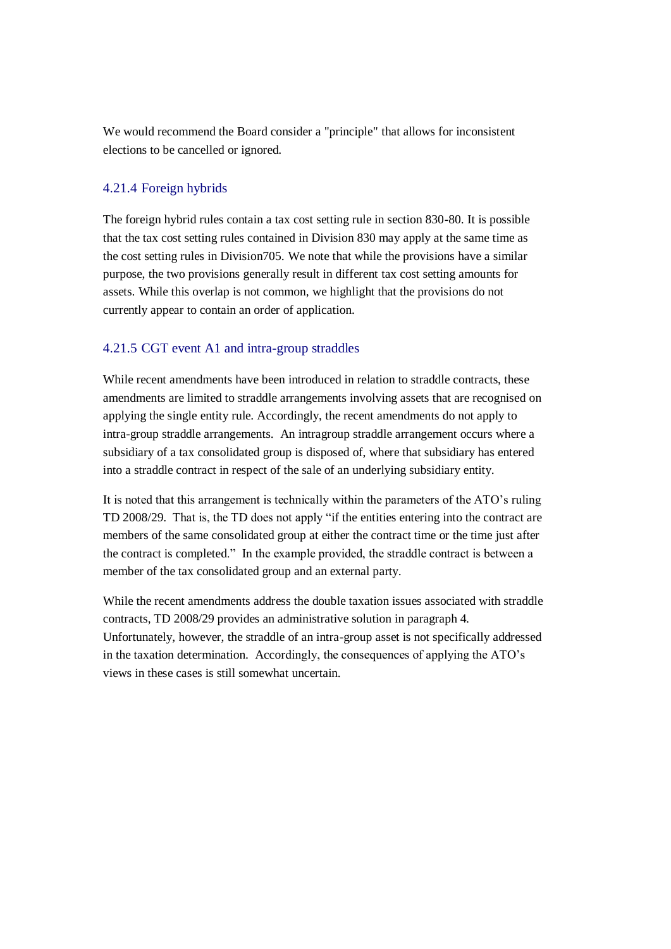We would recommend the Board consider a "principle" that allows for inconsistent elections to be cancelled or ignored.

### 4.21.4 Foreign hybrids

The foreign hybrid rules contain a tax cost setting rule in section 830-80. It is possible that the tax cost setting rules contained in Division 830 may apply at the same time as the cost setting rules in Division705. We note that while the provisions have a similar purpose, the two provisions generally result in different tax cost setting amounts for assets. While this overlap is not common, we highlight that the provisions do not currently appear to contain an order of application.

### 4.21.5 CGT event A1 and intra-group straddles

While recent amendments have been introduced in relation to straddle contracts, these amendments are limited to straddle arrangements involving assets that are recognised on applying the single entity rule. Accordingly, the recent amendments do not apply to intra-group straddle arrangements. An intragroup straddle arrangement occurs where a subsidiary of a tax consolidated group is disposed of, where that subsidiary has entered into a straddle contract in respect of the sale of an underlying subsidiary entity.

It is noted that this arrangement is technically within the parameters of the ATO"s ruling TD 2008/29. That is, the TD does not apply "if the entities entering into the contract are members of the same consolidated group at either the contract time or the time just after the contract is completed." In the example provided, the straddle contract is between a member of the tax consolidated group and an external party.

While the recent amendments address the double taxation issues associated with straddle contracts, TD 2008/29 provides an administrative solution in paragraph 4. Unfortunately, however, the straddle of an intra-group asset is not specifically addressed in the taxation determination. Accordingly, the consequences of applying the ATO"s views in these cases is still somewhat uncertain.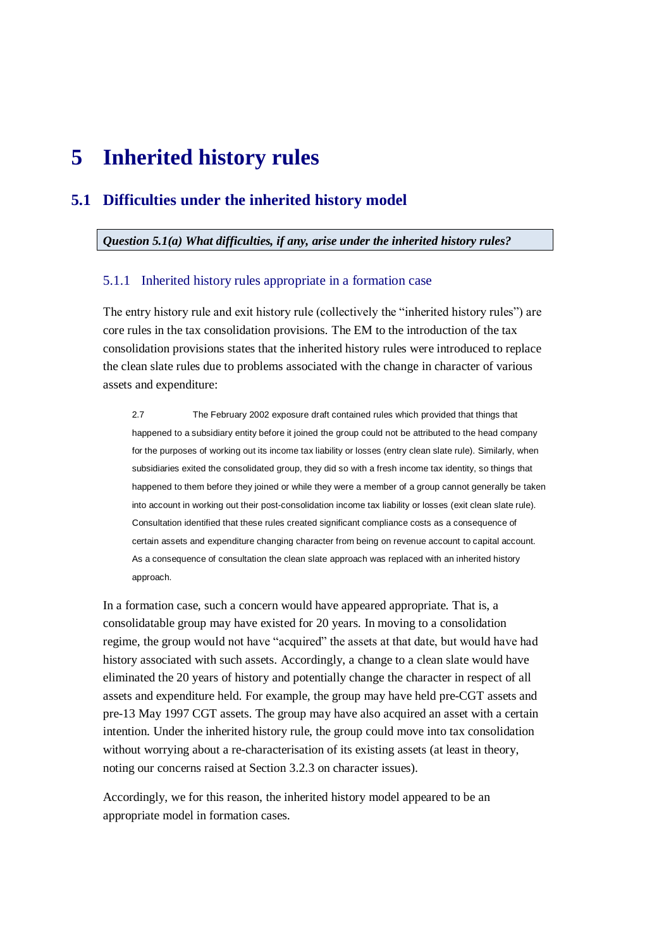# **5 Inherited history rules**

### **5.1 Difficulties under the inherited history model**

#### *Question 5.1(a) What difficulties, if any, arise under the inherited history rules?*

#### 5.1.1 Inherited history rules appropriate in a formation case

The entry history rule and exit history rule (collectively the "inherited history rules") are core rules in the tax consolidation provisions. The EM to the introduction of the tax consolidation provisions states that the inherited history rules were introduced to replace the clean slate rules due to problems associated with the change in character of various assets and expenditure:

2.7 The February 2002 exposure draft contained rules which provided that things that happened to a subsidiary entity before it joined the group could not be attributed to the head company for the purposes of working out its income tax liability or losses (entry clean slate rule). Similarly, when subsidiaries exited the consolidated group, they did so with a fresh income tax identity, so things that happened to them before they joined or while they were a member of a group cannot generally be taken into account in working out their post-consolidation income tax liability or losses (exit clean slate rule). Consultation identified that these rules created significant compliance costs as a consequence of certain assets and expenditure changing character from being on revenue account to capital account. As a consequence of consultation the clean slate approach was replaced with an inherited history approach.

In a formation case, such a concern would have appeared appropriate. That is, a consolidatable group may have existed for 20 years. In moving to a consolidation regime, the group would not have "acquired" the assets at that date, but would have had history associated with such assets. Accordingly, a change to a clean slate would have eliminated the 20 years of history and potentially change the character in respect of all assets and expenditure held. For example, the group may have held pre-CGT assets and pre-13 May 1997 CGT assets. The group may have also acquired an asset with a certain intention. Under the inherited history rule, the group could move into tax consolidation without worrying about a re-characterisation of its existing assets (at least in theory, noting our concerns raised at Section [3.2.3](#page-16-0) on character issues).

Accordingly, we for this reason, the inherited history model appeared to be an appropriate model in formation cases.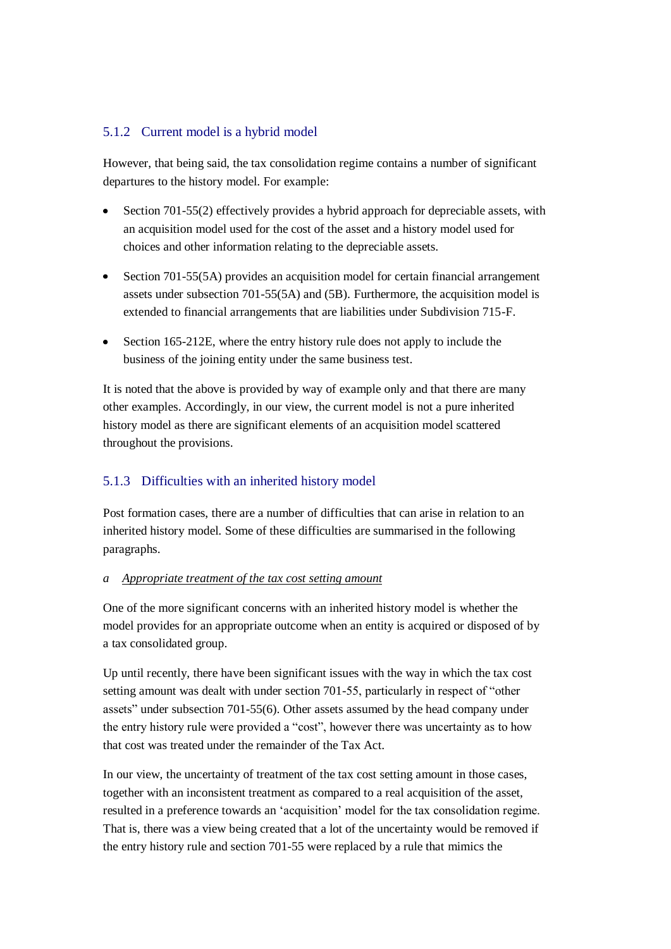### 5.1.2 Current model is a hybrid model

However, that being said, the tax consolidation regime contains a number of significant departures to the history model. For example:

- Section 701-55(2) effectively provides a hybrid approach for depreciable assets, with  $\bullet$ an acquisition model used for the cost of the asset and a history model used for choices and other information relating to the depreciable assets.
- Section 701-55(5A) provides an acquisition model for certain financial arrangement  $\bullet$ assets under subsection 701-55(5A) and (5B). Furthermore, the acquisition model is extended to financial arrangements that are liabilities under Subdivision 715-F.
- $\bullet$  . Section 165-212E, where the entry history rule does not apply to include the business of the joining entity under the same business test.

It is noted that the above is provided by way of example only and that there are many other examples. Accordingly, in our view, the current model is not a pure inherited history model as there are significant elements of an acquisition model scattered throughout the provisions.

### 5.1.3 Difficulties with an inherited history model

Post formation cases, there are a number of difficulties that can arise in relation to an inherited history model. Some of these difficulties are summarised in the following paragraphs.

#### *a Appropriate treatment of the tax cost setting amount*

One of the more significant concerns with an inherited history model is whether the model provides for an appropriate outcome when an entity is acquired or disposed of by a tax consolidated group.

Up until recently, there have been significant issues with the way in which the tax cost setting amount was dealt with under section 701-55, particularly in respect of "other assets" under subsection 701-55(6). Other assets assumed by the head company under the entry history rule were provided a "cost", however there was uncertainty as to how that cost was treated under the remainder of the Tax Act.

In our view, the uncertainty of treatment of the tax cost setting amount in those cases, together with an inconsistent treatment as compared to a real acquisition of the asset, resulted in a preference towards an "acquisition" model for the tax consolidation regime. That is, there was a view being created that a lot of the uncertainty would be removed if the entry history rule and section 701-55 were replaced by a rule that mimics the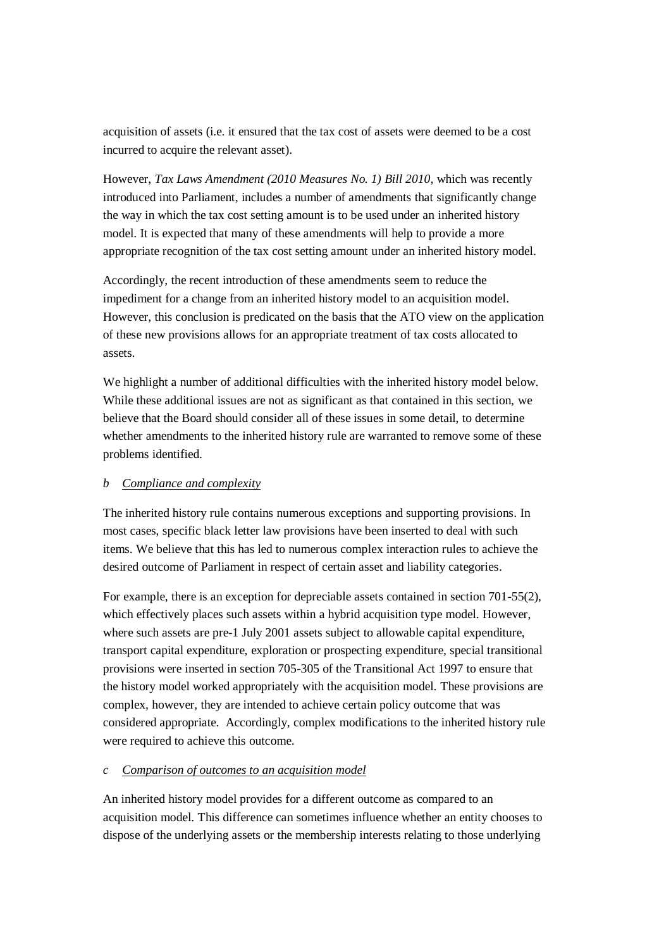acquisition of assets (i.e. it ensured that the tax cost of assets were deemed to be a cost incurred to acquire the relevant asset).

However, *Tax Laws Amendment (2010 Measures No. 1) Bill 2010*, which was recently introduced into Parliament, includes a number of amendments that significantly change the way in which the tax cost setting amount is to be used under an inherited history model. It is expected that many of these amendments will help to provide a more appropriate recognition of the tax cost setting amount under an inherited history model.

Accordingly, the recent introduction of these amendments seem to reduce the impediment for a change from an inherited history model to an acquisition model. However, this conclusion is predicated on the basis that the ATO view on the application of these new provisions allows for an appropriate treatment of tax costs allocated to assets.

We highlight a number of additional difficulties with the inherited history model below. While these additional issues are not as significant as that contained in this section, we believe that the Board should consider all of these issues in some detail, to determine whether amendments to the inherited history rule are warranted to remove some of these problems identified.

### *b Compliance and complexity*

The inherited history rule contains numerous exceptions and supporting provisions. In most cases, specific black letter law provisions have been inserted to deal with such items. We believe that this has led to numerous complex interaction rules to achieve the desired outcome of Parliament in respect of certain asset and liability categories.

For example, there is an exception for depreciable assets contained in section 701-55(2), which effectively places such assets within a hybrid acquisition type model. However, where such assets are pre-1 July 2001 assets subject to allowable capital expenditure, transport capital expenditure, exploration or prospecting expenditure, special transitional provisions were inserted in section 705-305 of the Transitional Act 1997 to ensure that the history model worked appropriately with the acquisition model. These provisions are complex, however, they are intended to achieve certain policy outcome that was considered appropriate. Accordingly, complex modifications to the inherited history rule were required to achieve this outcome.

#### *c Comparison of outcomes to an acquisition model*

An inherited history model provides for a different outcome as compared to an acquisition model. This difference can sometimes influence whether an entity chooses to dispose of the underlying assets or the membership interests relating to those underlying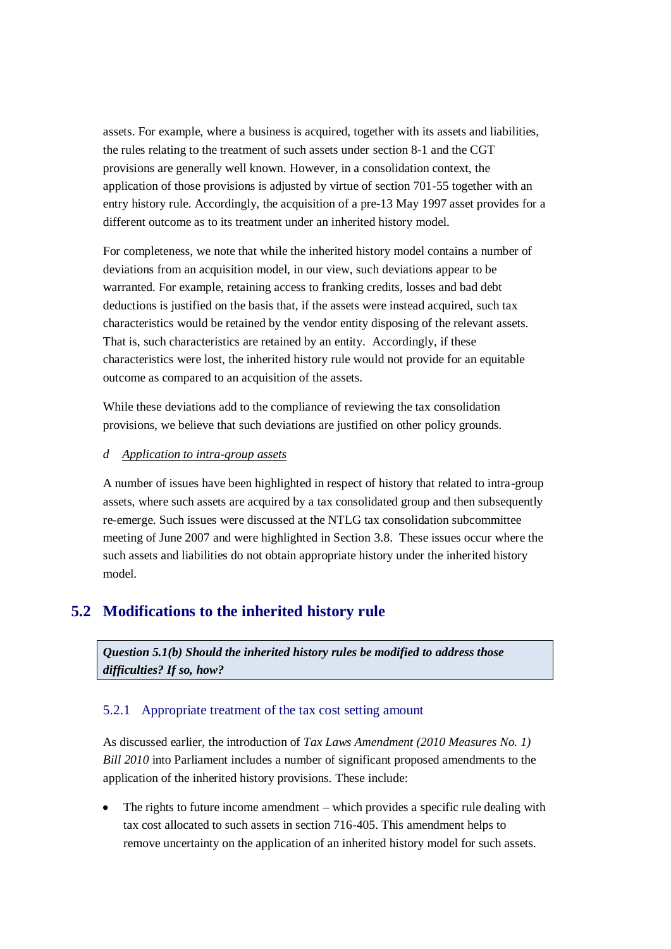assets. For example, where a business is acquired, together with its assets and liabilities, the rules relating to the treatment of such assets under section 8-1 and the CGT provisions are generally well known. However, in a consolidation context, the application of those provisions is adjusted by virtue of section 701-55 together with an entry history rule. Accordingly, the acquisition of a pre-13 May 1997 asset provides for a different outcome as to its treatment under an inherited history model.

For completeness, we note that while the inherited history model contains a number of deviations from an acquisition model, in our view, such deviations appear to be warranted. For example, retaining access to franking credits, losses and bad debt deductions is justified on the basis that, if the assets were instead acquired, such tax characteristics would be retained by the vendor entity disposing of the relevant assets. That is, such characteristics are retained by an entity. Accordingly, if these characteristics were lost, the inherited history rule would not provide for an equitable outcome as compared to an acquisition of the assets.

While these deviations add to the compliance of reviewing the tax consolidation provisions, we believe that such deviations are justified on other policy grounds.

#### *d Application to intra-group assets*

A number of issues have been highlighted in respect of history that related to intra-group assets, where such assets are acquired by a tax consolidated group and then subsequently re-emerge. Such issues were discussed at the NTLG tax consolidation subcommittee meeting of June 2007 and were highlighted in Section [3.8.](#page-32-0) These issues occur where the such assets and liabilities do not obtain appropriate history under the inherited history model.

# **5.2 Modifications to the inherited history rule**

*Question 5.1(b) Should the inherited history rules be modified to address those difficulties? If so, how?*

### 5.2.1 Appropriate treatment of the tax cost setting amount

As discussed earlier, the introduction of *Tax Laws Amendment (2010 Measures No. 1) Bill 2010* into Parliament includes a number of significant proposed amendments to the application of the inherited history provisions. These include:

The rights to future income amendment – which provides a specific rule dealing with  $\bullet$ tax cost allocated to such assets in section 716-405. This amendment helps to remove uncertainty on the application of an inherited history model for such assets.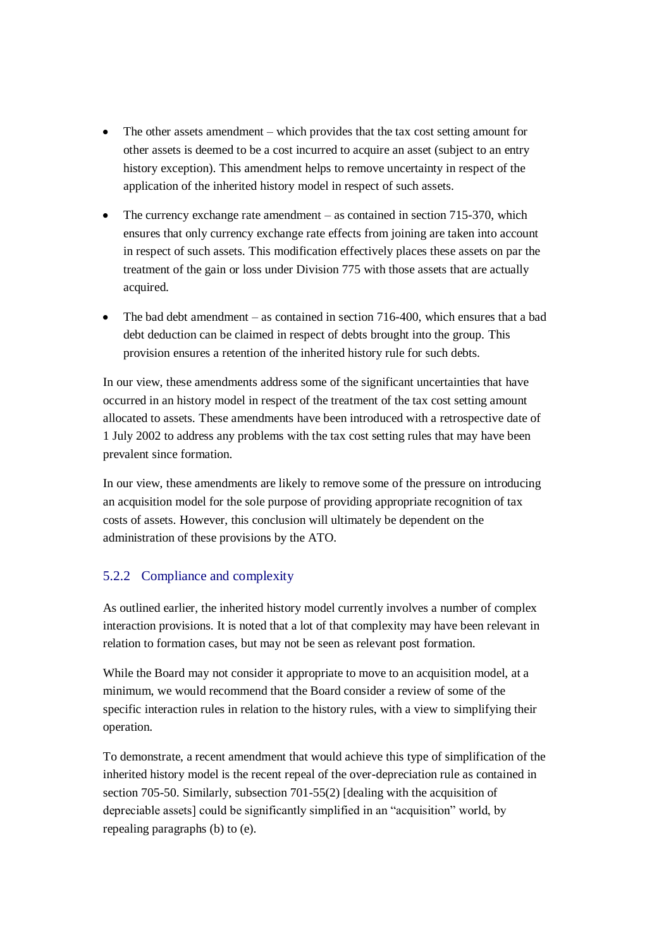- $\bullet$ The other assets amendment – which provides that the tax cost setting amount for other assets is deemed to be a cost incurred to acquire an asset (subject to an entry history exception). This amendment helps to remove uncertainty in respect of the application of the inherited history model in respect of such assets.
- The currency exchange rate amendment  $-$  as contained in section 715-370, which ensures that only currency exchange rate effects from joining are taken into account in respect of such assets. This modification effectively places these assets on par the treatment of the gain or loss under Division 775 with those assets that are actually acquired.
- The bad debt amendment as contained in section 716-400, which ensures that a bad  $\bullet$ debt deduction can be claimed in respect of debts brought into the group. This provision ensures a retention of the inherited history rule for such debts.

In our view, these amendments address some of the significant uncertainties that have occurred in an history model in respect of the treatment of the tax cost setting amount allocated to assets. These amendments have been introduced with a retrospective date of 1 July 2002 to address any problems with the tax cost setting rules that may have been prevalent since formation.

In our view, these amendments are likely to remove some of the pressure on introducing an acquisition model for the sole purpose of providing appropriate recognition of tax costs of assets. However, this conclusion will ultimately be dependent on the administration of these provisions by the ATO.

### 5.2.2 Compliance and complexity

As outlined earlier, the inherited history model currently involves a number of complex interaction provisions. It is noted that a lot of that complexity may have been relevant in relation to formation cases, but may not be seen as relevant post formation.

While the Board may not consider it appropriate to move to an acquisition model, at a minimum, we would recommend that the Board consider a review of some of the specific interaction rules in relation to the history rules, with a view to simplifying their operation.

To demonstrate, a recent amendment that would achieve this type of simplification of the inherited history model is the recent repeal of the over-depreciation rule as contained in section 705-50. Similarly, subsection 701-55(2) [dealing with the acquisition of depreciable assets] could be significantly simplified in an "acquisition" world, by repealing paragraphs (b) to (e).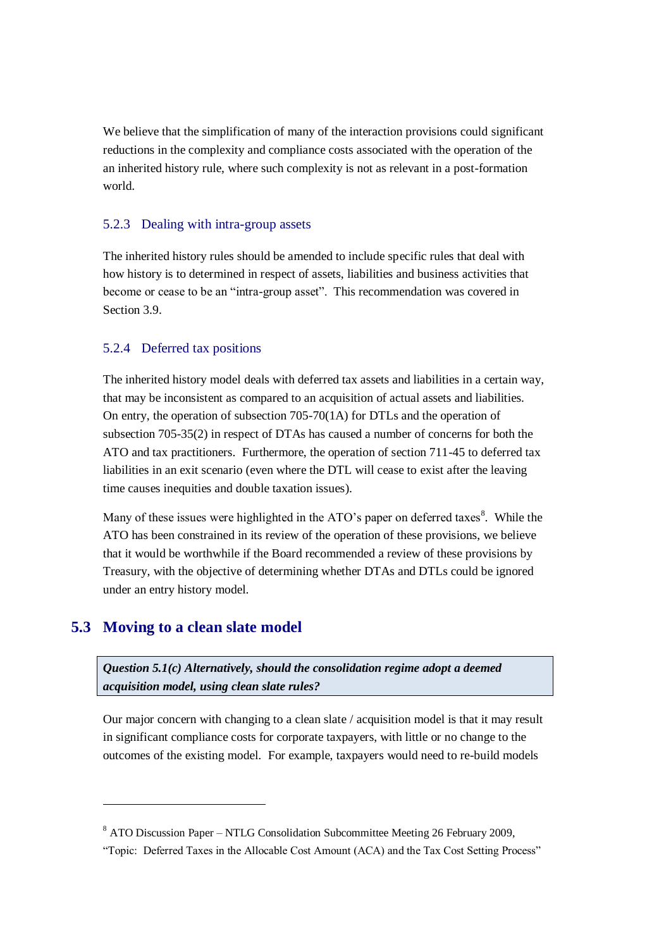We believe that the simplification of many of the interaction provisions could significant reductions in the complexity and compliance costs associated with the operation of the an inherited history rule, where such complexity is not as relevant in a post-formation world.

### 5.2.3 Dealing with intra-group assets

The inherited history rules should be amended to include specific rules that deal with how history is to determined in respect of assets, liabilities and business activities that become or cease to be an "intra-group asset". This recommendation was covered in Section [3.9.](#page-33-0)

### 5.2.4 Deferred tax positions

The inherited history model deals with deferred tax assets and liabilities in a certain way, that may be inconsistent as compared to an acquisition of actual assets and liabilities. On entry, the operation of subsection 705-70(1A) for DTLs and the operation of subsection 705-35(2) in respect of DTAs has caused a number of concerns for both the ATO and tax practitioners. Furthermore, the operation of section 711-45 to deferred tax liabilities in an exit scenario (even where the DTL will cease to exist after the leaving time causes inequities and double taxation issues).

Many of these issues were highlighted in the ATO's paper on deferred taxes<sup>8</sup>. While the ATO has been constrained in its review of the operation of these provisions, we believe that it would be worthwhile if the Board recommended a review of these provisions by Treasury, with the objective of determining whether DTAs and DTLs could be ignored under an entry history model.

# **5.3 Moving to a clean slate model**

-

*Question 5.1(c) Alternatively, should the consolidation regime adopt a deemed acquisition model, using clean slate rules?*

Our major concern with changing to a clean slate / acquisition model is that it may result in significant compliance costs for corporate taxpayers, with little or no change to the outcomes of the existing model. For example, taxpayers would need to re-build models

<sup>8</sup> ATO Discussion Paper – NTLG Consolidation Subcommittee Meeting 26 February 2009,

<sup>&</sup>quot;Topic: Deferred Taxes in the Allocable Cost Amount (ACA) and the Tax Cost Setting Process"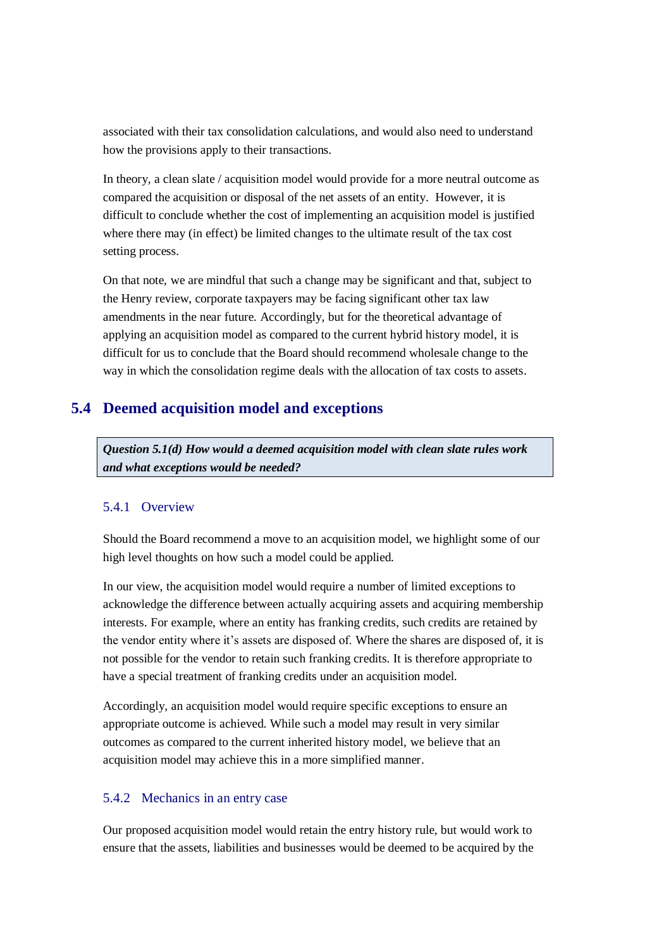associated with their tax consolidation calculations, and would also need to understand how the provisions apply to their transactions.

In theory, a clean slate / acquisition model would provide for a more neutral outcome as compared the acquisition or disposal of the net assets of an entity. However, it is difficult to conclude whether the cost of implementing an acquisition model is justified where there may (in effect) be limited changes to the ultimate result of the tax cost setting process.

On that note, we are mindful that such a change may be significant and that, subject to the Henry review, corporate taxpayers may be facing significant other tax law amendments in the near future. Accordingly, but for the theoretical advantage of applying an acquisition model as compared to the current hybrid history model, it is difficult for us to conclude that the Board should recommend wholesale change to the way in which the consolidation regime deals with the allocation of tax costs to assets.

# **5.4 Deemed acquisition model and exceptions**

*Question 5.1(d) How would a deemed acquisition model with clean slate rules work and what exceptions would be needed?*

### 5.4.1 Overview

Should the Board recommend a move to an acquisition model, we highlight some of our high level thoughts on how such a model could be applied.

In our view, the acquisition model would require a number of limited exceptions to acknowledge the difference between actually acquiring assets and acquiring membership interests. For example, where an entity has franking credits, such credits are retained by the vendor entity where it"s assets are disposed of. Where the shares are disposed of, it is not possible for the vendor to retain such franking credits. It is therefore appropriate to have a special treatment of franking credits under an acquisition model.

Accordingly, an acquisition model would require specific exceptions to ensure an appropriate outcome is achieved. While such a model may result in very similar outcomes as compared to the current inherited history model, we believe that an acquisition model may achieve this in a more simplified manner.

### 5.4.2 Mechanics in an entry case

Our proposed acquisition model would retain the entry history rule, but would work to ensure that the assets, liabilities and businesses would be deemed to be acquired by the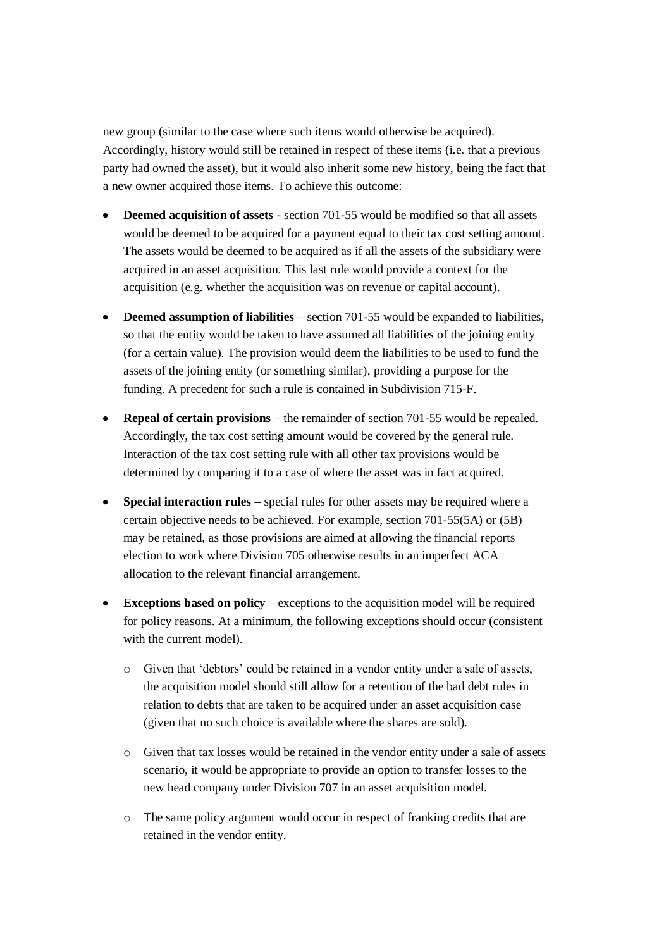new group (similar to the case where such items would otherwise be acquired). Accordingly, history would still be retained in respect of these items (i.e. that a previous party had owned the asset), but it would also inherit some new history, being the fact that a new owner acquired those items. To achieve this outcome:

- **Deemed acquisition of assets** section 701-55 would be modified so that all assets would be deemed to be acquired for a payment equal to their tax cost setting amount. The assets would be deemed to be acquired as if all the assets of the subsidiary were acquired in an asset acquisition. This last rule would provide a context for the acquisition (e.g. whether the acquisition was on revenue or capital account).
- **Deemed assumption of liabilities** section 701-55 would be expanded to liabilities, so that the entity would be taken to have assumed all liabilities of the joining entity (for a certain value). The provision would deem the liabilities to be used to fund the assets of the joining entity (or something similar), providing a purpose for the funding. A precedent for such a rule is contained in Subdivision 715-F.
- **Repeal of certain provisions** the remainder of section 701-55 would be repealed.  $\bullet$ Accordingly, the tax cost setting amount would be covered by the general rule. Interaction of the tax cost setting rule with all other tax provisions would be determined by comparing it to a case of where the asset was in fact acquired.
- $\bullet$ **Special interaction rules –** special rules for other assets may be required where a certain objective needs to be achieved. For example, section 701-55(5A) or (5B) may be retained, as those provisions are aimed at allowing the financial reports election to work where Division 705 otherwise results in an imperfect ACA allocation to the relevant financial arrangement.
- $\bullet$ **Exceptions based on policy** – exceptions to the acquisition model will be required for policy reasons. At a minimum, the following exceptions should occur (consistent with the current model).
	- o Given that "debtors" could be retained in a vendor entity under a sale of assets, the acquisition model should still allow for a retention of the bad debt rules in relation to debts that are taken to be acquired under an asset acquisition case (given that no such choice is available where the shares are sold).
	- o Given that tax losses would be retained in the vendor entity under a sale of assets scenario, it would be appropriate to provide an option to transfer losses to the new head company under Division 707 in an asset acquisition model.
	- o The same policy argument would occur in respect of franking credits that are retained in the vendor entity.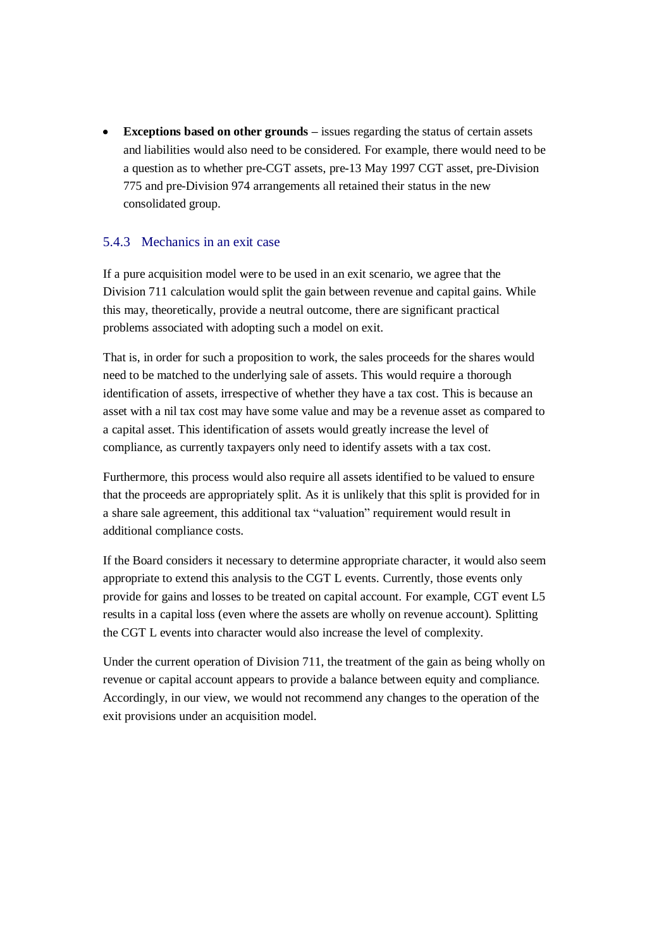$\bullet$ **Exceptions based on other grounds –** issues regarding the status of certain assets and liabilities would also need to be considered. For example, there would need to be a question as to whether pre-CGT assets, pre-13 May 1997 CGT asset, pre-Division 775 and pre-Division 974 arrangements all retained their status in the new consolidated group.

### 5.4.3 Mechanics in an exit case

If a pure acquisition model were to be used in an exit scenario, we agree that the Division 711 calculation would split the gain between revenue and capital gains. While this may, theoretically, provide a neutral outcome, there are significant practical problems associated with adopting such a model on exit.

That is, in order for such a proposition to work, the sales proceeds for the shares would need to be matched to the underlying sale of assets. This would require a thorough identification of assets, irrespective of whether they have a tax cost. This is because an asset with a nil tax cost may have some value and may be a revenue asset as compared to a capital asset. This identification of assets would greatly increase the level of compliance, as currently taxpayers only need to identify assets with a tax cost.

Furthermore, this process would also require all assets identified to be valued to ensure that the proceeds are appropriately split. As it is unlikely that this split is provided for in a share sale agreement, this additional tax "valuation" requirement would result in additional compliance costs.

If the Board considers it necessary to determine appropriate character, it would also seem appropriate to extend this analysis to the CGT L events. Currently, those events only provide for gains and losses to be treated on capital account. For example, CGT event L5 results in a capital loss (even where the assets are wholly on revenue account). Splitting the CGT L events into character would also increase the level of complexity.

Under the current operation of Division 711, the treatment of the gain as being wholly on revenue or capital account appears to provide a balance between equity and compliance. Accordingly, in our view, we would not recommend any changes to the operation of the exit provisions under an acquisition model.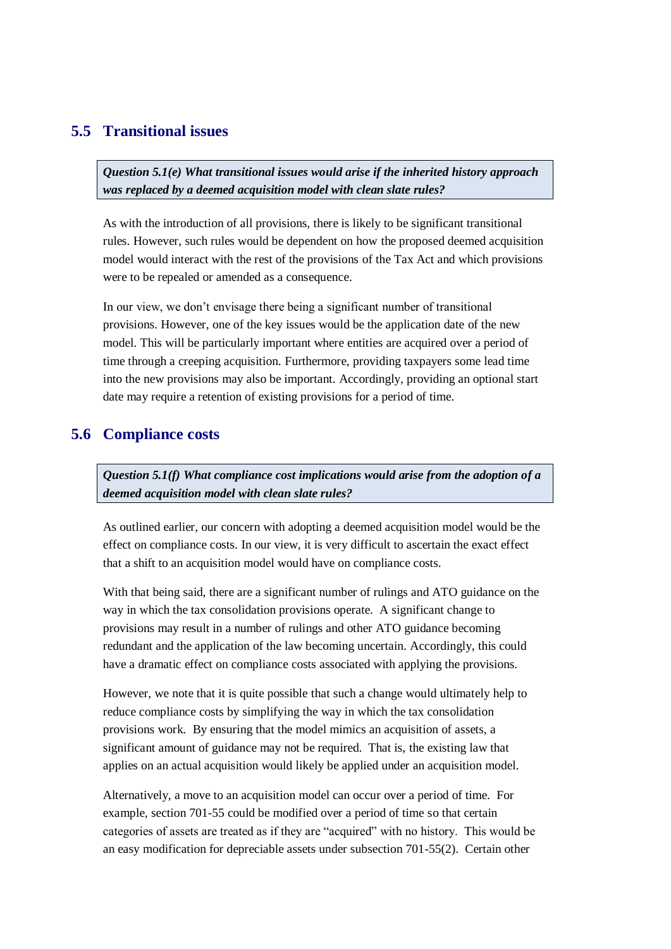# **5.5 Transitional issues**

*Question 5.1(e) What transitional issues would arise if the inherited history approach was replaced by a deemed acquisition model with clean slate rules?*

As with the introduction of all provisions, there is likely to be significant transitional rules. However, such rules would be dependent on how the proposed deemed acquisition model would interact with the rest of the provisions of the Tax Act and which provisions were to be repealed or amended as a consequence.

In our view, we don"t envisage there being a significant number of transitional provisions. However, one of the key issues would be the application date of the new model. This will be particularly important where entities are acquired over a period of time through a creeping acquisition. Furthermore, providing taxpayers some lead time into the new provisions may also be important. Accordingly, providing an optional start date may require a retention of existing provisions for a period of time.

# **5.6 Compliance costs**

*Question 5.1(f) What compliance cost implications would arise from the adoption of a deemed acquisition model with clean slate rules?*

As outlined earlier, our concern with adopting a deemed acquisition model would be the effect on compliance costs. In our view, it is very difficult to ascertain the exact effect that a shift to an acquisition model would have on compliance costs.

With that being said, there are a significant number of rulings and ATO guidance on the way in which the tax consolidation provisions operate. A significant change to provisions may result in a number of rulings and other ATO guidance becoming redundant and the application of the law becoming uncertain. Accordingly, this could have a dramatic effect on compliance costs associated with applying the provisions.

However, we note that it is quite possible that such a change would ultimately help to reduce compliance costs by simplifying the way in which the tax consolidation provisions work. By ensuring that the model mimics an acquisition of assets, a significant amount of guidance may not be required. That is, the existing law that applies on an actual acquisition would likely be applied under an acquisition model.

Alternatively, a move to an acquisition model can occur over a period of time. For example, section 701-55 could be modified over a period of time so that certain categories of assets are treated as if they are "acquired" with no history. This would be an easy modification for depreciable assets under subsection 701-55(2). Certain other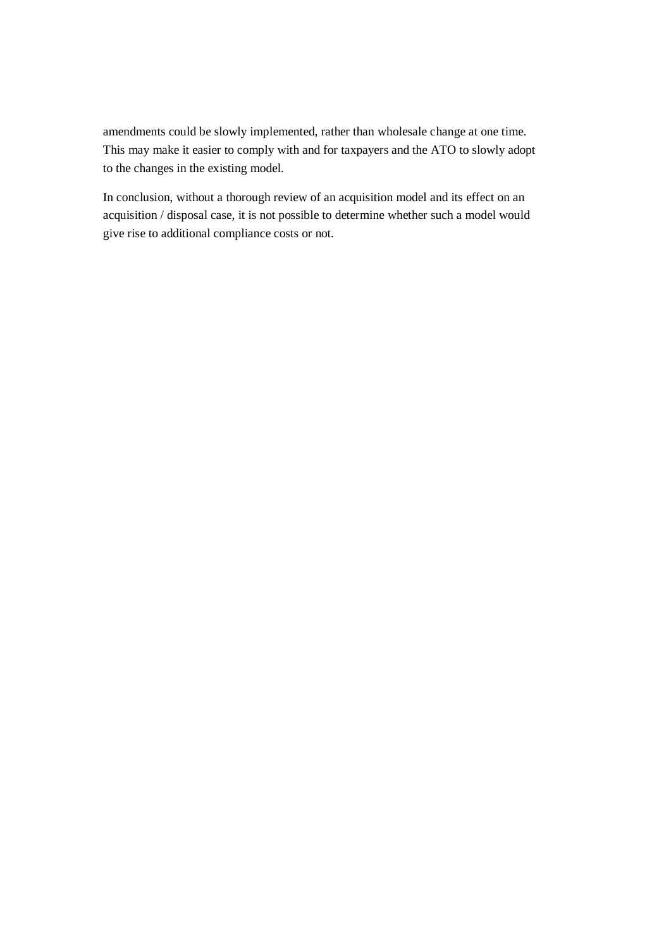amendments could be slowly implemented, rather than wholesale change at one time. This may make it easier to comply with and for taxpayers and the ATO to slowly adopt to the changes in the existing model.

In conclusion, without a thorough review of an acquisition model and its effect on an acquisition / disposal case, it is not possible to determine whether such a model would give rise to additional compliance costs or not.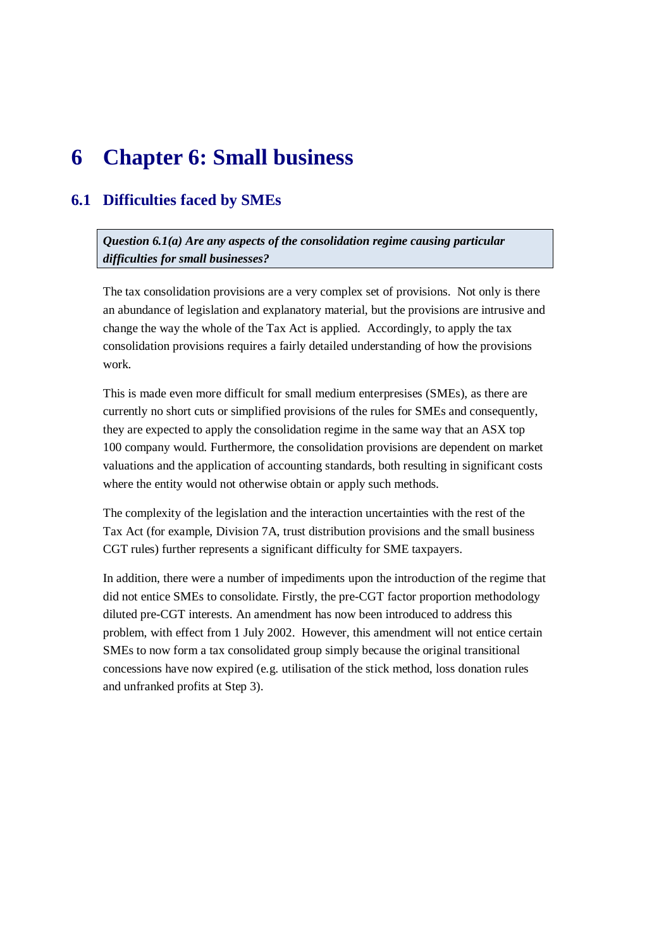# **6 Chapter 6: Small business**

# **6.1 Difficulties faced by SMEs**

*Question 6.1(a) Are any aspects of the consolidation regime causing particular difficulties for small businesses?*

The tax consolidation provisions are a very complex set of provisions. Not only is there an abundance of legislation and explanatory material, but the provisions are intrusive and change the way the whole of the Tax Act is applied. Accordingly, to apply the tax consolidation provisions requires a fairly detailed understanding of how the provisions work.

This is made even more difficult for small medium enterpresises (SMEs), as there are currently no short cuts or simplified provisions of the rules for SMEs and consequently, they are expected to apply the consolidation regime in the same way that an ASX top 100 company would. Furthermore, the consolidation provisions are dependent on market valuations and the application of accounting standards, both resulting in significant costs where the entity would not otherwise obtain or apply such methods.

The complexity of the legislation and the interaction uncertainties with the rest of the Tax Act (for example, Division 7A, trust distribution provisions and the small business CGT rules) further represents a significant difficulty for SME taxpayers.

In addition, there were a number of impediments upon the introduction of the regime that did not entice SMEs to consolidate. Firstly, the pre-CGT factor proportion methodology diluted pre-CGT interests. An amendment has now been introduced to address this problem, with effect from 1 July 2002. However, this amendment will not entice certain SMEs to now form a tax consolidated group simply because the original transitional concessions have now expired (e.g. utilisation of the stick method, loss donation rules and unfranked profits at Step 3).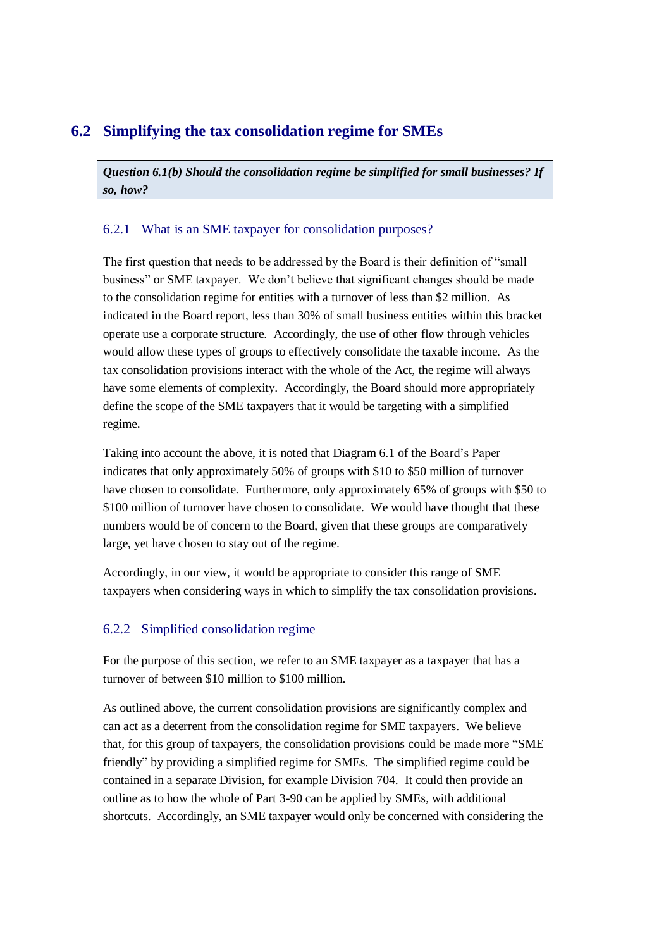# **6.2 Simplifying the tax consolidation regime for SMEs**

*Question 6.1(b) Should the consolidation regime be simplified for small businesses? If so, how?*

### 6.2.1 What is an SME taxpayer for consolidation purposes?

The first question that needs to be addressed by the Board is their definition of "small business" or SME taxpayer. We don"t believe that significant changes should be made to the consolidation regime for entities with a turnover of less than \$2 million. As indicated in the Board report, less than 30% of small business entities within this bracket operate use a corporate structure. Accordingly, the use of other flow through vehicles would allow these types of groups to effectively consolidate the taxable income. As the tax consolidation provisions interact with the whole of the Act, the regime will always have some elements of complexity. Accordingly, the Board should more appropriately define the scope of the SME taxpayers that it would be targeting with a simplified regime.

Taking into account the above, it is noted that Diagram 6.1 of the Board"s Paper indicates that only approximately 50% of groups with \$10 to \$50 million of turnover have chosen to consolidate. Furthermore, only approximately 65% of groups with \$50 to \$100 million of turnover have chosen to consolidate. We would have thought that these numbers would be of concern to the Board, given that these groups are comparatively large, yet have chosen to stay out of the regime.

Accordingly, in our view, it would be appropriate to consider this range of SME taxpayers when considering ways in which to simplify the tax consolidation provisions.

# 6.2.2 Simplified consolidation regime

For the purpose of this section, we refer to an SME taxpayer as a taxpayer that has a turnover of between \$10 million to \$100 million.

As outlined above, the current consolidation provisions are significantly complex and can act as a deterrent from the consolidation regime for SME taxpayers. We believe that, for this group of taxpayers, the consolidation provisions could be made more "SME friendly" by providing a simplified regime for SMEs. The simplified regime could be contained in a separate Division, for example Division 704. It could then provide an outline as to how the whole of Part 3-90 can be applied by SMEs, with additional shortcuts. Accordingly, an SME taxpayer would only be concerned with considering the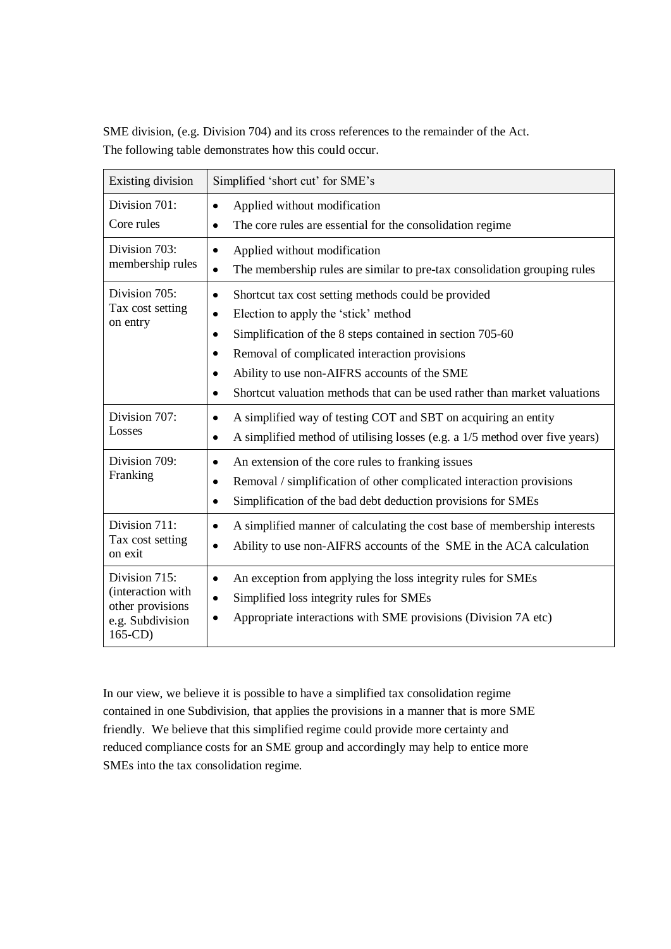SME division, (e.g. Division 704) and its cross references to the remainder of the Act. The following table demonstrates how this could occur.

| <b>Existing division</b>                                                                 | Simplified 'short cut' for SME's                                                                                                                                                                                                                                                                                                                                                                     |
|------------------------------------------------------------------------------------------|------------------------------------------------------------------------------------------------------------------------------------------------------------------------------------------------------------------------------------------------------------------------------------------------------------------------------------------------------------------------------------------------------|
| Division 701:<br>Core rules                                                              | Applied without modification<br>$\bullet$<br>The core rules are essential for the consolidation regime<br>$\bullet$                                                                                                                                                                                                                                                                                  |
| Division 703:<br>membership rules                                                        | Applied without modification<br>$\bullet$<br>The membership rules are similar to pre-tax consolidation grouping rules<br>$\bullet$                                                                                                                                                                                                                                                                   |
| Division 705:<br>Tax cost setting<br>on entry                                            | Shortcut tax cost setting methods could be provided<br>$\bullet$<br>Election to apply the 'stick' method<br>$\bullet$<br>Simplification of the 8 steps contained in section 705-60<br>٠<br>Removal of complicated interaction provisions<br>٠<br>Ability to use non-AIFRS accounts of the SME<br>$\bullet$<br>Shortcut valuation methods that can be used rather than market valuations<br>$\bullet$ |
| Division 707:<br>Losses                                                                  | A simplified way of testing COT and SBT on acquiring an entity<br>٠<br>A simplified method of utilising losses (e.g. a 1/5 method over five years)<br>٠                                                                                                                                                                                                                                              |
| Division 709:<br>Franking                                                                | An extension of the core rules to franking issues<br>٠<br>Removal / simplification of other complicated interaction provisions<br>٠<br>Simplification of the bad debt deduction provisions for SMEs<br>$\bullet$                                                                                                                                                                                     |
| Division 711:<br>Tax cost setting<br>on exit                                             | A simplified manner of calculating the cost base of membership interests<br>$\bullet$<br>Ability to use non-AIFRS accounts of the SME in the ACA calculation<br>$\bullet$                                                                                                                                                                                                                            |
| Division 715:<br>(interaction with<br>other provisions<br>e.g. Subdivision<br>$165$ -CD) | An exception from applying the loss integrity rules for SMEs<br>$\bullet$<br>Simplified loss integrity rules for SMEs<br>٠<br>Appropriate interactions with SME provisions (Division 7A etc)<br>٠                                                                                                                                                                                                    |

In our view, we believe it is possible to have a simplified tax consolidation regime contained in one Subdivision, that applies the provisions in a manner that is more SME friendly. We believe that this simplified regime could provide more certainty and reduced compliance costs for an SME group and accordingly may help to entice more SMEs into the tax consolidation regime.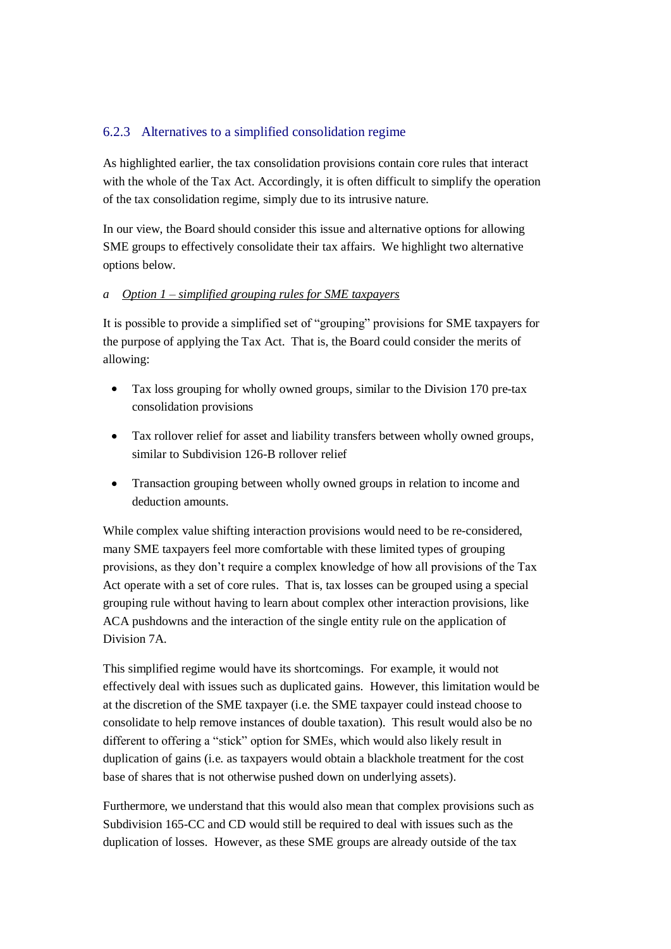### 6.2.3 Alternatives to a simplified consolidation regime

As highlighted earlier, the tax consolidation provisions contain core rules that interact with the whole of the Tax Act. Accordingly, it is often difficult to simplify the operation of the tax consolidation regime, simply due to its intrusive nature.

In our view, the Board should consider this issue and alternative options for allowing SME groups to effectively consolidate their tax affairs. We highlight two alternative options below.

### *a Option 1 – simplified grouping rules for SME taxpayers*

It is possible to provide a simplified set of "grouping" provisions for SME taxpayers for the purpose of applying the Tax Act. That is, the Board could consider the merits of allowing:

- $\bullet$ Tax loss grouping for wholly owned groups, similar to the Division 170 pre-tax consolidation provisions
- Tax rollover relief for asset and liability transfers between wholly owned groups, similar to Subdivision 126-B rollover relief
- $\bullet$ Transaction grouping between wholly owned groups in relation to income and deduction amounts.

While complex value shifting interaction provisions would need to be re-considered, many SME taxpayers feel more comfortable with these limited types of grouping provisions, as they don"t require a complex knowledge of how all provisions of the Tax Act operate with a set of core rules. That is, tax losses can be grouped using a special grouping rule without having to learn about complex other interaction provisions, like ACA pushdowns and the interaction of the single entity rule on the application of Division 7A.

This simplified regime would have its shortcomings. For example, it would not effectively deal with issues such as duplicated gains. However, this limitation would be at the discretion of the SME taxpayer (i.e. the SME taxpayer could instead choose to consolidate to help remove instances of double taxation). This result would also be no different to offering a "stick" option for SMEs, which would also likely result in duplication of gains (i.e. as taxpayers would obtain a blackhole treatment for the cost base of shares that is not otherwise pushed down on underlying assets).

Furthermore, we understand that this would also mean that complex provisions such as Subdivision 165-CC and CD would still be required to deal with issues such as the duplication of losses. However, as these SME groups are already outside of the tax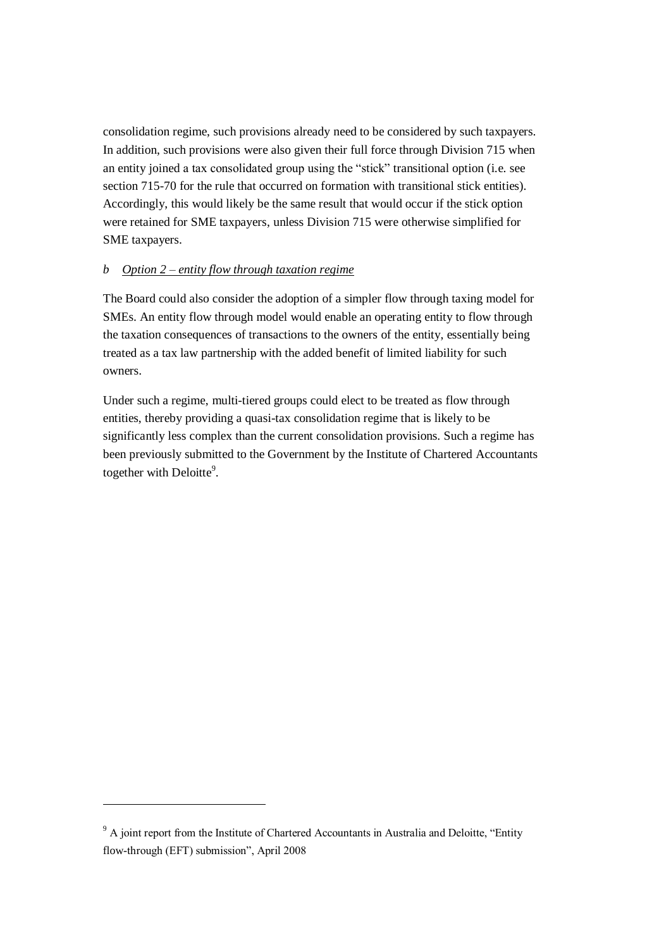consolidation regime, such provisions already need to be considered by such taxpayers. In addition, such provisions were also given their full force through Division 715 when an entity joined a tax consolidated group using the "stick" transitional option (i.e. see section 715-70 for the rule that occurred on formation with transitional stick entities). Accordingly, this would likely be the same result that would occur if the stick option were retained for SME taxpayers, unless Division 715 were otherwise simplified for SME taxpayers.

### *b Option 2 – entity flow through taxation regime*

The Board could also consider the adoption of a simpler flow through taxing model for SMEs. An entity flow through model would enable an operating entity to flow through the taxation consequences of transactions to the owners of the entity, essentially being treated as a tax law partnership with the added benefit of limited liability for such owners.

Under such a regime, multi-tiered groups could elect to be treated as flow through entities, thereby providing a quasi-tax consolidation regime that is likely to be significantly less complex than the current consolidation provisions. Such a regime has been previously submitted to the Government by the Institute of Chartered Accountants together with Deloitte<sup>9</sup>.

-

<sup>&</sup>lt;sup>9</sup> A joint report from the Institute of Chartered Accountants in Australia and Deloitte, "Entity" flow-through (EFT) submission", April 2008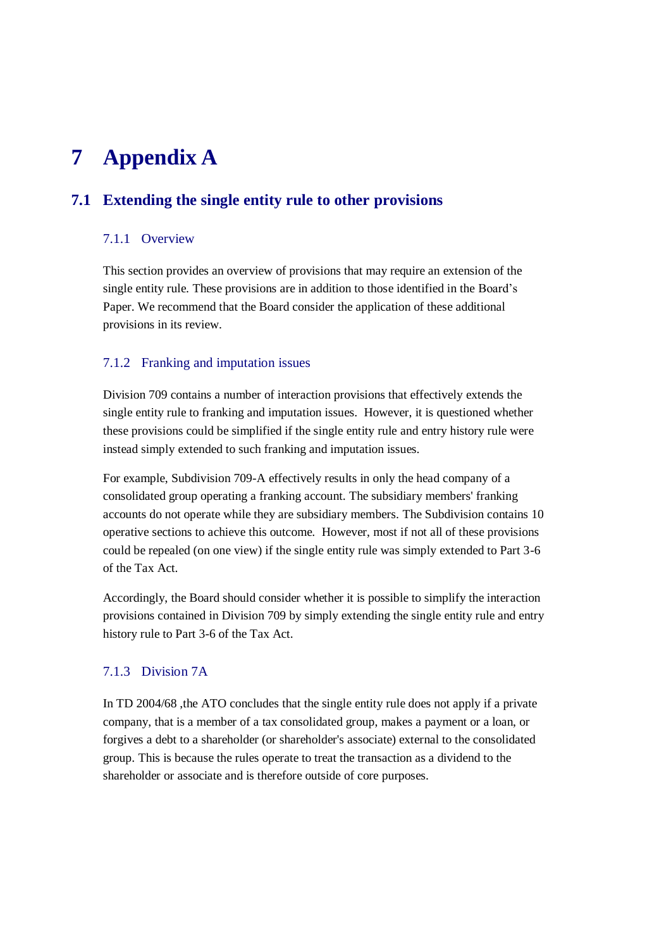# **7 Appendix A**

# **7.1 Extending the single entity rule to other provisions**

### 7.1.1 Overview

This section provides an overview of provisions that may require an extension of the single entity rule. These provisions are in addition to those identified in the Board"s Paper. We recommend that the Board consider the application of these additional provisions in its review.

### 7.1.2 Franking and imputation issues

Division 709 contains a number of interaction provisions that effectively extends the single entity rule to franking and imputation issues. However, it is questioned whether these provisions could be simplified if the single entity rule and entry history rule were instead simply extended to such franking and imputation issues.

For example, Subdivision 709-A effectively results in only the head company of a consolidated group operating a franking account. The subsidiary members' franking accounts do not operate while they are subsidiary members. The Subdivision contains 10 operative sections to achieve this outcome. However, most if not all of these provisions could be repealed (on one view) if the single entity rule was simply extended to Part 3-6 of the Tax Act.

Accordingly, the Board should consider whether it is possible to simplify the interaction provisions contained in Division 709 by simply extending the single entity rule and entry history rule to Part 3-6 of the Tax Act.

### 7.1.3 Division 7A

In TD 2004/68 ,the ATO concludes that the single entity rule does not apply if a private company, that is a member of a tax consolidated group, makes a payment or a loan, or forgives a debt to a shareholder (or shareholder's associate) external to the consolidated group. This is because the rules operate to treat the transaction as a dividend to the shareholder or associate and is therefore outside of core purposes.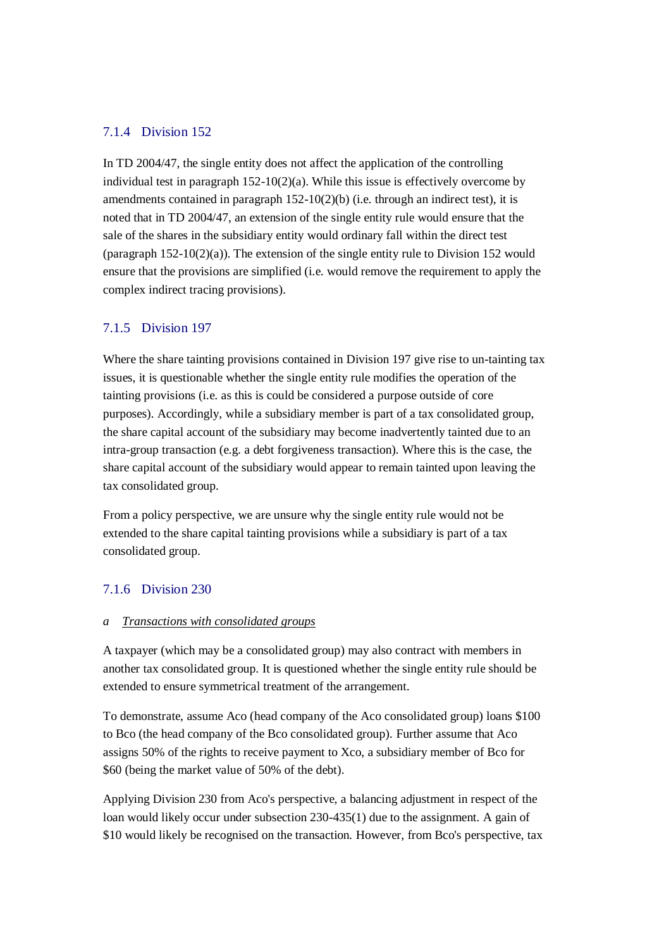## 7.1.4 Division 152

In TD 2004/47, the single entity does not affect the application of the controlling individual test in paragraph 152-10(2)(a). While this issue is effectively overcome by amendments contained in paragraph 152-10(2)(b) (i.e. through an indirect test), it is noted that in TD 2004/47, an extension of the single entity rule would ensure that the sale of the shares in the subsidiary entity would ordinary fall within the direct test (paragraph  $152-10(2)(a)$ ). The extension of the single entity rule to Division 152 would ensure that the provisions are simplified (i.e. would remove the requirement to apply the complex indirect tracing provisions).

## 7.1.5 Division 197

Where the share tainting provisions contained in Division 197 give rise to un-tainting tax issues, it is questionable whether the single entity rule modifies the operation of the tainting provisions (i.e. as this is could be considered a purpose outside of core purposes). Accordingly, while a subsidiary member is part of a tax consolidated group, the share capital account of the subsidiary may become inadvertently tainted due to an intra-group transaction (e.g. a debt forgiveness transaction). Where this is the case, the share capital account of the subsidiary would appear to remain tainted upon leaving the tax consolidated group.

From a policy perspective, we are unsure why the single entity rule would not be extended to the share capital tainting provisions while a subsidiary is part of a tax consolidated group.

## 7.1.6 Division 230

#### *a Transactions with consolidated groups*

A taxpayer (which may be a consolidated group) may also contract with members in another tax consolidated group. It is questioned whether the single entity rule should be extended to ensure symmetrical treatment of the arrangement.

To demonstrate, assume Aco (head company of the Aco consolidated group) loans \$100 to Bco (the head company of the Bco consolidated group). Further assume that Aco assigns 50% of the rights to receive payment to Xco, a subsidiary member of Bco for \$60 (being the market value of 50% of the debt).

Applying Division 230 from Aco's perspective, a balancing adjustment in respect of the loan would likely occur under subsection 230-435(1) due to the assignment. A gain of \$10 would likely be recognised on the transaction. However, from Bco's perspective, tax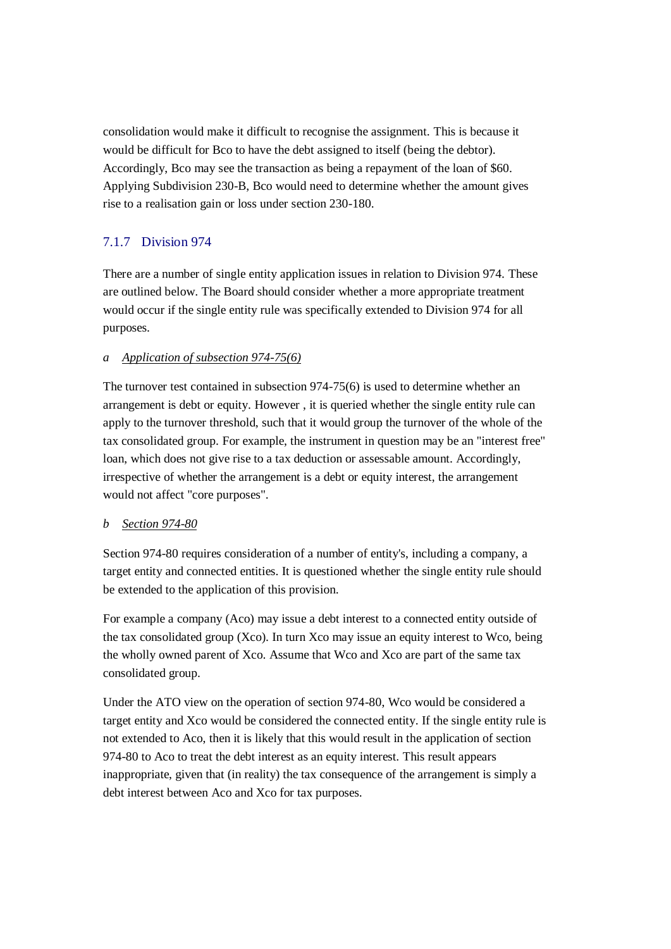consolidation would make it difficult to recognise the assignment. This is because it would be difficult for Bco to have the debt assigned to itself (being the debtor). Accordingly, Bco may see the transaction as being a repayment of the loan of \$60. Applying Subdivision 230-B, Bco would need to determine whether the amount gives rise to a realisation gain or loss under section 230-180.

## 7.1.7 Division 974

There are a number of single entity application issues in relation to Division 974. These are outlined below. The Board should consider whether a more appropriate treatment would occur if the single entity rule was specifically extended to Division 974 for all purposes.

## *a Application of subsection 974-75(6)*

The turnover test contained in subsection 974-75(6) is used to determine whether an arrangement is debt or equity. However , it is queried whether the single entity rule can apply to the turnover threshold, such that it would group the turnover of the whole of the tax consolidated group. For example, the instrument in question may be an "interest free" loan, which does not give rise to a tax deduction or assessable amount. Accordingly, irrespective of whether the arrangement is a debt or equity interest, the arrangement would not affect "core purposes".

## *b Section 974-80*

Section 974-80 requires consideration of a number of entity's, including a company, a target entity and connected entities. It is questioned whether the single entity rule should be extended to the application of this provision.

For example a company (Aco) may issue a debt interest to a connected entity outside of the tax consolidated group (Xco). In turn Xco may issue an equity interest to Wco, being the wholly owned parent of Xco. Assume that Wco and Xco are part of the same tax consolidated group.

Under the ATO view on the operation of section 974-80, Wco would be considered a target entity and Xco would be considered the connected entity. If the single entity rule is not extended to Aco, then it is likely that this would result in the application of section 974-80 to Aco to treat the debt interest as an equity interest. This result appears inappropriate, given that (in reality) the tax consequence of the arrangement is simply a debt interest between Aco and Xco for tax purposes.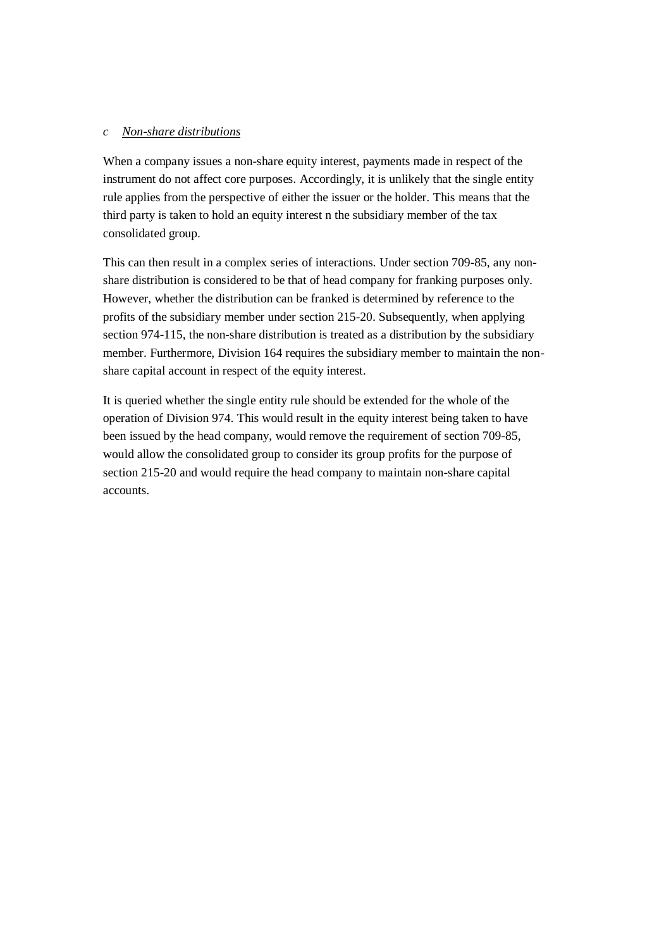#### *c Non-share distributions*

When a company issues a non-share equity interest, payments made in respect of the instrument do not affect core purposes. Accordingly, it is unlikely that the single entity rule applies from the perspective of either the issuer or the holder. This means that the third party is taken to hold an equity interest n the subsidiary member of the tax consolidated group.

This can then result in a complex series of interactions. Under section 709-85, any nonshare distribution is considered to be that of head company for franking purposes only. However, whether the distribution can be franked is determined by reference to the profits of the subsidiary member under section 215-20. Subsequently, when applying section 974-115, the non-share distribution is treated as a distribution by the subsidiary member. Furthermore, Division 164 requires the subsidiary member to maintain the nonshare capital account in respect of the equity interest.

It is queried whether the single entity rule should be extended for the whole of the operation of Division 974. This would result in the equity interest being taken to have been issued by the head company, would remove the requirement of section 709-85, would allow the consolidated group to consider its group profits for the purpose of section 215-20 and would require the head company to maintain non-share capital accounts.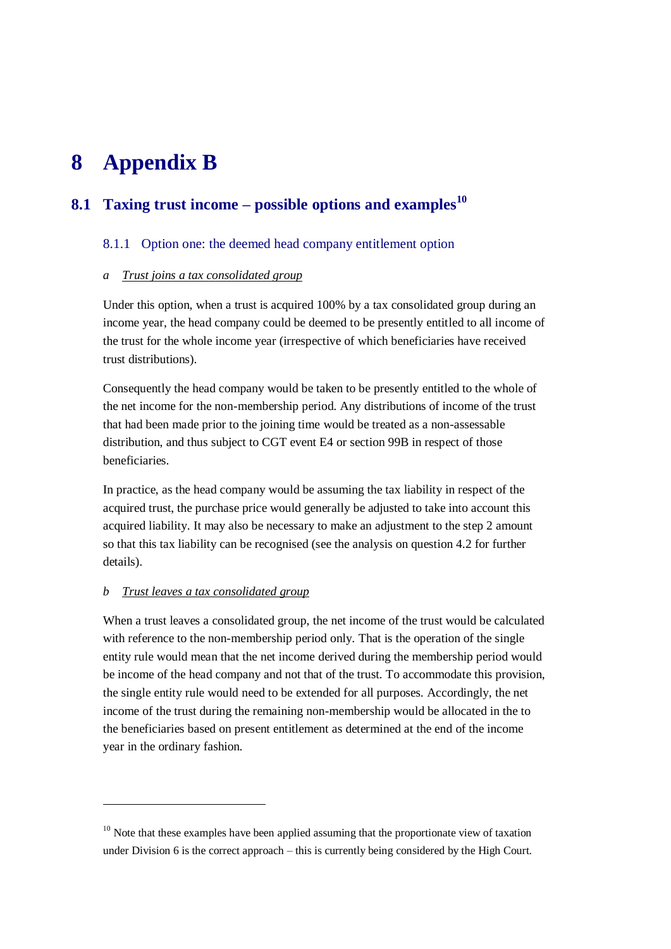# **8 Appendix B**

# **8.1 Taxing trust income – possible options and examples<sup>10</sup>**

## 8.1.1 Option one: the deemed head company entitlement option

#### *a Trust joins a tax consolidated group*

Under this option, when a trust is acquired 100% by a tax consolidated group during an income year, the head company could be deemed to be presently entitled to all income of the trust for the whole income year (irrespective of which beneficiaries have received trust distributions).

Consequently the head company would be taken to be presently entitled to the whole of the net income for the non-membership period. Any distributions of income of the trust that had been made prior to the joining time would be treated as a non-assessable distribution, and thus subject to CGT event E4 or section 99B in respect of those beneficiaries.

In practice, as the head company would be assuming the tax liability in respect of the acquired trust, the purchase price would generally be adjusted to take into account this acquired liability. It may also be necessary to make an adjustment to the step 2 amount so that this tax liability can be recognised (see the analysis on question 4.2 for further details).

## *b Trust leaves a tax consolidated group*

-

When a trust leaves a consolidated group, the net income of the trust would be calculated with reference to the non-membership period only. That is the operation of the single entity rule would mean that the net income derived during the membership period would be income of the head company and not that of the trust. To accommodate this provision, the single entity rule would need to be extended for all purposes. Accordingly, the net income of the trust during the remaining non-membership would be allocated in the to the beneficiaries based on present entitlement as determined at the end of the income year in the ordinary fashion.

 $10<sup>10</sup>$  Note that these examples have been applied assuming that the proportionate view of taxation under Division 6 is the correct approach – this is currently being considered by the High Court.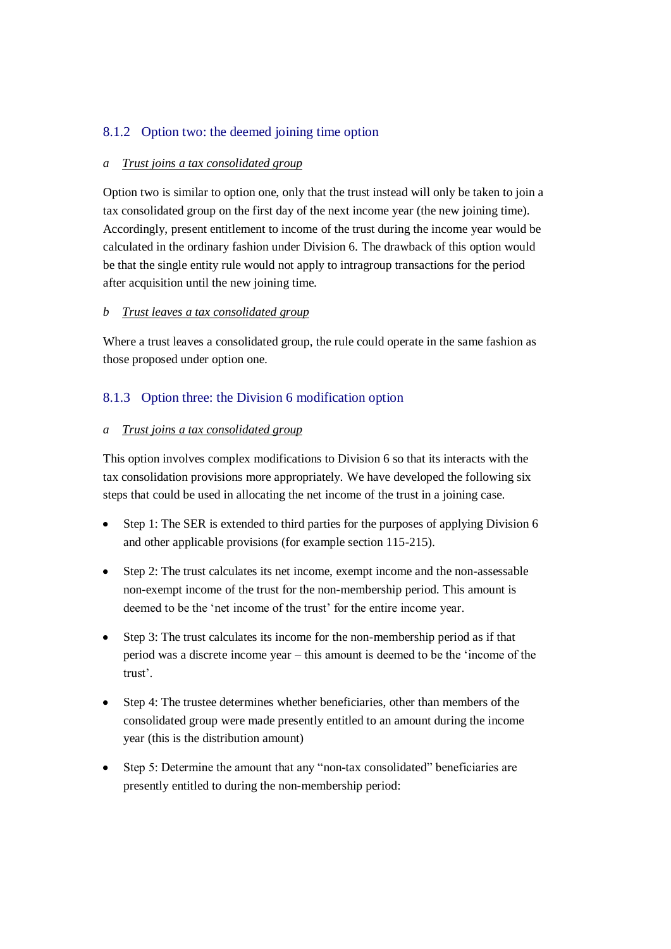## 8.1.2 Option two: the deemed joining time option

### *a Trust joins a tax consolidated group*

Option two is similar to option one, only that the trust instead will only be taken to join a tax consolidated group on the first day of the next income year (the new joining time). Accordingly, present entitlement to income of the trust during the income year would be calculated in the ordinary fashion under Division 6. The drawback of this option would be that the single entity rule would not apply to intragroup transactions for the period after acquisition until the new joining time.

### *b Trust leaves a tax consolidated group*

Where a trust leaves a consolidated group, the rule could operate in the same fashion as those proposed under option one.

## 8.1.3 Option three: the Division 6 modification option

### *a Trust joins a tax consolidated group*

This option involves complex modifications to Division 6 so that its interacts with the tax consolidation provisions more appropriately. We have developed the following six steps that could be used in allocating the net income of the trust in a joining case.

- $\bullet$ Step 1: The SER is extended to third parties for the purposes of applying Division 6 and other applicable provisions (for example section 115-215).
- Step 2: The trust calculates its net income, exempt income and the non-assessable  $\bullet$ non-exempt income of the trust for the non-membership period. This amount is deemed to be the 'net income of the trust' for the entire income year.
- Step 3: The trust calculates its income for the non-membership period as if that  $\bullet$ period was a discrete income year – this amount is deemed to be the "income of the trust".
- Step 4: The trustee determines whether beneficiaries, other than members of the  $\bullet$ consolidated group were made presently entitled to an amount during the income year (this is the distribution amount)
- Step 5: Determine the amount that any "non-tax consolidated" beneficiaries are  $\bullet$ presently entitled to during the non-membership period: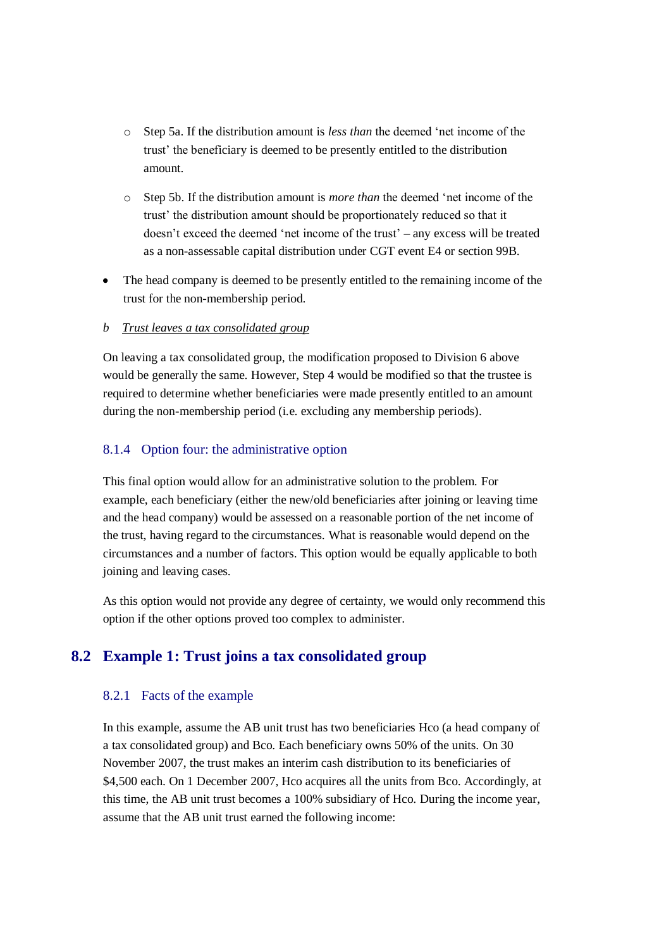- o Step 5a. If the distribution amount is *less than* the deemed "net income of the trust" the beneficiary is deemed to be presently entitled to the distribution amount.
- o Step 5b. If the distribution amount is *more than* the deemed "net income of the trust" the distribution amount should be proportionately reduced so that it doesn"t exceed the deemed "net income of the trust" – any excess will be treated as a non-assessable capital distribution under CGT event E4 or section 99B.
- The head company is deemed to be presently entitled to the remaining income of the  $\bullet$ trust for the non-membership period.

### *b Trust leaves a tax consolidated group*

On leaving a tax consolidated group, the modification proposed to Division 6 above would be generally the same. However, Step 4 would be modified so that the trustee is required to determine whether beneficiaries were made presently entitled to an amount during the non-membership period (i.e. excluding any membership periods).

### 8.1.4 Option four: the administrative option

This final option would allow for an administrative solution to the problem. For example, each beneficiary (either the new/old beneficiaries after joining or leaving time and the head company) would be assessed on a reasonable portion of the net income of the trust, having regard to the circumstances. What is reasonable would depend on the circumstances and a number of factors. This option would be equally applicable to both joining and leaving cases.

As this option would not provide any degree of certainty, we would only recommend this option if the other options proved too complex to administer.

# **8.2 Example 1: Trust joins a tax consolidated group**

### 8.2.1 Facts of the example

In this example, assume the AB unit trust has two beneficiaries Hco (a head company of a tax consolidated group) and Bco. Each beneficiary owns 50% of the units. On 30 November 2007, the trust makes an interim cash distribution to its beneficiaries of \$4,500 each. On 1 December 2007, Hco acquires all the units from Bco. Accordingly, at this time, the AB unit trust becomes a 100% subsidiary of Hco. During the income year, assume that the AB unit trust earned the following income: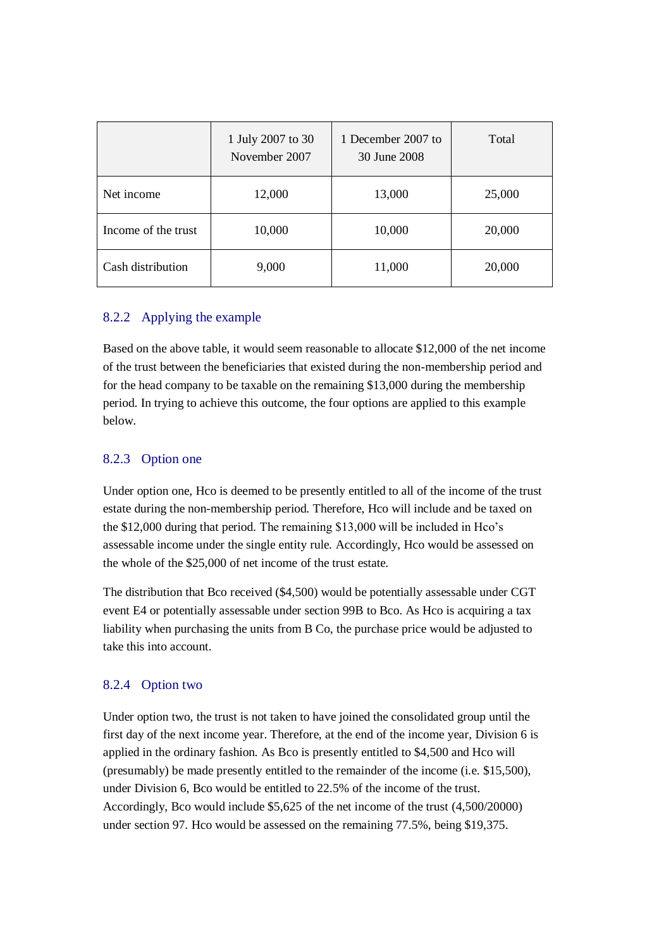|                     | 1 July 2007 to 30<br>1 December 2007 to<br>November 2007<br>30 June 2008 |        | Total  |
|---------------------|--------------------------------------------------------------------------|--------|--------|
| Net income          | 12,000                                                                   | 13,000 | 25,000 |
| Income of the trust | 10,000                                                                   | 10,000 | 20,000 |
| Cash distribution   | 9,000                                                                    | 11,000 | 20,000 |

## 8.2.2 Applying the example

Based on the above table, it would seem reasonable to allocate \$12,000 of the net income of the trust between the beneficiaries that existed during the non-membership period and for the head company to be taxable on the remaining \$13,000 during the membership period. In trying to achieve this outcome, the four options are applied to this example below.

## 8.2.3 Option one

Under option one, Hco is deemed to be presently entitled to all of the income of the trust estate during the non-membership period. Therefore, Hco will include and be taxed on the \$12,000 during that period. The remaining \$13,000 will be included in Hco"s assessable income under the single entity rule. Accordingly, Hco would be assessed on the whole of the \$25,000 of net income of the trust estate.

The distribution that Bco received (\$4,500) would be potentially assessable under CGT event E4 or potentially assessable under section 99B to Bco. As Hco is acquiring a tax liability when purchasing the units from B Co, the purchase price would be adjusted to take this into account.

## 8.2.4 Option two

Under option two, the trust is not taken to have joined the consolidated group until the first day of the next income year. Therefore, at the end of the income year, Division 6 is applied in the ordinary fashion. As Bco is presently entitled to \$4,500 and Hco will (presumably) be made presently entitled to the remainder of the income (i.e. \$15,500), under Division 6, Bco would be entitled to 22.5% of the income of the trust. Accordingly, Bco would include \$5,625 of the net income of the trust (4,500/20000) under section 97. Hco would be assessed on the remaining 77.5%, being \$19,375.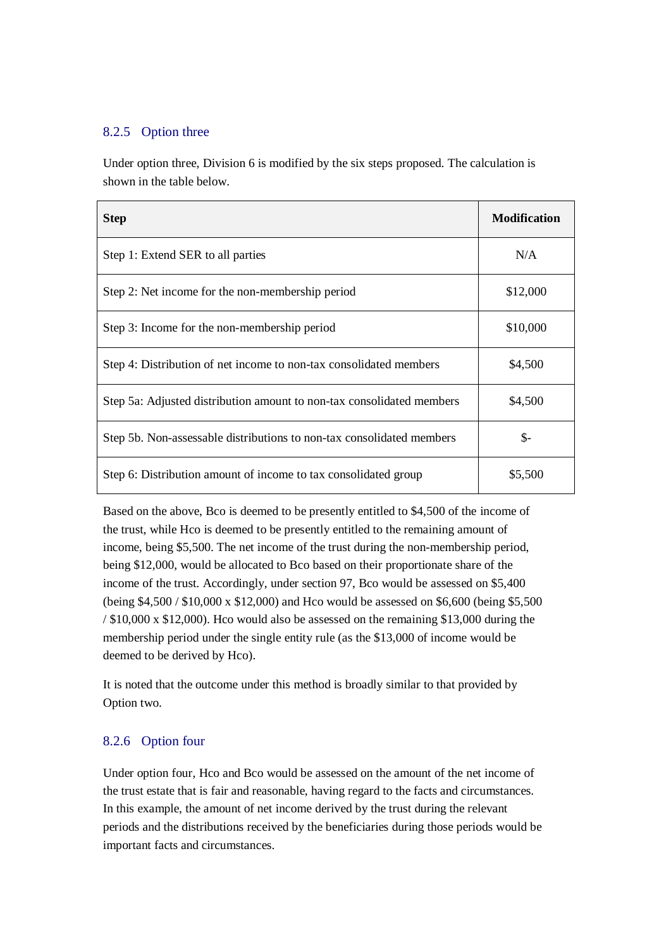## 8.2.5 Option three

Under option three, Division 6 is modified by the six steps proposed. The calculation is shown in the table below.

| <b>Step</b>                                                           | <b>Modification</b> |
|-----------------------------------------------------------------------|---------------------|
| Step 1: Extend SER to all parties                                     | N/A                 |
| Step 2: Net income for the non-membership period                      | \$12,000            |
| Step 3: Income for the non-membership period                          | \$10,000            |
| Step 4: Distribution of net income to non-tax consolidated members    | \$4,500             |
| Step 5a: Adjusted distribution amount to non-tax consolidated members | \$4,500             |
| Step 5b. Non-assessable distributions to non-tax consolidated members | \$-                 |
| Step 6: Distribution amount of income to tax consolidated group       | \$5,500             |

Based on the above, Bco is deemed to be presently entitled to \$4,500 of the income of the trust, while Hco is deemed to be presently entitled to the remaining amount of income, being \$5,500. The net income of the trust during the non-membership period, being \$12,000, would be allocated to Bco based on their proportionate share of the income of the trust. Accordingly, under section 97, Bco would be assessed on \$5,400 (being \$4,500 / \$10,000 x \$12,000) and Hco would be assessed on \$6,600 (being \$5,500 / \$10,000 x \$12,000). Hco would also be assessed on the remaining \$13,000 during the membership period under the single entity rule (as the \$13,000 of income would be deemed to be derived by Hco).

It is noted that the outcome under this method is broadly similar to that provided by Option two.

## 8.2.6 Option four

Under option four, Hco and Bco would be assessed on the amount of the net income of the trust estate that is fair and reasonable, having regard to the facts and circumstances. In this example, the amount of net income derived by the trust during the relevant periods and the distributions received by the beneficiaries during those periods would be important facts and circumstances.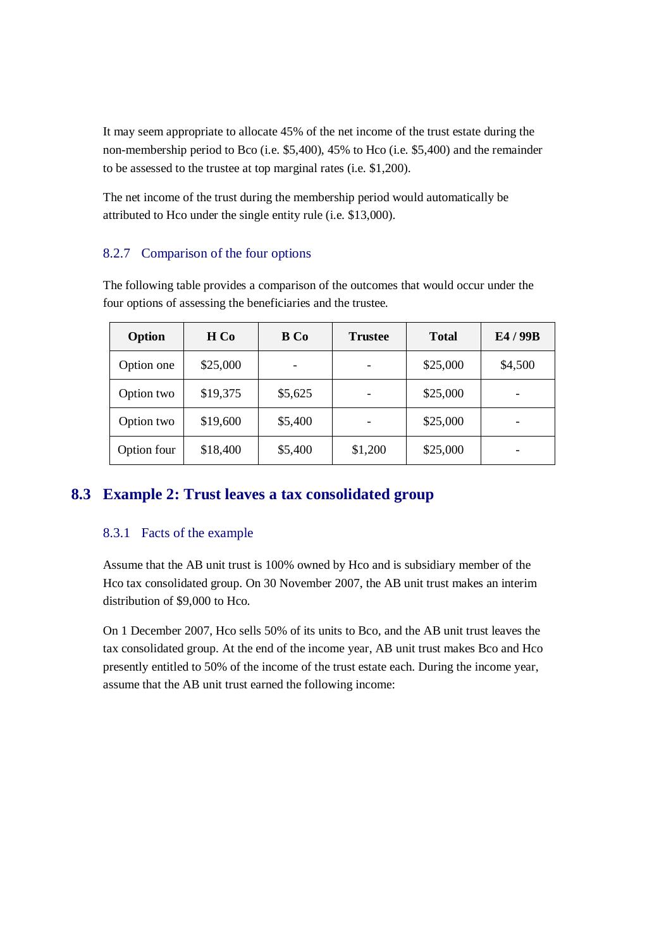It may seem appropriate to allocate 45% of the net income of the trust estate during the non-membership period to Bco (i.e. \$5,400), 45% to Hco (i.e. \$5,400) and the remainder to be assessed to the trustee at top marginal rates (i.e. \$1,200).

The net income of the trust during the membership period would automatically be attributed to Hco under the single entity rule (i.e. \$13,000).

## 8.2.7 Comparison of the four options

The following table provides a comparison of the outcomes that would occur under the four options of assessing the beneficiaries and the trustee.

| Option      | H Co     | <b>B</b> Co | <b>Trustee</b> | <b>Total</b> | E4 / 99B |
|-------------|----------|-------------|----------------|--------------|----------|
| Option one  | \$25,000 |             |                | \$25,000     | \$4,500  |
| Option two  | \$19,375 | \$5,625     |                | \$25,000     |          |
| Option two  | \$19,600 | \$5,400     |                | \$25,000     |          |
| Option four | \$18,400 | \$5,400     | \$1,200        | \$25,000     |          |

# **8.3 Example 2: Trust leaves a tax consolidated group**

## 8.3.1 Facts of the example

Assume that the AB unit trust is 100% owned by Hco and is subsidiary member of the Hco tax consolidated group. On 30 November 2007, the AB unit trust makes an interim distribution of \$9,000 to Hco.

On 1 December 2007, Hco sells 50% of its units to Bco, and the AB unit trust leaves the tax consolidated group. At the end of the income year, AB unit trust makes Bco and Hco presently entitled to 50% of the income of the trust estate each. During the income year, assume that the AB unit trust earned the following income: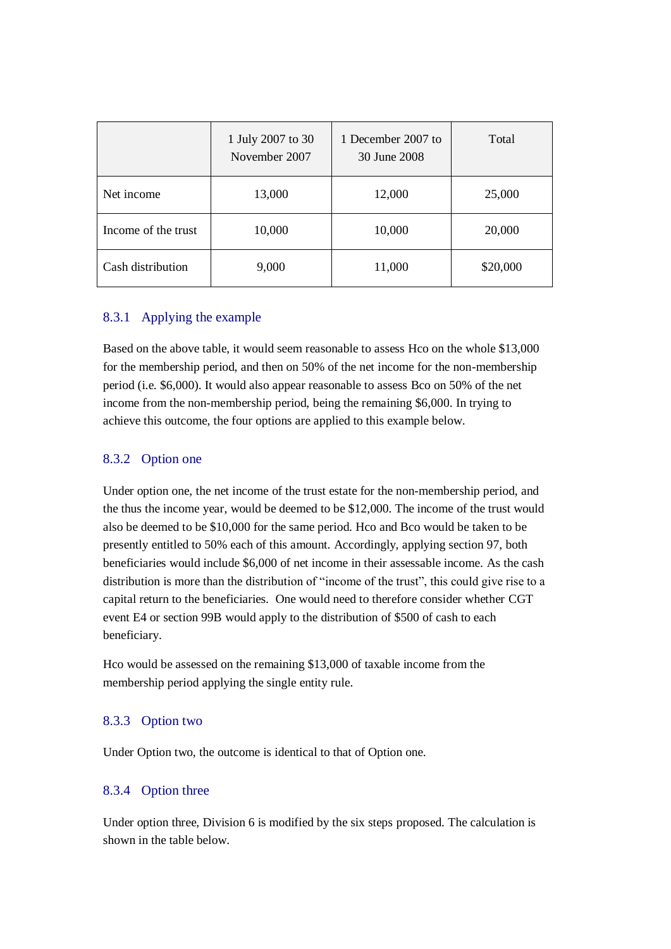|                     | 1 July 2007 to 30<br>November 2007 | 1 December 2007 to<br>30 June 2008 | Total    |
|---------------------|------------------------------------|------------------------------------|----------|
| Net income          | 13,000                             | 12,000                             | 25,000   |
| Income of the trust | 10,000                             | 10,000                             | 20,000   |
| Cash distribution   | 9,000                              | 11,000                             | \$20,000 |

## 8.3.1 Applying the example

Based on the above table, it would seem reasonable to assess Hco on the whole \$13,000 for the membership period, and then on 50% of the net income for the non-membership period (i.e. \$6,000). It would also appear reasonable to assess Bco on 50% of the net income from the non-membership period, being the remaining \$6,000. In trying to achieve this outcome, the four options are applied to this example below.

## 8.3.2 Option one

Under option one, the net income of the trust estate for the non-membership period, and the thus the income year, would be deemed to be \$12,000. The income of the trust would also be deemed to be \$10,000 for the same period. Hco and Bco would be taken to be presently entitled to 50% each of this amount. Accordingly, applying section 97, both beneficiaries would include \$6,000 of net income in their assessable income. As the cash distribution is more than the distribution of "income of the trust", this could give rise to a capital return to the beneficiaries. One would need to therefore consider whether CGT event E4 or section 99B would apply to the distribution of \$500 of cash to each beneficiary.

Hco would be assessed on the remaining \$13,000 of taxable income from the membership period applying the single entity rule.

## 8.3.3 Option two

Under Option two, the outcome is identical to that of Option one.

#### 8.3.4 Option three

Under option three, Division 6 is modified by the six steps proposed. The calculation is shown in the table below.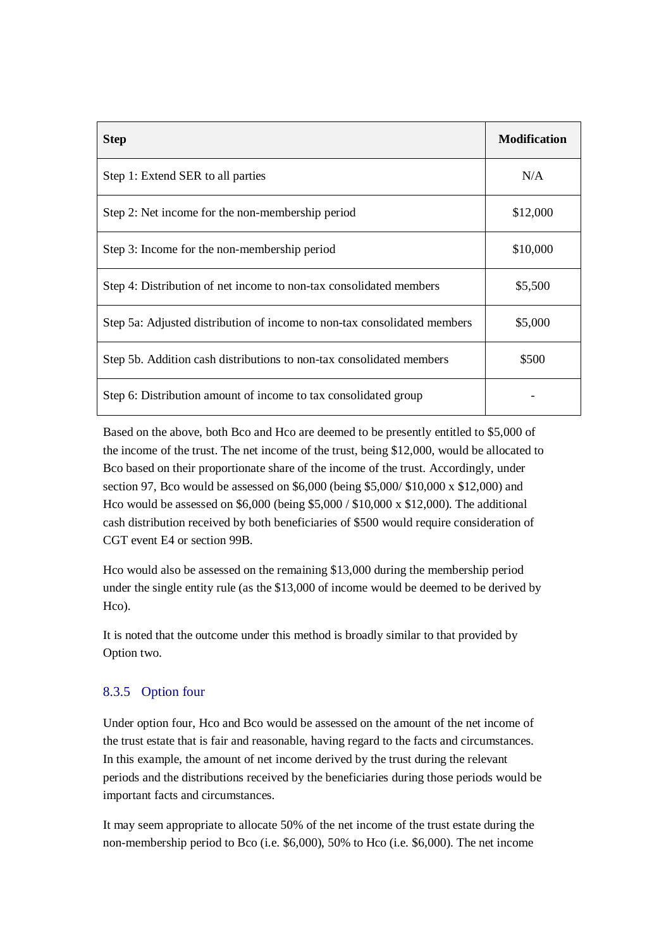| <b>Step</b>                                                              | <b>Modification</b> |
|--------------------------------------------------------------------------|---------------------|
| Step 1: Extend SER to all parties                                        | N/A                 |
| Step 2: Net income for the non-membership period                         | \$12,000            |
| Step 3: Income for the non-membership period                             | \$10,000            |
| Step 4: Distribution of net income to non-tax consolidated members       | \$5,500             |
| Step 5a: Adjusted distribution of income to non-tax consolidated members | \$5,000             |
| Step 5b. Addition cash distributions to non-tax consolidated members     | \$500               |
| Step 6: Distribution amount of income to tax consolidated group          |                     |

Based on the above, both Bco and Hco are deemed to be presently entitled to \$5,000 of the income of the trust. The net income of the trust, being \$12,000, would be allocated to Bco based on their proportionate share of the income of the trust. Accordingly, under section 97, Bco would be assessed on \$6,000 (being \$5,000/ \$10,000 x \$12,000) and Hco would be assessed on \$6,000 (being \$5,000 / \$10,000 x \$12,000). The additional cash distribution received by both beneficiaries of \$500 would require consideration of CGT event E4 or section 99B.

Hco would also be assessed on the remaining \$13,000 during the membership period under the single entity rule (as the \$13,000 of income would be deemed to be derived by Hco).

It is noted that the outcome under this method is broadly similar to that provided by Option two.

## 8.3.5 Option four

Under option four, Hco and Bco would be assessed on the amount of the net income of the trust estate that is fair and reasonable, having regard to the facts and circumstances. In this example, the amount of net income derived by the trust during the relevant periods and the distributions received by the beneficiaries during those periods would be important facts and circumstances.

It may seem appropriate to allocate 50% of the net income of the trust estate during the non-membership period to Bco (i.e. \$6,000), 50% to Hco (i.e. \$6,000). The net income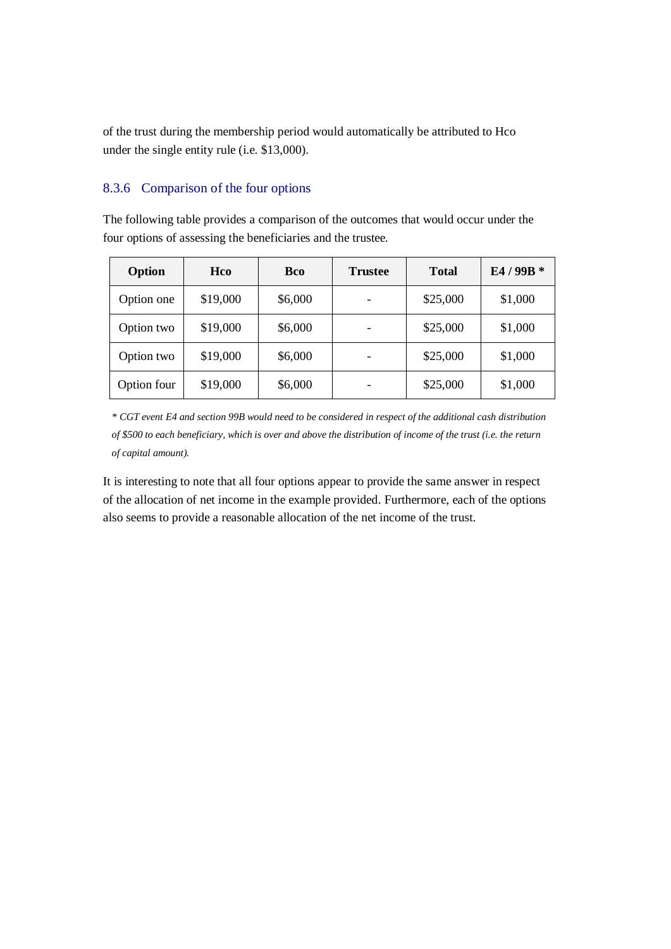of the trust during the membership period would automatically be attributed to Hco under the single entity rule (i.e. \$13,000).

## 8.3.6 Comparison of the four options

The following table provides a comparison of the outcomes that would occur under the four options of assessing the beneficiaries and the trustee.

| Option      | Hco      | Bco     | <b>Trustee</b> | <b>Total</b> | E4/99B* |
|-------------|----------|---------|----------------|--------------|---------|
| Option one  | \$19,000 | \$6,000 |                | \$25,000     | \$1,000 |
| Option two  | \$19,000 | \$6,000 |                | \$25,000     | \$1,000 |
| Option two  | \$19,000 | \$6,000 |                | \$25,000     | \$1,000 |
| Option four | \$19,000 | \$6,000 |                | \$25,000     | \$1,000 |

*\* CGT event E4 and section 99B would need to be considered in respect of the additional cash distribution of \$500 to each beneficiary, which is over and above the distribution of income of the trust (i.e. the return of capital amount).*

It is interesting to note that all four options appear to provide the same answer in respect of the allocation of net income in the example provided. Furthermore, each of the options also seems to provide a reasonable allocation of the net income of the trust.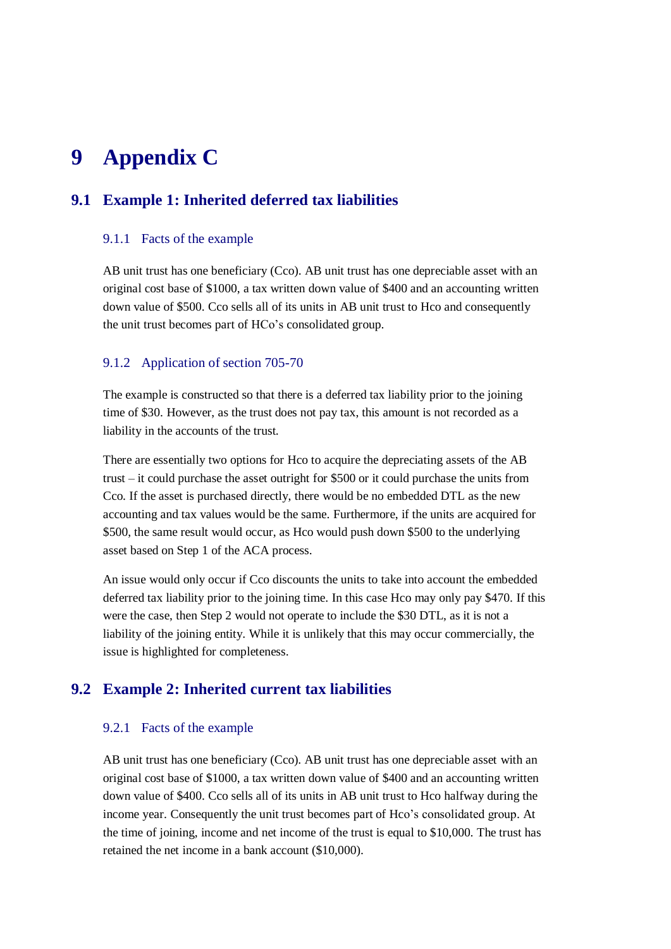# **9 Appendix C**

# **9.1 Example 1: Inherited deferred tax liabilities**

#### 9.1.1 Facts of the example

AB unit trust has one beneficiary (Cco). AB unit trust has one depreciable asset with an original cost base of \$1000, a tax written down value of \$400 and an accounting written down value of \$500. Cco sells all of its units in AB unit trust to Hco and consequently the unit trust becomes part of HCo"s consolidated group.

#### 9.1.2 Application of section 705-70

The example is constructed so that there is a deferred tax liability prior to the joining time of \$30. However, as the trust does not pay tax, this amount is not recorded as a liability in the accounts of the trust.

There are essentially two options for Hco to acquire the depreciating assets of the AB trust – it could purchase the asset outright for \$500 or it could purchase the units from Cco. If the asset is purchased directly, there would be no embedded DTL as the new accounting and tax values would be the same. Furthermore, if the units are acquired for \$500, the same result would occur, as Hco would push down \$500 to the underlying asset based on Step 1 of the ACA process.

An issue would only occur if Cco discounts the units to take into account the embedded deferred tax liability prior to the joining time. In this case Hco may only pay \$470. If this were the case, then Step 2 would not operate to include the \$30 DTL, as it is not a liability of the joining entity. While it is unlikely that this may occur commercially, the issue is highlighted for completeness.

## **9.2 Example 2: Inherited current tax liabilities**

#### 9.2.1 Facts of the example

AB unit trust has one beneficiary (Cco). AB unit trust has one depreciable asset with an original cost base of \$1000, a tax written down value of \$400 and an accounting written down value of \$400. Cco sells all of its units in AB unit trust to Hco halfway during the income year. Consequently the unit trust becomes part of Hco"s consolidated group. At the time of joining, income and net income of the trust is equal to \$10,000. The trust has retained the net income in a bank account (\$10,000).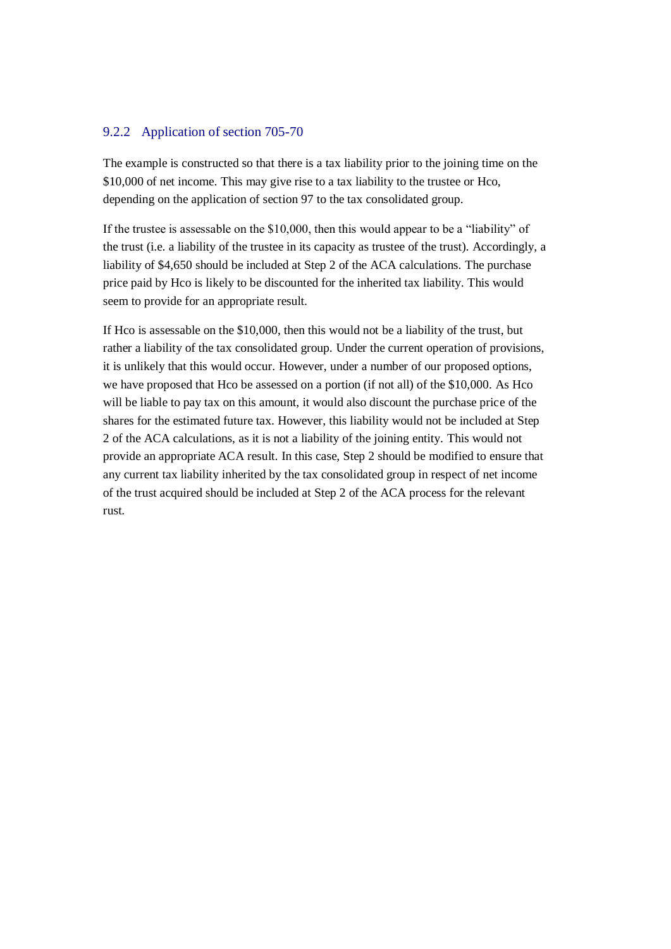### 9.2.2 Application of section 705-70

The example is constructed so that there is a tax liability prior to the joining time on the \$10,000 of net income. This may give rise to a tax liability to the trustee or Hco, depending on the application of section 97 to the tax consolidated group.

If the trustee is assessable on the \$10,000, then this would appear to be a "liability" of the trust (i.e. a liability of the trustee in its capacity as trustee of the trust). Accordingly, a liability of \$4,650 should be included at Step 2 of the ACA calculations. The purchase price paid by Hco is likely to be discounted for the inherited tax liability. This would seem to provide for an appropriate result.

If Hco is assessable on the \$10,000, then this would not be a liability of the trust, but rather a liability of the tax consolidated group. Under the current operation of provisions, it is unlikely that this would occur. However, under a number of our proposed options, we have proposed that Hco be assessed on a portion (if not all) of the \$10,000. As Hco will be liable to pay tax on this amount, it would also discount the purchase price of the shares for the estimated future tax. However, this liability would not be included at Step 2 of the ACA calculations, as it is not a liability of the joining entity. This would not provide an appropriate ACA result. In this case, Step 2 should be modified to ensure that any current tax liability inherited by the tax consolidated group in respect of net income of the trust acquired should be included at Step 2 of the ACA process for the relevant rust.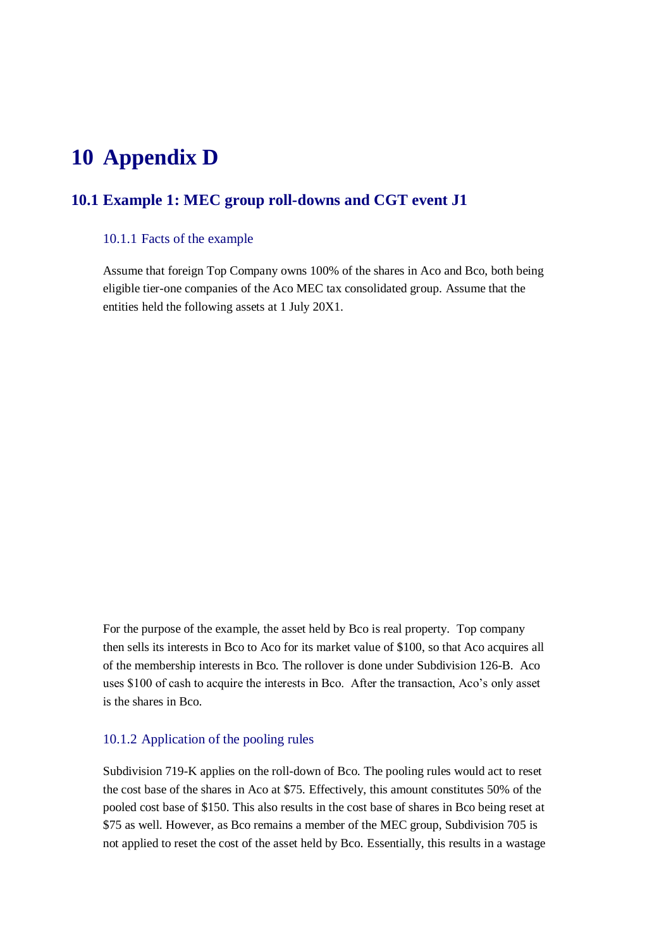# **10 Appendix D**

## **10.1 Example 1: MEC group roll-downs and CGT event J1**

#### 10.1.1 Facts of the example

Assume that foreign Top Company owns 100% of the shares in Aco and Bco, both being eligible tier-one companies of the Aco MEC tax consolidated group. Assume that the entities held the following assets at 1 July 20X1.

For the purpose of the example, the asset held by Bco is real property. Top company then sells its interests in Bco to Aco for its market value of \$100, so that Aco acquires all of the membership interests in Bco. The rollover is done under Subdivision 126-B. Aco uses \$100 of cash to acquire the interests in Bco. After the transaction, Aco"s only asset is the shares in Bco.

## 10.1.2 Application of the pooling rules

Subdivision 719-K applies on the roll-down of Bco. The pooling rules would act to reset the cost base of the shares in Aco at \$75. Effectively, this amount constitutes 50% of the pooled cost base of \$150. This also results in the cost base of shares in Bco being reset at \$75 as well. However, as Bco remains a member of the MEC group, Subdivision 705 is not applied to reset the cost of the asset held by Bco. Essentially, this results in a wastage